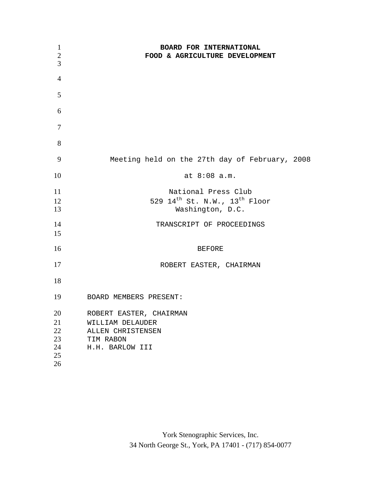| $\mathbf{1}$<br>$\overline{2}$<br>3    | BOARD FOR INTERNATIONAL<br>FOOD & AGRICULTURE DEVELOPMENT                                        |
|----------------------------------------|--------------------------------------------------------------------------------------------------|
| $\overline{4}$                         |                                                                                                  |
| 5                                      |                                                                                                  |
| 6                                      |                                                                                                  |
| 7                                      |                                                                                                  |
| 8                                      |                                                                                                  |
| 9                                      | Meeting held on the 27th day of February, 2008                                                   |
| 10                                     | at 8:08 a.m.                                                                                     |
| 11<br>12<br>13                         | National Press Club<br>529 14 <sup>th</sup> St. N.W., 13 <sup>th</sup> Floor<br>Washington, D.C. |
| 14<br>15                               | TRANSCRIPT OF PROCEEDINGS                                                                        |
| 16                                     | <b>BEFORE</b>                                                                                    |
| 17                                     | ROBERT EASTER, CHAIRMAN                                                                          |
| 18                                     |                                                                                                  |
| 19                                     | BOARD MEMBERS PRESENT:                                                                           |
| 20<br>21<br>22<br>23<br>24<br>25<br>26 | ROBERT EASTER, CHAIRMAN<br>WILLIAM DELAUDER<br>ALLEN CHRISTENSEN<br>TIM RABON<br>H.H. BARLOW III |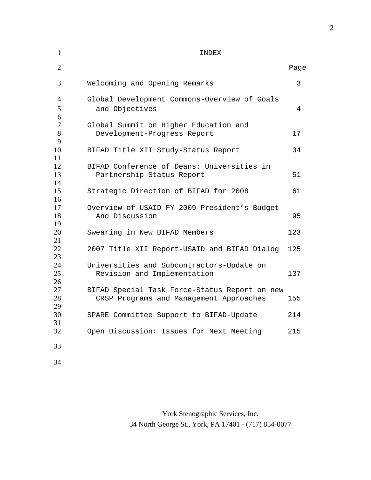| $\overline{2}$           |                                                                                          | Page |
|--------------------------|------------------------------------------------------------------------------------------|------|
| 3                        | Welcoming and Opening Remarks                                                            | 3    |
| $\overline{4}$<br>5<br>6 | Global Development Commons-Overview of Goals<br>and Objectives                           | 4    |
| 7<br>8<br>9              | Global Summit on Higher Education and<br>Development-Progress Report                     | 17   |
| 10                       | BIFAD Title XII Study-Status Report                                                      | 34   |
| 11<br>12<br>13<br>14     | BIFAD Conference of Deans: Universities in<br>Partnership-Status Report                  | 51   |
| 15                       | Strategic Direction of BIFAD for 2008                                                    | 61   |
| 16<br>17<br>18           | Overview of USAID FY 2009 President's Budget<br>And Discussion                           | 95   |
| 19<br>20<br>21           | Swearing in New BIFAD Members                                                            | 123  |
| 22<br>23                 | 2007 Title XII Report-USAID and BIFAD Dialog                                             | 125  |
| 24<br>25<br>26           | Universities and Subcontractors-Update on<br>Revision and Implementation                 | 137  |
| 27<br>28<br>29           | BIFAD Special Task Force-Status Report on new<br>CRSP Programs and Management Approaches | 155  |
| 30<br>31                 | SPARE Committee Support to BIFAD-Update                                                  | 214  |
| 32                       | Open Discussion: Issues for Next Meeting                                                 | 215  |
| 33                       |                                                                                          |      |
| 34                       |                                                                                          |      |

York Stenographic Services, Inc. 34 North George St., York, PA 17401 - (717) 854-0077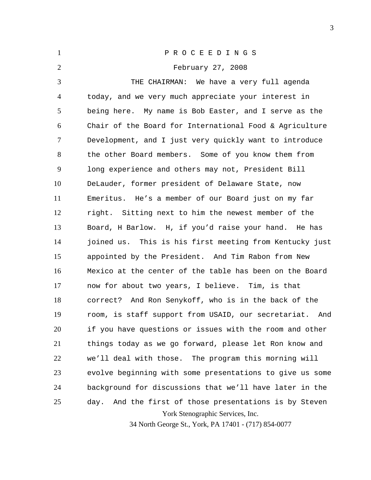| $\mathbf{1}$   | PROCEEDINGS                                                                              |
|----------------|------------------------------------------------------------------------------------------|
| $\overline{2}$ | February 27, 2008                                                                        |
| 3              | THE CHAIRMAN: We have a very full agenda                                                 |
| 4              | today, and we very much appreciate your interest in                                      |
| 5              | being here. My name is Bob Easter, and I serve as the                                    |
| 6              | Chair of the Board for International Food & Agriculture                                  |
| $\tau$         | Development, and I just very quickly want to introduce                                   |
| 8              | the other Board members. Some of you know them from                                      |
| 9              | long experience and others may not, President Bill                                       |
| 10             | DeLauder, former president of Delaware State, now                                        |
| 11             | Emeritus. He's a member of our Board just on my far                                      |
| 12             | right. Sitting next to him the newest member of the                                      |
| 13             | Board, H Barlow. H, if you'd raise your hand. He has                                     |
| 14             | joined us. This is his first meeting from Kentucky just                                  |
| 15             | appointed by the President. And Tim Rabon from New                                       |
| 16             | Mexico at the center of the table has been on the Board                                  |
| 17             | now for about two years, I believe. Tim, is that                                         |
| 18             | correct? And Ron Senykoff, who is in the back of the                                     |
| 19             | room, is staff support from USAID, our secretariat.<br>And                               |
| 20             | if you have questions or issues with the room and other                                  |
| 21             | things today as we go forward, please let Ron know and                                   |
| 22             | we'll deal with those. The program this morning will                                     |
| 23             | evolve beginning with some presentations to give us some                                 |
| 24             | background for discussions that we'll have later in the                                  |
| 25             | And the first of those presentations is by Steven<br>day.                                |
|                | York Stenographic Services, Inc.<br>34 North George St., York, PA 17401 - (717) 854-0077 |
|                |                                                                                          |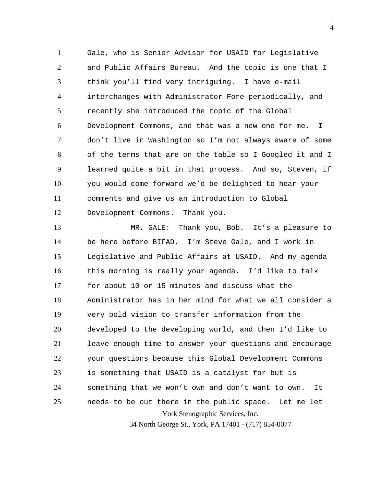1 2 3 4 5 6 7 8 9 10 11 12 Gale, who is Senior Advisor for USAID for Legislative and Public Affairs Bureau. And the topic is one that I think you'll find very intriguing. I have e-mail interchanges with Administrator Fore periodically, and recently she introduced the topic of the Global Development Commons, and that was a new one for me. I don't live in Washington so I'm not always aware of some of the terms that are on the table so I Googled it and I learned quite a bit in that process. And so, Steven, if you would come forward we'd be delighted to hear your comments and give us an introduction to Global Development Commons. Thank you.

York Stenographic Services, Inc. 13 14 15 16 17 18 19 20 21 22 23 24 25 MR. GALE: Thank you, Bob. It's a pleasure to be here before BIFAD. I'm Steve Gale, and I work in Legislative and Public Affairs at USAID. And my agenda this morning is really your agenda. I'd like to talk for about 10 or 15 minutes and discuss what the Administrator has in her mind for what we all consider a very bold vision to transfer information from the developed to the developing world, and then I'd like to leave enough time to answer your questions and encourage your questions because this Global Development Commons is something that USAID is a catalyst for but is something that we won't own and don't want to own. It needs to be out there in the public space. Let me let

34 North George St., York, PA 17401 - (717) 854-0077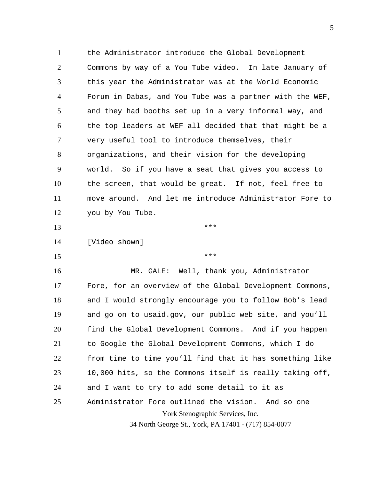1 2 3 4 5 6 7 8 9 10 11 12 the Administrator introduce the Global Development Commons by way of a You Tube video. In late January of this year the Administrator was at the World Economic Forum in Dabas, and You Tube was a partner with the WEF, and they had booths set up in a very informal way, and the top leaders at WEF all decided that that might be a very useful tool to introduce themselves, their organizations, and their vision for the developing world. So if you have a seat that gives you access to the screen, that would be great. If not, feel free to move around. And let me introduce Administrator Fore to you by You Tube.

\*\*\*

\*\*\*

14 [Video shown]

15

13

York Stenographic Services, Inc. 34 North George St., York, PA 17401 - (717) 854-0077 16 17 18 19 20 21 22 23 24 25 MR. GALE: Well, thank you, Administrator Fore, for an overview of the Global Development Commons, and I would strongly encourage you to follow Bob's lead and go on to usaid.gov, our public web site, and you'll find the Global Development Commons. And if you happen to Google the Global Development Commons, which I do from time to time you'll find that it has something like 10,000 hits, so the Commons itself is really taking off, and I want to try to add some detail to it as Administrator Fore outlined the vision. And so one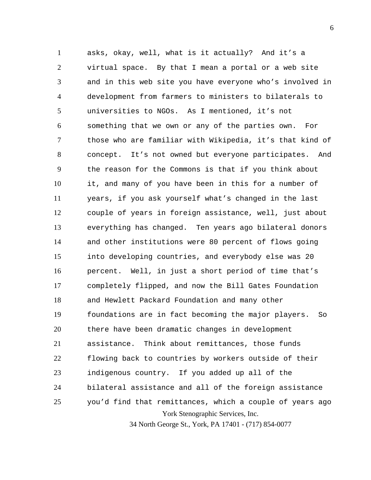York Stenographic Services, Inc. 1 2 3 4 5 6 7 8 9 10 11 12 13 14 15 16 17 18 19 20 21 22 23 24 25 asks, okay, well, what is it actually? And it's a virtual space. By that I mean a portal or a web site and in this web site you have everyone who's involved in development from farmers to ministers to bilaterals to universities to NGOs. As I mentioned, it's not something that we own or any of the parties own. For those who are familiar with Wikipedia, it's that kind of concept. It's not owned but everyone participates. And the reason for the Commons is that if you think about it, and many of you have been in this for a number of years, if you ask yourself what's changed in the last couple of years in foreign assistance, well, just about everything has changed. Ten years ago bilateral donors and other institutions were 80 percent of flows going into developing countries, and everybody else was 20 percent. Well, in just a short period of time that's completely flipped, and now the Bill Gates Foundation and Hewlett Packard Foundation and many other foundations are in fact becoming the major players. So there have been dramatic changes in development assistance. Think about remittances, those funds flowing back to countries by workers outside of their indigenous country. If you added up all of the bilateral assistance and all of the foreign assistance you'd find that remittances, which a couple of years ago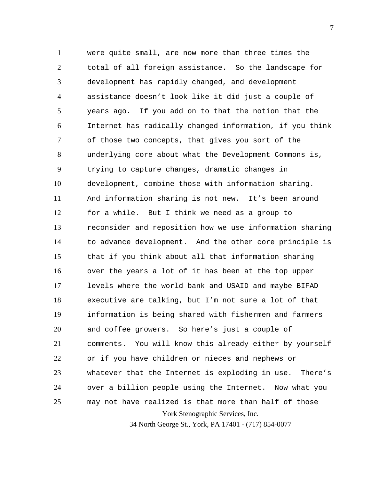York Stenographic Services, Inc. 1 2 3 4 5 6 7 8 9 10 11 12 13 14 15 16 17 18 19 20 21 22 23 24 25 were quite small, are now more than three times the total of all foreign assistance. So the landscape for development has rapidly changed, and development assistance doesn't look like it did just a couple of years ago. If you add on to that the notion that the Internet has radically changed information, if you think of those two concepts, that gives you sort of the underlying core about what the Development Commons is, trying to capture changes, dramatic changes in development, combine those with information sharing. And information sharing is not new. It's been around for a while. But I think we need as a group to reconsider and reposition how we use information sharing to advance development. And the other core principle is that if you think about all that information sharing over the years a lot of it has been at the top upper levels where the world bank and USAID and maybe BIFAD executive are talking, but I'm not sure a lot of that information is being shared with fishermen and farmers and coffee growers. So here's just a couple of comments. You will know this already either by yourself or if you have children or nieces and nephews or whatever that the Internet is exploding in use. There's over a billion people using the Internet. Now what you may not have realized is that more than half of those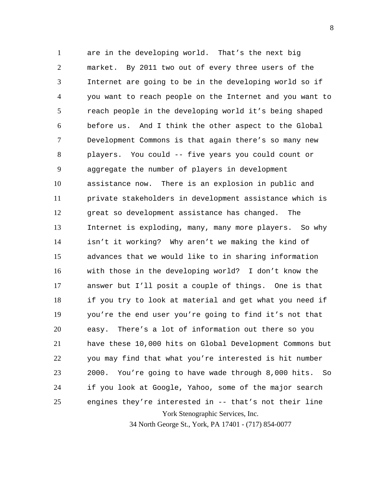York Stenographic Services, Inc. 1 2 3 4 5 6 7 8 9 10 11 12 13 14 15 16 17 18 19 20 21 22 23 24 25 are in the developing world. That's the next big market. By 2011 two out of every three users of the Internet are going to be in the developing world so if you want to reach people on the Internet and you want to reach people in the developing world it's being shaped before us. And I think the other aspect to the Global Development Commons is that again there's so many new players. You could -- five years you could count or aggregate the number of players in development assistance now. There is an explosion in public and private stakeholders in development assistance which is great so development assistance has changed. The Internet is exploding, many, many more players. So why isn't it working? Why aren't we making the kind of advances that we would like to in sharing information with those in the developing world? I don't know the answer but I'll posit a couple of things. One is that if you try to look at material and get what you need if you're the end user you're going to find it's not that easy. There's a lot of information out there so you have these 10,000 hits on Global Development Commons but you may find that what you're interested is hit number 2000. You're going to have wade through 8,000 hits. So if you look at Google, Yahoo, some of the major search engines they're interested in -- that's not their line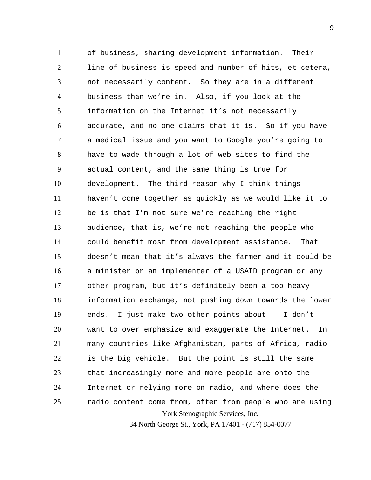York Stenographic Services, Inc. 1 2 3 4 5 6 7 8 9 10 11 12 13 14 15 16 17 18 19 20 21 22 23 24 25 of business, sharing development information. Their line of business is speed and number of hits, et cetera, not necessarily content. So they are in a different business than we're in. Also, if you look at the information on the Internet it's not necessarily accurate, and no one claims that it is. So if you have a medical issue and you want to Google you're going to have to wade through a lot of web sites to find the actual content, and the same thing is true for development. The third reason why I think things haven't come together as quickly as we would like it to be is that I'm not sure we're reaching the right audience, that is, we're not reaching the people who could benefit most from development assistance. That doesn't mean that it's always the farmer and it could be a minister or an implementer of a USAID program or any other program, but it's definitely been a top heavy information exchange, not pushing down towards the lower ends. I just make two other points about -- I don't want to over emphasize and exaggerate the Internet. In many countries like Afghanistan, parts of Africa, radio is the big vehicle. But the point is still the same that increasingly more and more people are onto the Internet or relying more on radio, and where does the radio content come from, often from people who are using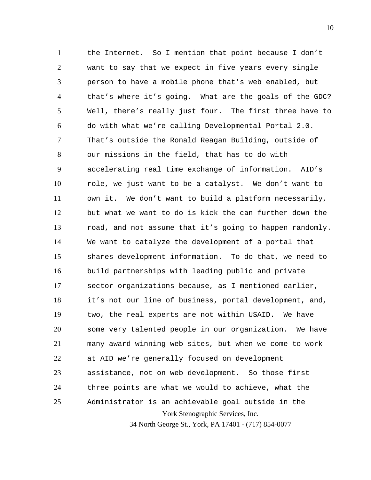York Stenographic Services, Inc. 34 North George St., York, PA 17401 - (717) 854-0077 1 2 3 4 5 6 7 8 9 10 11 12 13 14 15 16 17 18 19 20 21 22 23 24 25 the Internet. So I mention that point because I don't want to say that we expect in five years every single person to have a mobile phone that's web enabled, but that's where it's going. What are the goals of the GDC? Well, there's really just four. The first three have to do with what we're calling Developmental Portal 2.0. That's outside the Ronald Reagan Building, outside of our missions in the field, that has to do with accelerating real time exchange of information. AID's role, we just want to be a catalyst. We don't want to own it. We don't want to build a platform necessarily, but what we want to do is kick the can further down the road, and not assume that it's going to happen randomly. We want to catalyze the development of a portal that shares development information. To do that, we need to build partnerships with leading public and private sector organizations because, as I mentioned earlier, it's not our line of business, portal development, and, two, the real experts are not within USAID. We have some very talented people in our organization. We have many award winning web sites, but when we come to work at AID we're generally focused on development assistance, not on web development. So those first three points are what we would to achieve, what the Administrator is an achievable goal outside in the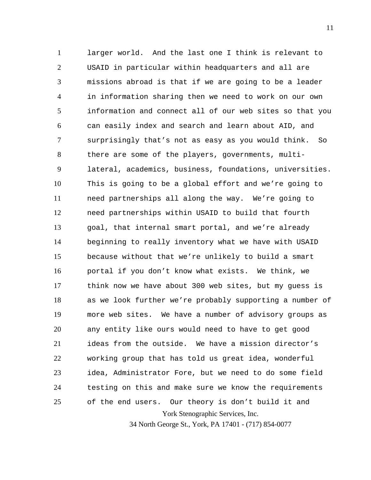York Stenographic Services, Inc. 1 2 3 4 5 6 7 8 9 10 11 12 13 14 15 16 17 18 19 20 21 22 23 24 25 larger world. And the last one I think is relevant to USAID in particular within headquarters and all are missions abroad is that if we are going to be a leader in information sharing then we need to work on our own information and connect all of our web sites so that you can easily index and search and learn about AID, and surprisingly that's not as easy as you would think. So there are some of the players, governments, multilateral, academics, business, foundations, universities. This is going to be a global effort and we're going to need partnerships all along the way. We're going to need partnerships within USAID to build that fourth goal, that internal smart portal, and we're already beginning to really inventory what we have with USAID because without that we're unlikely to build a smart portal if you don't know what exists. We think, we think now we have about 300 web sites, but my guess is as we look further we're probably supporting a number of more web sites. We have a number of advisory groups as any entity like ours would need to have to get good ideas from the outside. We have a mission director's working group that has told us great idea, wonderful idea, Administrator Fore, but we need to do some field testing on this and make sure we know the requirements of the end users. Our theory is don't build it and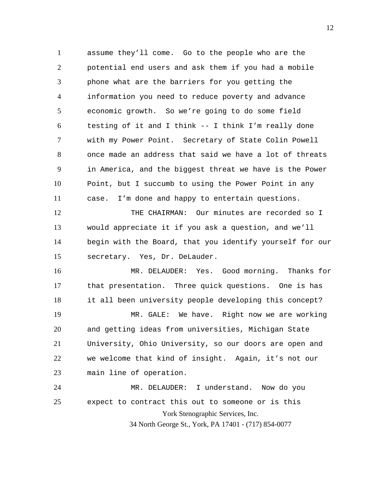1 2 3 4 5 6 7 8 9 10 11 assume they'll come. Go to the people who are the potential end users and ask them if you had a mobile phone what are the barriers for you getting the information you need to reduce poverty and advance economic growth. So we're going to do some field testing of it and I think -- I think I'm really done with my Power Point. Secretary of State Colin Powell once made an address that said we have a lot of threats in America, and the biggest threat we have is the Power Point, but I succumb to using the Power Point in any case. I'm done and happy to entertain questions.

12 13 14 15 THE CHAIRMAN: Our minutes are recorded so I would appreciate it if you ask a question, and we'll begin with the Board, that you identify yourself for our secretary. Yes, Dr. DeLauder.

16 17 18 MR. DELAUDER: Yes. Good morning. Thanks for that presentation. Three quick questions. One is has it all been university people developing this concept?

19 20 21 22 23 MR. GALE: We have. Right now we are working and getting ideas from universities, Michigan State University, Ohio University, so our doors are open and we welcome that kind of insight. Again, it's not our main line of operation.

York Stenographic Services, Inc. 34 North George St., York, PA 17401 - (717) 854-0077 24 25 MR. DELAUDER: I understand. Now do you expect to contract this out to someone or is this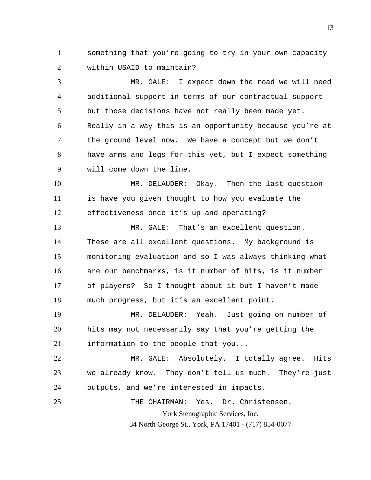1 2 something that you're going to try in your own capacity within USAID to maintain?

3 4 5 6 7 8 9 MR. GALE: I expect down the road we will need additional support in terms of our contractual support but those decisions have not really been made yet. Really in a way this is an opportunity because you're at the ground level now. We have a concept but we don't have arms and legs for this yet, but I expect something will come down the line.

10 11 12 MR. DELAUDER: Okay. Then the last question is have you given thought to how you evaluate the effectiveness once it's up and operating?

13 14 15 16 17 18 MR. GALE: That's an excellent question. These are all excellent questions. My background is monitoring evaluation and so I was always thinking what are our benchmarks, is it number of hits, is it number of players? So I thought about it but I haven't made much progress, but it's an excellent point.

19 20 21 MR. DELAUDER: Yeah. Just going on number of hits may not necessarily say that you're getting the information to the people that you...

22 23 24 MR. GALE: Absolutely. I totally agree. Hits we already know. They don't tell us much. They're just outputs, and we're interested in impacts.

York Stenographic Services, Inc. 25 THE CHAIRMAN: Yes. Dr. Christensen.

34 North George St., York, PA 17401 - (717) 854-0077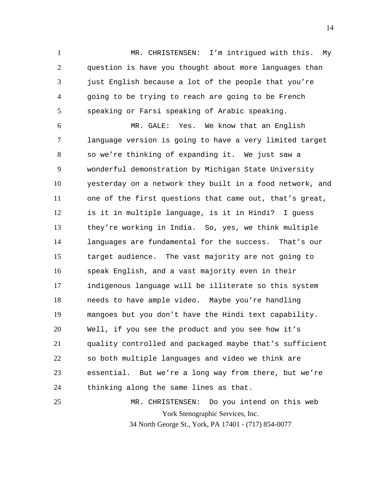1 2 3 4 5 MR. CHRISTENSEN: I'm intrigued with this. My question is have you thought about more languages than just English because a lot of the people that you're going to be trying to reach are going to be French speaking or Farsi speaking of Arabic speaking.

6 7 8 9 10 11 12 13 14 15 16 17 18 19 20 21 22 23 24 25 MR. GALE: Yes. We know that an English language version is going to have a very limited target so we're thinking of expanding it. We just saw a wonderful demonstration by Michigan State University yesterday on a network they built in a food network, and one of the first questions that came out, that's great, is it in multiple language, is it in Hindi? I guess they're working in India. So, yes, we think multiple languages are fundamental for the success. That's our target audience. The vast majority are not going to speak English, and a vast majority even in their indigenous language will be illiterate so this system needs to have ample video. Maybe you're handling mangoes but you don't have the Hindi text capability. Well, if you see the product and you see how it's quality controlled and packaged maybe that's sufficient so both multiple languages and video we think are essential. But we're a long way from there, but we're thinking along the same lines as that. MR. CHRISTENSEN: Do you intend on this web

York Stenographic Services, Inc.

34 North George St., York, PA 17401 - (717) 854-0077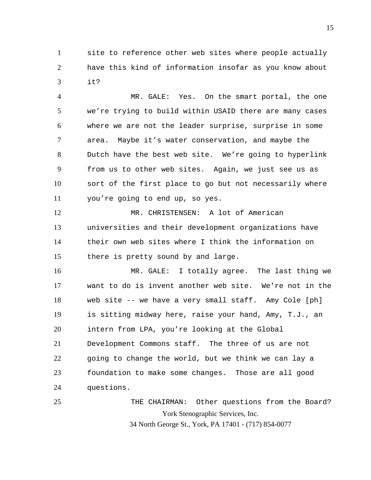1 2 3 site to reference other web sites where people actually have this kind of information insofar as you know about it?

4 5 6 7 8 9 10 11 MR. GALE: Yes. On the smart portal, the one we're trying to build within USAID there are many cases where we are not the leader surprise, surprise in some area. Maybe it's water conservation, and maybe the Dutch have the best web site. We're going to hyperlink from us to other web sites. Again, we just see us as sort of the first place to go but not necessarily where you're going to end up, so yes.

12 13 14 15 MR. CHRISTENSEN: A lot of American universities and their development organizations have their own web sites where I think the information on there is pretty sound by and large.

16 17 18 19 20 21 22 23 24 MR. GALE: I totally agree. The last thing we want to do is invent another web site. We're not in the web site -- we have a very small staff. Amy Cole [ph] is sitting midway here, raise your hand, Amy, T.J., an intern from LPA, you're looking at the Global Development Commons staff. The three of us are not going to change the world, but we think we can lay a foundation to make some changes. Those are all good questions.

York Stenographic Services, Inc. 34 North George St., York, PA 17401 - (717) 854-0077 25 THE CHAIRMAN: Other questions from the Board?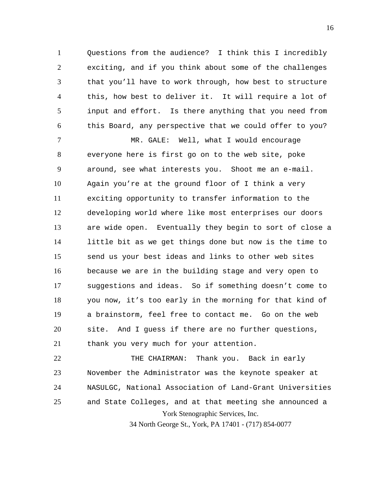1 2 3 4 5 6 Questions from the audience? I think this I incredibly exciting, and if you think about some of the challenges that you'll have to work through, how best to structure this, how best to deliver it. It will require a lot of input and effort. Is there anything that you need from this Board, any perspective that we could offer to you?

7 8 9 10 11 12 13 14 15 16 17 18 19 20 21 MR. GALE: Well, what I would encourage everyone here is first go on to the web site, poke around, see what interests you. Shoot me an e-mail. Again you're at the ground floor of I think a very exciting opportunity to transfer information to the developing world where like most enterprises our doors are wide open. Eventually they begin to sort of close a little bit as we get things done but now is the time to send us your best ideas and links to other web sites because we are in the building stage and very open to suggestions and ideas. So if something doesn't come to you now, it's too early in the morning for that kind of a brainstorm, feel free to contact me. Go on the web site. And I guess if there are no further questions, thank you very much for your attention.

York Stenographic Services, Inc. 22 23 24 25 THE CHAIRMAN: Thank you. Back in early November the Administrator was the keynote speaker at NASULGC, National Association of Land-Grant Universities and State Colleges, and at that meeting she announced a

34 North George St., York, PA 17401 - (717) 854-0077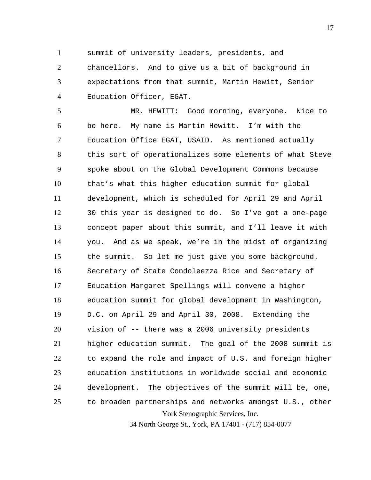1

summit of university leaders, presidents, and

2 3 4 chancellors. And to give us a bit of background in expectations from that summit, Martin Hewitt, Senior Education Officer, EGAT.

York Stenographic Services, Inc. 5 6 7 8 9 10 11 12 13 14 15 16 17 18 19 20 21 22 23 24 25 MR. HEWITT: Good morning, everyone. Nice to be here. My name is Martin Hewitt. I'm with the Education Office EGAT, USAID. As mentioned actually this sort of operationalizes some elements of what Steve spoke about on the Global Development Commons because that's what this higher education summit for global development, which is scheduled for April 29 and April 30 this year is designed to do. So I've got a one-page concept paper about this summit, and I'll leave it with you. And as we speak, we're in the midst of organizing the summit. So let me just give you some background. Secretary of State Condoleezza Rice and Secretary of Education Margaret Spellings will convene a higher education summit for global development in Washington, D.C. on April 29 and April 30, 2008. Extending the vision of -- there was a 2006 university presidents higher education summit. The goal of the 2008 summit is to expand the role and impact of U.S. and foreign higher education institutions in worldwide social and economic development. The objectives of the summit will be, one, to broaden partnerships and networks amongst U.S., other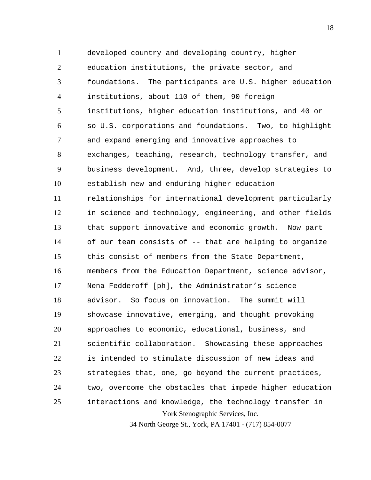York Stenographic Services, Inc. 34 North George St., York, PA 17401 - (717) 854-0077 1 2 3 4 5 6 7 8 9 10 11 12 13 14 15 16 17 18 19 20 21 22 23 24 25 developed country and developing country, higher education institutions, the private sector, and foundations. The participants are U.S. higher education institutions, about 110 of them, 90 foreign institutions, higher education institutions, and 40 or so U.S. corporations and foundations. Two, to highlight and expand emerging and innovative approaches to exchanges, teaching, research, technology transfer, and business development. And, three, develop strategies to establish new and enduring higher education relationships for international development particularly in science and technology, engineering, and other fields that support innovative and economic growth. Now part of our team consists of -- that are helping to organize this consist of members from the State Department, members from the Education Department, science advisor, Nena Fedderoff [ph], the Administrator's science advisor. So focus on innovation. The summit will showcase innovative, emerging, and thought provoking approaches to economic, educational, business, and scientific collaboration. Showcasing these approaches is intended to stimulate discussion of new ideas and strategies that, one, go beyond the current practices, two, overcome the obstacles that impede higher education interactions and knowledge, the technology transfer in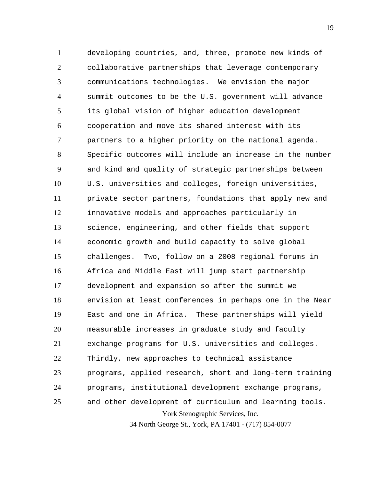York Stenographic Services, Inc. 1 2 3 4 5 6 7 8 9 10 11 12 13 14 15 16 17 18 19 20 21 22 23 24 25 developing countries, and, three, promote new kinds of collaborative partnerships that leverage contemporary communications technologies. We envision the major summit outcomes to be the U.S. government will advance its global vision of higher education development cooperation and move its shared interest with its partners to a higher priority on the national agenda. Specific outcomes will include an increase in the number and kind and quality of strategic partnerships between U.S. universities and colleges, foreign universities, private sector partners, foundations that apply new and innovative models and approaches particularly in science, engineering, and other fields that support economic growth and build capacity to solve global challenges. Two, follow on a 2008 regional forums in Africa and Middle East will jump start partnership development and expansion so after the summit we envision at least conferences in perhaps one in the Near East and one in Africa. These partnerships will yield measurable increases in graduate study and faculty exchange programs for U.S. universities and colleges. Thirdly, new approaches to technical assistance programs, applied research, short and long-term training programs, institutional development exchange programs, and other development of curriculum and learning tools.

34 North George St., York, PA 17401 - (717) 854-0077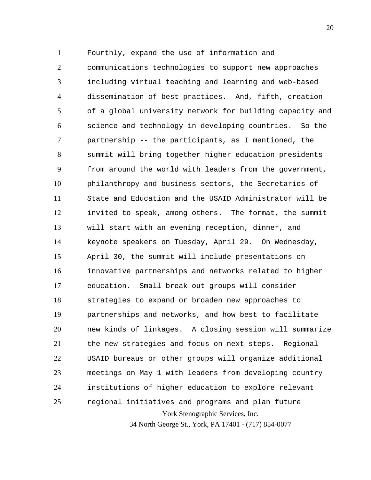1 Fourthly, expand the use of information and

York Stenographic Services, Inc. 2 3 4 5 6 7 8 9 10 11 12 13 14 15 16 17 18 19 20 21 22 23 24 25 communications technologies to support new approaches including virtual teaching and learning and web-based dissemination of best practices. And, fifth, creation of a global university network for building capacity and science and technology in developing countries. So the partnership -- the participants, as I mentioned, the summit will bring together higher education presidents from around the world with leaders from the government, philanthropy and business sectors, the Secretaries of State and Education and the USAID Administrator will be invited to speak, among others. The format, the summit will start with an evening reception, dinner, and keynote speakers on Tuesday, April 29. On Wednesday, April 30, the summit will include presentations on innovative partnerships and networks related to higher education. Small break out groups will consider strategies to expand or broaden new approaches to partnerships and networks, and how best to facilitate new kinds of linkages. A closing session will summarize the new strategies and focus on next steps. Regional USAID bureaus or other groups will organize additional meetings on May 1 with leaders from developing country institutions of higher education to explore relevant regional initiatives and programs and plan future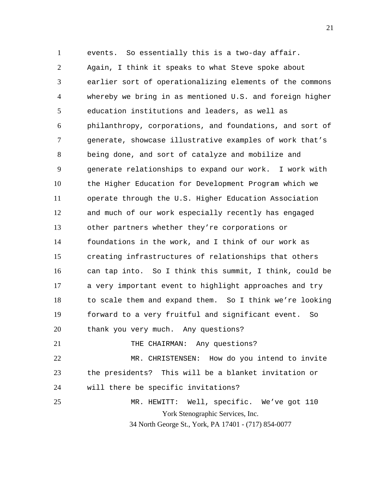York Stenographic Services, Inc. 34 North George St., York, PA 17401 - (717) 854-0077 1 2 3 4 5 6 7 8 9 10 11 12 13 14 15 16 17 18 19 20 21 22 23 24 25 events. So essentially this is a two-day affair. Again, I think it speaks to what Steve spoke about earlier sort of operationalizing elements of the commons whereby we bring in as mentioned U.S. and foreign higher education institutions and leaders, as well as philanthropy, corporations, and foundations, and sort of generate, showcase illustrative examples of work that's being done, and sort of catalyze and mobilize and generate relationships to expand our work. I work with the Higher Education for Development Program which we operate through the U.S. Higher Education Association and much of our work especially recently has engaged other partners whether they're corporations or foundations in the work, and I think of our work as creating infrastructures of relationships that others can tap into. So I think this summit, I think, could be a very important event to highlight approaches and try to scale them and expand them. So I think we're looking forward to a very fruitful and significant event. So thank you very much. Any questions? THE CHAIRMAN: Any questions? MR. CHRISTENSEN: How do you intend to invite the presidents? This will be a blanket invitation or will there be specific invitations? MR. HEWITT: Well, specific. We've got 110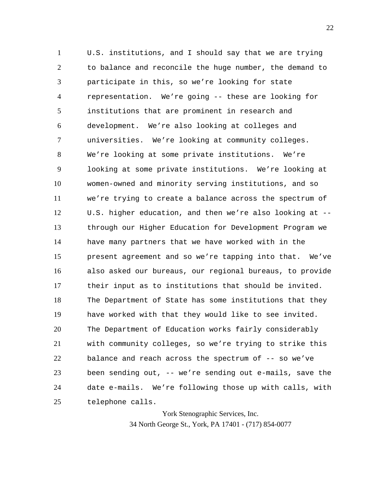1 2 3 4 5 6 7 8 9 10 11 12 13 14 15 16 17 18 19 20 21 22 23 24 25 U.S. institutions, and I should say that we are trying to balance and reconcile the huge number, the demand to participate in this, so we're looking for state representation. We're going -- these are looking for institutions that are prominent in research and development. We're also looking at colleges and universities. We're looking at community colleges. We're looking at some private institutions. We're looking at some private institutions. We're looking at women-owned and minority serving institutions, and so we're trying to create a balance across the spectrum of U.S. higher education, and then we're also looking at - through our Higher Education for Development Program we have many partners that we have worked with in the present agreement and so we're tapping into that. We've also asked our bureaus, our regional bureaus, to provide their input as to institutions that should be invited. The Department of State has some institutions that they have worked with that they would like to see invited. The Department of Education works fairly considerably with community colleges, so we're trying to strike this balance and reach across the spectrum of -- so we've been sending out, -- we're sending out e-mails, save the date e-mails. We're following those up with calls, with telephone calls.

> York Stenographic Services, Inc. 34 North George St., York, PA 17401 - (717) 854-0077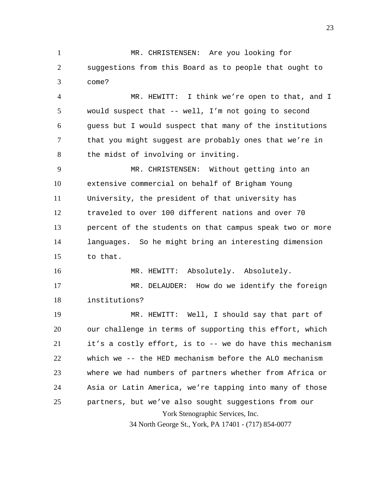1 2 3 MR. CHRISTENSEN: Are you looking for suggestions from this Board as to people that ought to come?

4 5 6 7 8 MR. HEWITT: I think we're open to that, and I would suspect that -- well, I'm not going to second guess but I would suspect that many of the institutions that you might suggest are probably ones that we're in the midst of involving or inviting.

9 10 11 12 13 14 15 MR. CHRISTENSEN: Without getting into an extensive commercial on behalf of Brigham Young University, the president of that university has traveled to over 100 different nations and over 70 percent of the students on that campus speak two or more languages. So he might bring an interesting dimension to that.

16 MR. HEWITT: Absolutely. Absolutely.

17 18 MR. DELAUDER: How do we identify the foreign institutions?

York Stenographic Services, Inc. 19 20 21 22 23 24 25 MR. HEWITT: Well, I should say that part of our challenge in terms of supporting this effort, which it's a costly effort, is to -- we do have this mechanism which we -- the HED mechanism before the ALO mechanism where we had numbers of partners whether from Africa or Asia or Latin America, we're tapping into many of those partners, but we've also sought suggestions from our

34 North George St., York, PA 17401 - (717) 854-0077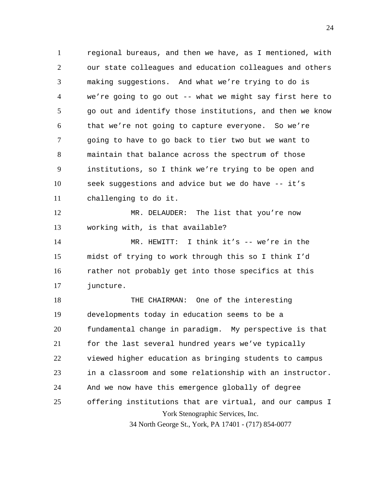York Stenographic Services, Inc. 1 2 3 4 5 6 7 8 9 10 11 12 13 14 15 16 17 18 19 20 21 22 23 24 25 regional bureaus, and then we have, as I mentioned, with our state colleagues and education colleagues and others making suggestions. And what we're trying to do is we're going to go out -- what we might say first here to go out and identify those institutions, and then we know that we're not going to capture everyone. So we're going to have to go back to tier two but we want to maintain that balance across the spectrum of those institutions, so I think we're trying to be open and seek suggestions and advice but we do have -- it's challenging to do it. MR. DELAUDER: The list that you're now working with, is that available? MR. HEWITT: I think it's -- we're in the midst of trying to work through this so I think I'd rather not probably get into those specifics at this juncture. THE CHAIRMAN: One of the interesting developments today in education seems to be a fundamental change in paradigm. My perspective is that for the last several hundred years we've typically viewed higher education as bringing students to campus in a classroom and some relationship with an instructor. And we now have this emergence globally of degree offering institutions that are virtual, and our campus I

34 North George St., York, PA 17401 - (717) 854-0077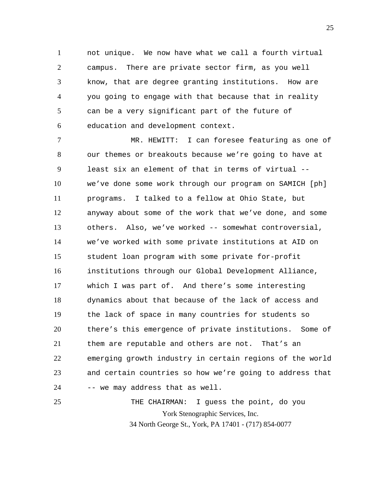1 2 3 4 5 6 not unique. We now have what we call a fourth virtual campus. There are private sector firm, as you well know, that are degree granting institutions. How are you going to engage with that because that in reality can be a very significant part of the future of education and development context.

7 8 9 10 11 12 13 14 15 16 17 18 19 20 21 22 23 24 25 MR. HEWITT: I can foresee featuring as one of our themes or breakouts because we're going to have at least six an element of that in terms of virtual - we've done some work through our program on SAMICH [ph] programs. I talked to a fellow at Ohio State, but anyway about some of the work that we've done, and some others. Also, we've worked -- somewhat controversial, we've worked with some private institutions at AID on student loan program with some private for-profit institutions through our Global Development Alliance, which I was part of. And there's some interesting dynamics about that because of the lack of access and the lack of space in many countries for students so there's this emergence of private institutions. Some of them are reputable and others are not. That's an emerging growth industry in certain regions of the world and certain countries so how we're going to address that -- we may address that as well.

York Stenographic Services, Inc. 34 North George St., York, PA 17401 - (717) 854-0077 THE CHAIRMAN: I guess the point, do you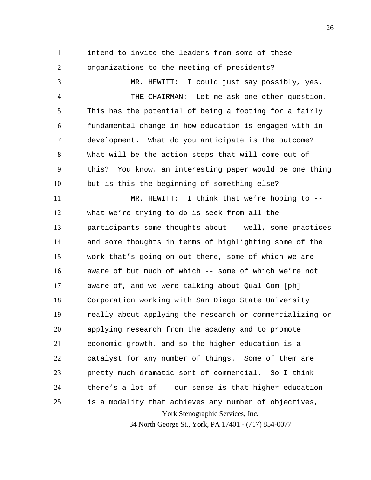1

2

intend to invite the leaders from some of these organizations to the meeting of presidents?

York Stenographic Services, Inc. 3 4 5 6 7 8 9 10 11 12 13 14 15 16 17 18 19 20 21 22 23 24 25 MR. HEWITT: I could just say possibly, yes. THE CHAIRMAN: Let me ask one other question. This has the potential of being a footing for a fairly fundamental change in how education is engaged with in development. What do you anticipate is the outcome? What will be the action steps that will come out of this? You know, an interesting paper would be one thing but is this the beginning of something else? MR. HEWITT: I think that we're hoping to  $-$ what we're trying to do is seek from all the participants some thoughts about -- well, some practices and some thoughts in terms of highlighting some of the work that's going on out there, some of which we are aware of but much of which -- some of which we're not aware of, and we were talking about Qual Com [ph] Corporation working with San Diego State University really about applying the research or commercializing or applying research from the academy and to promote economic growth, and so the higher education is a catalyst for any number of things. Some of them are pretty much dramatic sort of commercial. So I think there's a lot of -- our sense is that higher education is a modality that achieves any number of objectives,

34 North George St., York, PA 17401 - (717) 854-0077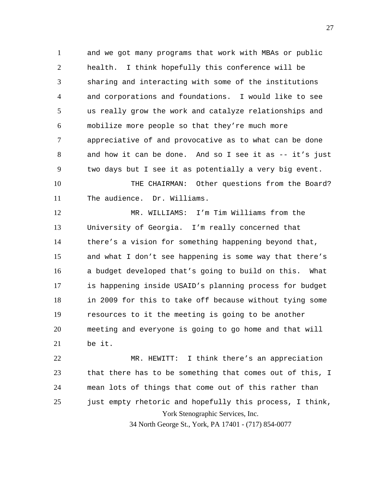1 2 3 4 5 6 7 8 9 and we got many programs that work with MBAs or public health. I think hopefully this conference will be sharing and interacting with some of the institutions and corporations and foundations. I would like to see us really grow the work and catalyze relationships and mobilize more people so that they're much more appreciative of and provocative as to what can be done and how it can be done. And so I see it as -- it's just two days but I see it as potentially a very big event.

10 11 THE CHAIRMAN: Other questions from the Board? The audience. Dr. Williams.

12 13 14 15 16 17 18 19 20 21 MR. WILLIAMS: I'm Tim Williams from the University of Georgia. I'm really concerned that there's a vision for something happening beyond that, and what I don't see happening is some way that there's a budget developed that's going to build on this. What is happening inside USAID's planning process for budget in 2009 for this to take off because without tying some resources to it the meeting is going to be another meeting and everyone is going to go home and that will be it.

York Stenographic Services, Inc. 22 23 24 25 MR. HEWITT: I think there's an appreciation that there has to be something that comes out of this, I mean lots of things that come out of this rather than just empty rhetoric and hopefully this process, I think,

34 North George St., York, PA 17401 - (717) 854-0077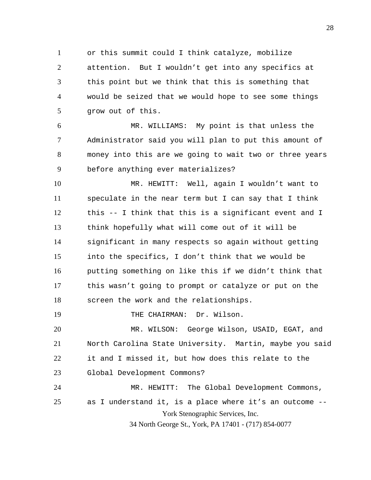1 2 3 4 5 or this summit could I think catalyze, mobilize attention. But I wouldn't get into any specifics at this point but we think that this is something that would be seized that we would hope to see some things grow out of this.

6 7 8 9 MR. WILLIAMS: My point is that unless the Administrator said you will plan to put this amount of money into this are we going to wait two or three years before anything ever materializes?

10 11 12 13 14 15 16 17 18 MR. HEWITT: Well, again I wouldn't want to speculate in the near term but I can say that I think this -- I think that this is a significant event and I think hopefully what will come out of it will be significant in many respects so again without getting into the specifics, I don't think that we would be putting something on like this if we didn't think that this wasn't going to prompt or catalyze or put on the screen the work and the relationships.

THE CHAIRMAN: Dr. Wilson.

19

York Stenographic Services, Inc. 20 21 22 23 24 25 MR. WILSON: George Wilson, USAID, EGAT, and North Carolina State University. Martin, maybe you said it and I missed it, but how does this relate to the Global Development Commons? MR. HEWITT: The Global Development Commons, as I understand it, is a place where it's an outcome --

34 North George St., York, PA 17401 - (717) 854-0077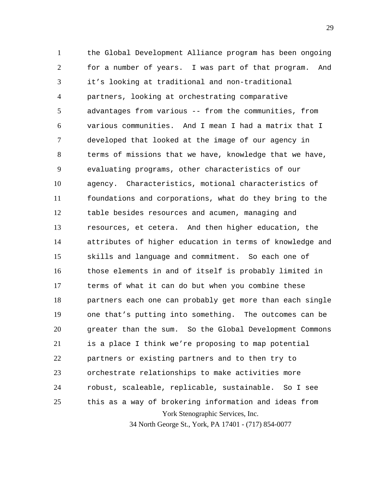York Stenographic Services, Inc. 1 2 3 4 5 6 7 8 9 10 11 12 13 14 15 16 17 18 19 20 21 22 23 24 25 the Global Development Alliance program has been ongoing for a number of years. I was part of that program. And it's looking at traditional and non-traditional partners, looking at orchestrating comparative advantages from various -- from the communities, from various communities. And I mean I had a matrix that I developed that looked at the image of our agency in terms of missions that we have, knowledge that we have, evaluating programs, other characteristics of our agency. Characteristics, motional characteristics of foundations and corporations, what do they bring to the table besides resources and acumen, managing and resources, et cetera. And then higher education, the attributes of higher education in terms of knowledge and skills and language and commitment. So each one of those elements in and of itself is probably limited in terms of what it can do but when you combine these partners each one can probably get more than each single one that's putting into something. The outcomes can be greater than the sum. So the Global Development Commons is a place I think we're proposing to map potential partners or existing partners and to then try to orchestrate relationships to make activities more robust, scaleable, replicable, sustainable. So I see this as a way of brokering information and ideas from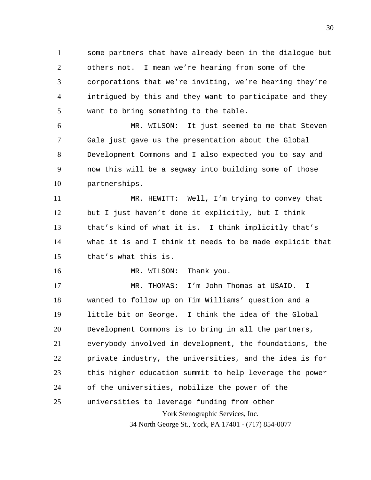1 2 3 4 5 some partners that have already been in the dialogue but others not. I mean we're hearing from some of the corporations that we're inviting, we're hearing they're intrigued by this and they want to participate and they want to bring something to the table.

6 7 8 9 10 MR. WILSON: It just seemed to me that Steven Gale just gave us the presentation about the Global Development Commons and I also expected you to say and now this will be a segway into building some of those partnerships.

11 12 13 14 15 MR. HEWITT: Well, I'm trying to convey that but I just haven't done it explicitly, but I think that's kind of what it is. I think implicitly that's what it is and I think it needs to be made explicit that that's what this is.

MR. WILSON: Thank you.

16

York Stenographic Services, Inc. 34 North George St., York, PA 17401 - (717) 854-0077 17 18 19 20 21 22 23 24 25 MR. THOMAS: I'm John Thomas at USAID. I wanted to follow up on Tim Williams' question and a little bit on George. I think the idea of the Global Development Commons is to bring in all the partners, everybody involved in development, the foundations, the private industry, the universities, and the idea is for this higher education summit to help leverage the power of the universities, mobilize the power of the universities to leverage funding from other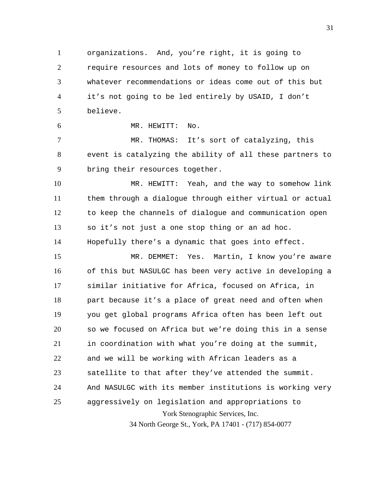1 2 3 4 5 organizations. And, you're right, it is going to require resources and lots of money to follow up on whatever recommendations or ideas come out of this but it's not going to be led entirely by USAID, I don't believe.

MR. HEWITT: No.

6

7 8 9 MR. THOMAS: It's sort of catalyzing, this event is catalyzing the ability of all these partners to bring their resources together.

10 11 12 13 14 MR. HEWITT: Yeah, and the way to somehow link them through a dialogue through either virtual or actual to keep the channels of dialogue and communication open so it's not just a one stop thing or an ad hoc. Hopefully there's a dynamic that goes into effect.

York Stenographic Services, Inc. 15 16 17 18 19 20 21 22 23 24 25 MR. DEMMET: Yes. Martin, I know you're aware of this but NASULGC has been very active in developing a similar initiative for Africa, focused on Africa, in part because it's a place of great need and often when you get global programs Africa often has been left out so we focused on Africa but we're doing this in a sense in coordination with what you're doing at the summit, and we will be working with African leaders as a satellite to that after they've attended the summit. And NASULGC with its member institutions is working very aggressively on legislation and appropriations to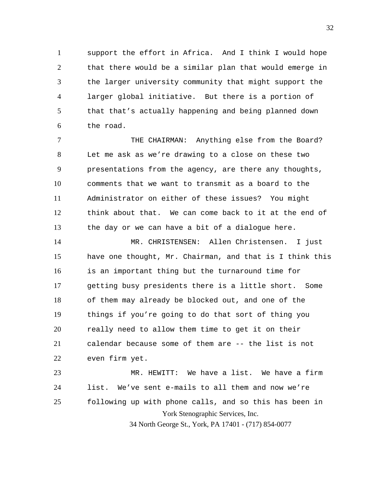1 2 3 4 5 6 support the effort in Africa. And I think I would hope that there would be a similar plan that would emerge in the larger university community that might support the larger global initiative. But there is a portion of that that's actually happening and being planned down the road.

7 8 9 10 11 12 13 THE CHAIRMAN: Anything else from the Board? Let me ask as we're drawing to a close on these two presentations from the agency, are there any thoughts, comments that we want to transmit as a board to the Administrator on either of these issues? You might think about that. We can come back to it at the end of the day or we can have a bit of a dialogue here.

14 15 16 17 18 19 20 21 22 MR. CHRISTENSEN: Allen Christensen. I just have one thought, Mr. Chairman, and that is I think this is an important thing but the turnaround time for getting busy presidents there is a little short. Some of them may already be blocked out, and one of the things if you're going to do that sort of thing you really need to allow them time to get it on their calendar because some of them are -- the list is not even firm yet.

York Stenographic Services, Inc. 23 24 25 MR. HEWITT: We have a list. We have a firm list. We've sent e-mails to all them and now we're following up with phone calls, and so this has been in

34 North George St., York, PA 17401 - (717) 854-0077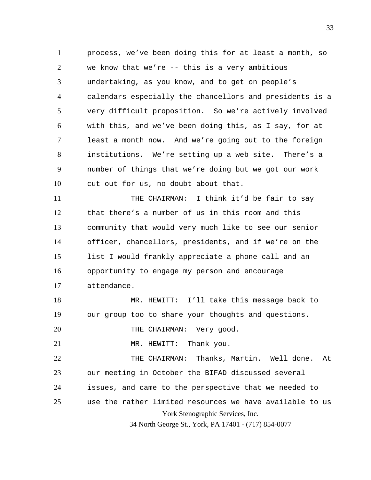1 2 3 4 5 6 7 8 9 10 process, we've been doing this for at least a month, so we know that we're -- this is a very ambitious undertaking, as you know, and to get on people's calendars especially the chancellors and presidents is a very difficult proposition. So we're actively involved with this, and we've been doing this, as I say, for at least a month now. And we're going out to the foreign institutions. We're setting up a web site. There's a number of things that we're doing but we got our work cut out for us, no doubt about that.

11 12 13 14 15 16 17 THE CHAIRMAN: I think it'd be fair to say that there's a number of us in this room and this community that would very much like to see our senior officer, chancellors, presidents, and if we're on the list I would frankly appreciate a phone call and an opportunity to engage my person and encourage attendance.

18 19 MR. HEWITT: I'll take this message back to our group too to share your thoughts and questions.

20 THE CHAIRMAN: Very good.

21 MR. HEWITT: Thank you.

York Stenographic Services, Inc. 22 23 24 25 THE CHAIRMAN: Thanks, Martin. Well done. At our meeting in October the BIFAD discussed several issues, and came to the perspective that we needed to use the rather limited resources we have available to us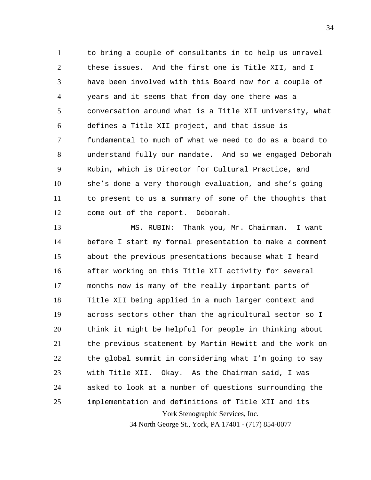1 2 3 4 5 6 7 8 9 10 11 12 to bring a couple of consultants in to help us unravel these issues. And the first one is Title XII, and I have been involved with this Board now for a couple of years and it seems that from day one there was a conversation around what is a Title XII university, what defines a Title XII project, and that issue is fundamental to much of what we need to do as a board to understand fully our mandate. And so we engaged Deborah Rubin, which is Director for Cultural Practice, and she's done a very thorough evaluation, and she's going to present to us a summary of some of the thoughts that come out of the report. Deborah.

York Stenographic Services, Inc. 13 14 15 16 17 18 19 20 21 22 23 24 25 MS. RUBIN: Thank you, Mr. Chairman. I want before I start my formal presentation to make a comment about the previous presentations because what I heard after working on this Title XII activity for several months now is many of the really important parts of Title XII being applied in a much larger context and across sectors other than the agricultural sector so I think it might be helpful for people in thinking about the previous statement by Martin Hewitt and the work on the global summit in considering what I'm going to say with Title XII. Okay. As the Chairman said, I was asked to look at a number of questions surrounding the implementation and definitions of Title XII and its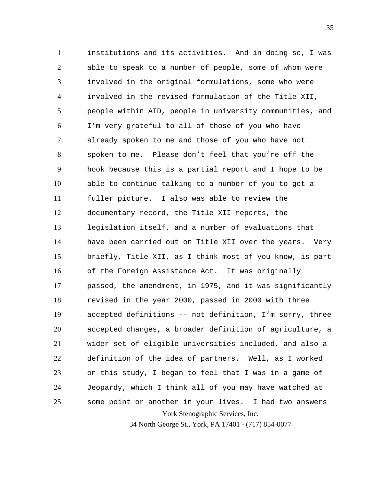York Stenographic Services, Inc. 1 2 3 4 5 6 7 8 9 10 11 12 13 14 15 16 17 18 19 20 21 22 23 24 25 institutions and its activities. And in doing so, I was able to speak to a number of people, some of whom were involved in the original formulations, some who were involved in the revised formulation of the Title XII, people within AID, people in university communities, and I'm very grateful to all of those of you who have already spoken to me and those of you who have not spoken to me. Please don't feel that you're off the hook because this is a partial report and I hope to be able to continue talking to a number of you to get a fuller picture. I also was able to review the documentary record, the Title XII reports, the legislation itself, and a number of evaluations that have been carried out on Title XII over the years. Very briefly, Title XII, as I think most of you know, is part of the Foreign Assistance Act. It was originally passed, the amendment, in 1975, and it was significantly revised in the year 2000, passed in 2000 with three accepted definitions -- not definition, I'm sorry, three accepted changes, a broader definition of agriculture, a wider set of eligible universities included, and also a definition of the idea of partners. Well, as I worked on this study, I began to feel that I was in a game of Jeopardy, which I think all of you may have watched at some point or another in your lives. I had two answers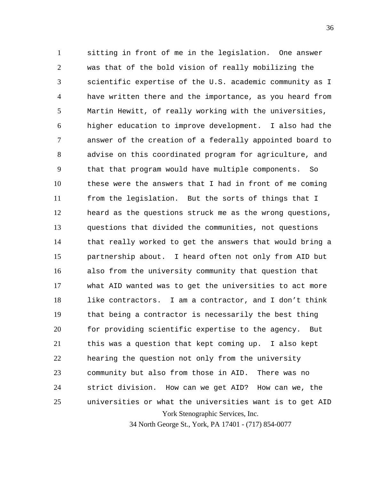York Stenographic Services, Inc. 1 2 3 4 5 6 7 8 9 10 11 12 13 14 15 16 17 18 19 20 21 22 23 24 25 sitting in front of me in the legislation. One answer was that of the bold vision of really mobilizing the scientific expertise of the U.S. academic community as I have written there and the importance, as you heard from Martin Hewitt, of really working with the universities, higher education to improve development. I also had the answer of the creation of a federally appointed board to advise on this coordinated program for agriculture, and that that program would have multiple components. So these were the answers that I had in front of me coming from the legislation. But the sorts of things that I heard as the questions struck me as the wrong questions, questions that divided the communities, not questions that really worked to get the answers that would bring a partnership about. I heard often not only from AID but also from the university community that question that what AID wanted was to get the universities to act more like contractors. I am a contractor, and I don't think that being a contractor is necessarily the best thing for providing scientific expertise to the agency. But this was a question that kept coming up. I also kept hearing the question not only from the university community but also from those in AID. There was no strict division. How can we get AID? How can we, the universities or what the universities want is to get AID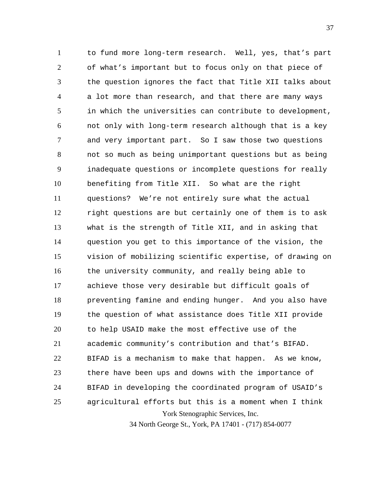York Stenographic Services, Inc. 1 2 3 4 5 6 7 8 9 10 11 12 13 14 15 16 17 18 19 20 21 22 23 24 25 to fund more long-term research. Well, yes, that's part of what's important but to focus only on that piece of the question ignores the fact that Title XII talks about a lot more than research, and that there are many ways in which the universities can contribute to development, not only with long-term research although that is a key and very important part. So I saw those two questions not so much as being unimportant questions but as being inadequate questions or incomplete questions for really benefiting from Title XII. So what are the right questions? We're not entirely sure what the actual right questions are but certainly one of them is to ask what is the strength of Title XII, and in asking that question you get to this importance of the vision, the vision of mobilizing scientific expertise, of drawing on the university community, and really being able to achieve those very desirable but difficult goals of preventing famine and ending hunger. And you also have the question of what assistance does Title XII provide to help USAID make the most effective use of the academic community's contribution and that's BIFAD. BIFAD is a mechanism to make that happen. As we know, there have been ups and downs with the importance of BIFAD in developing the coordinated program of USAID's agricultural efforts but this is a moment when I think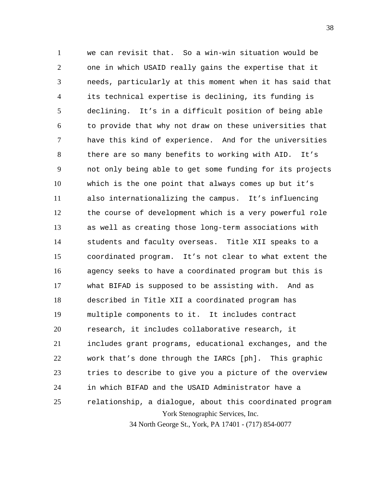York Stenographic Services, Inc. 1 2 3 4 5 6 7 8 9 10 11 12 13 14 15 16 17 18 19 20 21 22 23 24 25 we can revisit that. So a win-win situation would be one in which USAID really gains the expertise that it needs, particularly at this moment when it has said that its technical expertise is declining, its funding is declining. It's in a difficult position of being able to provide that why not draw on these universities that have this kind of experience. And for the universities there are so many benefits to working with AID. It's not only being able to get some funding for its projects which is the one point that always comes up but it's also internationalizing the campus. It's influencing the course of development which is a very powerful role as well as creating those long-term associations with students and faculty overseas. Title XII speaks to a coordinated program. It's not clear to what extent the agency seeks to have a coordinated program but this is what BIFAD is supposed to be assisting with. And as described in Title XII a coordinated program has multiple components to it. It includes contract research, it includes collaborative research, it includes grant programs, educational exchanges, and the work that's done through the IARCs [ph]. This graphic tries to describe to give you a picture of the overview in which BIFAD and the USAID Administrator have a relationship, a dialogue, about this coordinated program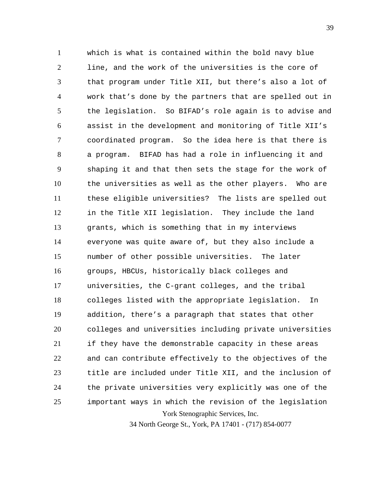York Stenographic Services, Inc. 1 2 3 4 5 6 7 8 9 10 11 12 13 14 15 16 17 18 19 20 21 22 23 24 25 which is what is contained within the bold navy blue line, and the work of the universities is the core of that program under Title XII, but there's also a lot of work that's done by the partners that are spelled out in the legislation. So BIFAD's role again is to advise and assist in the development and monitoring of Title XII's coordinated program. So the idea here is that there is a program. BIFAD has had a role in influencing it and shaping it and that then sets the stage for the work of the universities as well as the other players. Who are these eligible universities? The lists are spelled out in the Title XII legislation. They include the land grants, which is something that in my interviews everyone was quite aware of, but they also include a number of other possible universities. The later groups, HBCUs, historically black colleges and universities, the C-grant colleges, and the tribal colleges listed with the appropriate legislation. In addition, there's a paragraph that states that other colleges and universities including private universities if they have the demonstrable capacity in these areas and can contribute effectively to the objectives of the title are included under Title XII, and the inclusion of the private universities very explicitly was one of the important ways in which the revision of the legislation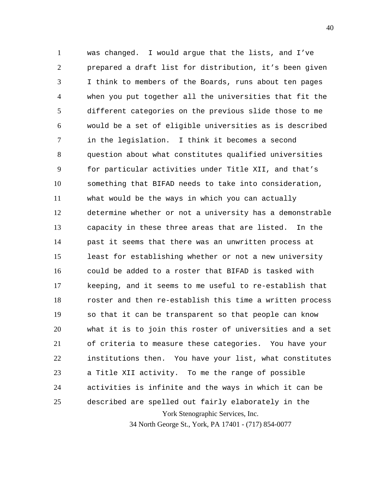York Stenographic Services, Inc. 1 2 3 4 5 6 7 8 9 10 11 12 13 14 15 16 17 18 19 20 21 22 23 24 25 was changed. I would argue that the lists, and I've prepared a draft list for distribution, it's been given I think to members of the Boards, runs about ten pages when you put together all the universities that fit the different categories on the previous slide those to me would be a set of eligible universities as is described in the legislation. I think it becomes a second question about what constitutes qualified universities for particular activities under Title XII, and that's something that BIFAD needs to take into consideration, what would be the ways in which you can actually determine whether or not a university has a demonstrable capacity in these three areas that are listed. In the past it seems that there was an unwritten process at least for establishing whether or not a new university could be added to a roster that BIFAD is tasked with keeping, and it seems to me useful to re-establish that roster and then re-establish this time a written process so that it can be transparent so that people can know what it is to join this roster of universities and a set of criteria to measure these categories. You have your institutions then. You have your list, what constitutes a Title XII activity. To me the range of possible activities is infinite and the ways in which it can be described are spelled out fairly elaborately in the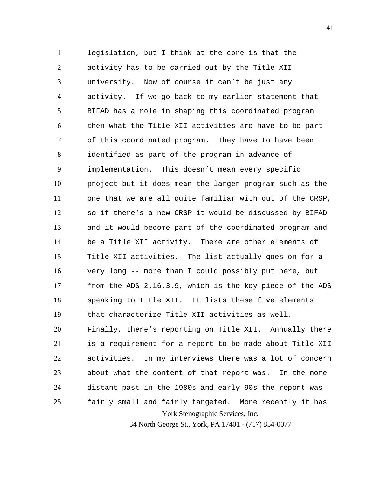York Stenographic Services, Inc. 1 2 3 4 5 6 7 8 9 10 11 12 13 14 15 16 17 18 19 20 21 22 23 24 25 legislation, but I think at the core is that the activity has to be carried out by the Title XII university. Now of course it can't be just any activity. If we go back to my earlier statement that BIFAD has a role in shaping this coordinated program then what the Title XII activities are have to be part of this coordinated program. They have to have been identified as part of the program in advance of implementation. This doesn't mean every specific project but it does mean the larger program such as the one that we are all quite familiar with out of the CRSP, so if there's a new CRSP it would be discussed by BIFAD and it would become part of the coordinated program and be a Title XII activity. There are other elements of Title XII activities. The list actually goes on for a very long -- more than I could possibly put here, but from the ADS 2.16.3.9, which is the key piece of the ADS speaking to Title XII. It lists these five elements that characterize Title XII activities as well. Finally, there's reporting on Title XII. Annually there is a requirement for a report to be made about Title XII activities. In my interviews there was a lot of concern about what the content of that report was. In the more distant past in the 1980s and early 90s the report was fairly small and fairly targeted. More recently it has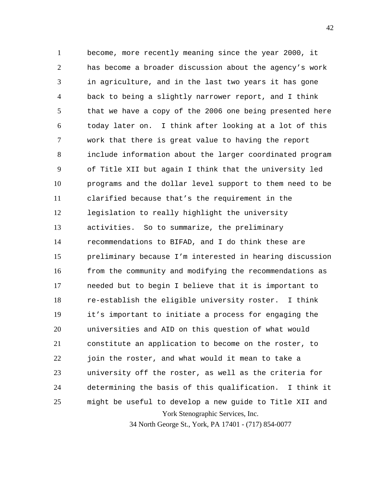York Stenographic Services, Inc. 1 2 3 4 5 6 7 8 9 10 11 12 13 14 15 16 17 18 19 20 21 22 23 24 25 become, more recently meaning since the year 2000, it has become a broader discussion about the agency's work in agriculture, and in the last two years it has gone back to being a slightly narrower report, and I think that we have a copy of the 2006 one being presented here today later on. I think after looking at a lot of this work that there is great value to having the report include information about the larger coordinated program of Title XII but again I think that the university led programs and the dollar level support to them need to be clarified because that's the requirement in the legislation to really highlight the university activities. So to summarize, the preliminary recommendations to BIFAD, and I do think these are preliminary because I'm interested in hearing discussion from the community and modifying the recommendations as needed but to begin I believe that it is important to re-establish the eligible university roster. I think it's important to initiate a process for engaging the universities and AID on this question of what would constitute an application to become on the roster, to join the roster, and what would it mean to take a university off the roster, as well as the criteria for determining the basis of this qualification. I think it might be useful to develop a new guide to Title XII and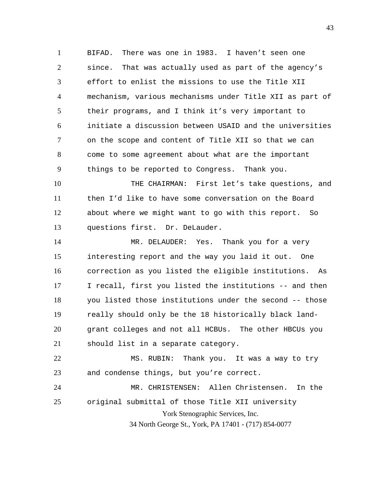1 2 3 4 5 6 7 8 9 BIFAD. There was one in 1983. I haven't seen one since. That was actually used as part of the agency's effort to enlist the missions to use the Title XII mechanism, various mechanisms under Title XII as part of their programs, and I think it's very important to initiate a discussion between USAID and the universities on the scope and content of Title XII so that we can come to some agreement about what are the important things to be reported to Congress. Thank you.

10 11 12 13 THE CHAIRMAN: First let's take questions, and then I'd like to have some conversation on the Board about where we might want to go with this report. So questions first. Dr. DeLauder.

14 15 16 17 18 19 20 21 MR. DELAUDER: Yes. Thank you for a very interesting report and the way you laid it out. One correction as you listed the eligible institutions. As I recall, first you listed the institutions -- and then you listed those institutions under the second -- those really should only be the 18 historically black landgrant colleges and not all HCBUs. The other HBCUs you should list in a separate category.

22 23 MS. RUBIN: Thank you. It was a way to try and condense things, but you're correct.

York Stenographic Services, Inc. 34 North George St., York, PA 17401 - (717) 854-0077 24 25 MR. CHRISTENSEN: Allen Christensen. In the original submittal of those Title XII university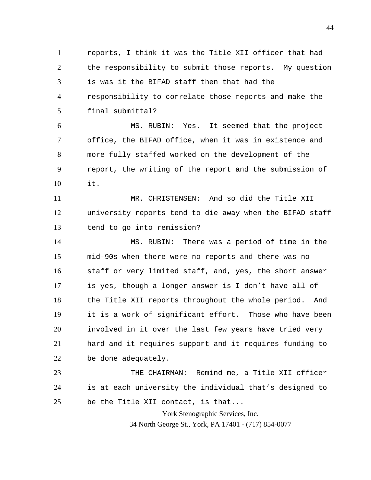1 2 3 4 5 reports, I think it was the Title XII officer that had the responsibility to submit those reports. My question is was it the BIFAD staff then that had the responsibility to correlate those reports and make the final submittal?

6 7 8 9 10 MS. RUBIN: Yes. It seemed that the project office, the BIFAD office, when it was in existence and more fully staffed worked on the development of the report, the writing of the report and the submission of it.

11 12 13 MR. CHRISTENSEN: And so did the Title XII university reports tend to die away when the BIFAD staff tend to go into remission?

14 15 16 17 18 19 20 21 22 MS. RUBIN: There was a period of time in the mid-90s when there were no reports and there was no staff or very limited staff, and, yes, the short answer is yes, though a longer answer is I don't have all of the Title XII reports throughout the whole period. And it is a work of significant effort. Those who have been involved in it over the last few years have tried very hard and it requires support and it requires funding to be done adequately.

23 24 25 THE CHAIRMAN: Remind me, a Title XII officer is at each university the individual that's designed to be the Title XII contact, is that...

York Stenographic Services, Inc.

34 North George St., York, PA 17401 - (717) 854-0077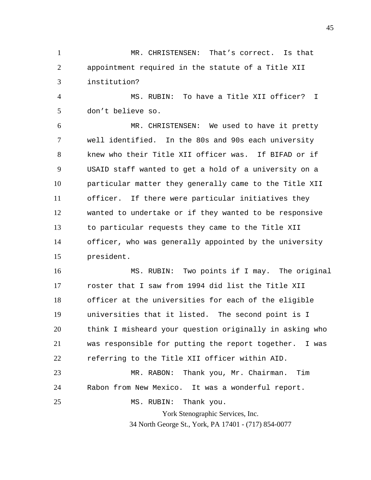1 2 3 MR. CHRISTENSEN: That's correct. Is that appointment required in the statute of a Title XII institution?

4 5 MS. RUBIN: To have a Title XII officer? I don't believe so.

6 7 8 9 10 11 12 13 14 15 MR. CHRISTENSEN: We used to have it pretty well identified. In the 80s and 90s each university knew who their Title XII officer was. If BIFAD or if USAID staff wanted to get a hold of a university on a particular matter they generally came to the Title XII officer. If there were particular initiatives they wanted to undertake or if they wanted to be responsive to particular requests they came to the Title XII officer, who was generally appointed by the university president.

16 17 18 19 20 21 22 MS. RUBIN: Two points if I may. The original roster that I saw from 1994 did list the Title XII officer at the universities for each of the eligible universities that it listed. The second point is I think I misheard your question originally in asking who was responsible for putting the report together. I was referring to the Title XII officer within AID.

23 24 25 MR. RABON: Thank you, Mr. Chairman. Tim Rabon from New Mexico. It was a wonderful report. MS. RUBIN: Thank you.

> York Stenographic Services, Inc. 34 North George St., York, PA 17401 - (717) 854-0077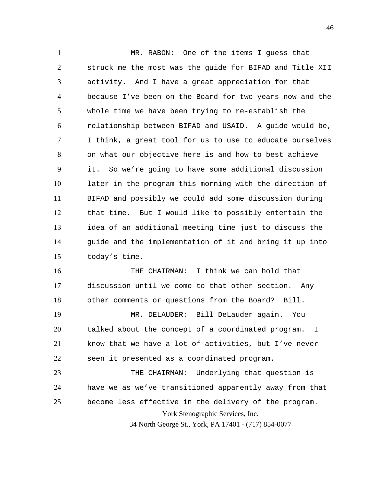1 2 3 4 5 6 7 8 9 10 11 12 13 14 15 MR. RABON: One of the items I guess that struck me the most was the guide for BIFAD and Title XII activity. And I have a great appreciation for that because I've been on the Board for two years now and the whole time we have been trying to re-establish the relationship between BIFAD and USAID. A guide would be, I think, a great tool for us to use to educate ourselves on what our objective here is and how to best achieve it. So we're going to have some additional discussion later in the program this morning with the direction of BIFAD and possibly we could add some discussion during that time. But I would like to possibly entertain the idea of an additional meeting time just to discuss the guide and the implementation of it and bring it up into today's time.

16 17 18 THE CHAIRMAN: I think we can hold that discussion until we come to that other section. Any other comments or questions from the Board? Bill.

19 20 21 22 MR. DELAUDER: Bill DeLauder again. You talked about the concept of a coordinated program. I know that we have a lot of activities, but I've never seen it presented as a coordinated program.

York Stenographic Services, Inc. 23 24 25 THE CHAIRMAN: Underlying that question is have we as we've transitioned apparently away from that become less effective in the delivery of the program.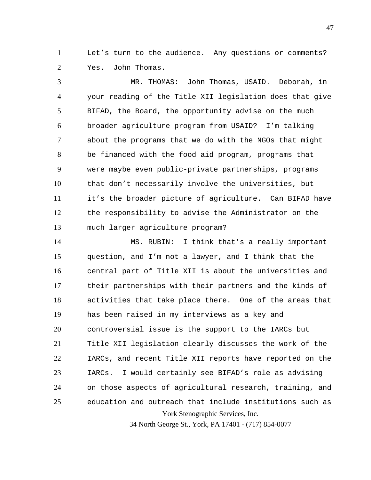1 2 Let's turn to the audience. Any questions or comments? Yes. John Thomas.

3 4 5 6 7 8 9 10 11 12 13 MR. THOMAS: John Thomas, USAID. Deborah, in your reading of the Title XII legislation does that give BIFAD, the Board, the opportunity advise on the much broader agriculture program from USAID? I'm talking about the programs that we do with the NGOs that might be financed with the food aid program, programs that were maybe even public-private partnerships, programs that don't necessarily involve the universities, but it's the broader picture of agriculture. Can BIFAD have the responsibility to advise the Administrator on the much larger agriculture program?

York Stenographic Services, Inc. 14 15 16 17 18 19 20 21 22 23 24 25 MS. RUBIN: I think that's a really important question, and I'm not a lawyer, and I think that the central part of Title XII is about the universities and their partnerships with their partners and the kinds of activities that take place there. One of the areas that has been raised in my interviews as a key and controversial issue is the support to the IARCs but Title XII legislation clearly discusses the work of the IARCs, and recent Title XII reports have reported on the IARCs. I would certainly see BIFAD's role as advising on those aspects of agricultural research, training, and education and outreach that include institutions such as

34 North George St., York, PA 17401 - (717) 854-0077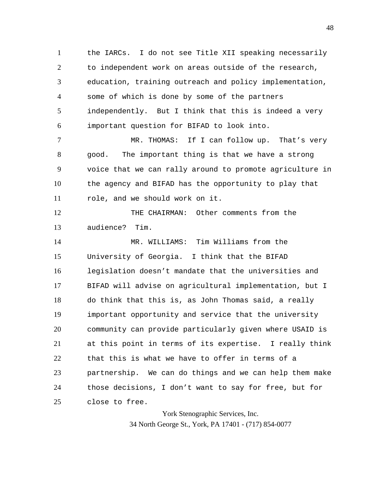1 2 3 4 5 6 the IARCs. I do not see Title XII speaking necessarily to independent work on areas outside of the research, education, training outreach and policy implementation, some of which is done by some of the partners independently. But I think that this is indeed a very important question for BIFAD to look into.

7 8 9 10 11 MR. THOMAS: If I can follow up. That's very good. The important thing is that we have a strong voice that we can rally around to promote agriculture in the agency and BIFAD has the opportunity to play that role, and we should work on it.

12 13 THE CHAIRMAN: Other comments from the audience? Tim.

14 15 16 17 18 19 20 21 22 23 24 25 MR. WILLIAMS: Tim Williams from the University of Georgia. I think that the BIFAD legislation doesn't mandate that the universities and BIFAD will advise on agricultural implementation, but I do think that this is, as John Thomas said, a really important opportunity and service that the university community can provide particularly given where USAID is at this point in terms of its expertise. I really think that this is what we have to offer in terms of a partnership. We can do things and we can help them make those decisions, I don't want to say for free, but for close to free.

> York Stenographic Services, Inc. 34 North George St., York, PA 17401 - (717) 854-0077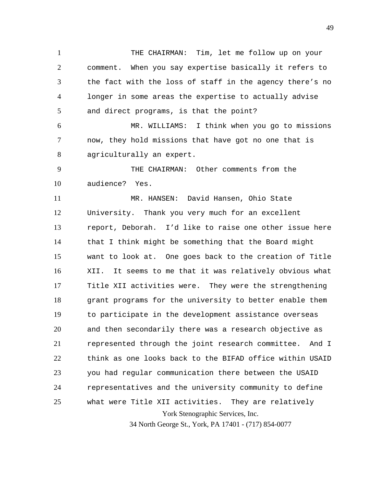1 2 3 4 5 THE CHAIRMAN: Tim, let me follow up on your comment. When you say expertise basically it refers to the fact with the loss of staff in the agency there's no longer in some areas the expertise to actually advise and direct programs, is that the point?

6 7 8 MR. WILLIAMS: I think when you go to missions now, they hold missions that have got no one that is agriculturally an expert.

9 10 THE CHAIRMAN: Other comments from the audience? Yes.

York Stenographic Services, Inc. 11 12 13 14 15 16 17 18 19 20 21 22 23 24 25 MR. HANSEN: David Hansen, Ohio State University. Thank you very much for an excellent report, Deborah. I'd like to raise one other issue here that I think might be something that the Board might want to look at. One goes back to the creation of Title XII. It seems to me that it was relatively obvious what Title XII activities were. They were the strengthening grant programs for the university to better enable them to participate in the development assistance overseas and then secondarily there was a research objective as represented through the joint research committee. And I think as one looks back to the BIFAD office within USAID you had regular communication there between the USAID representatives and the university community to define what were Title XII activities. They are relatively

34 North George St., York, PA 17401 - (717) 854-0077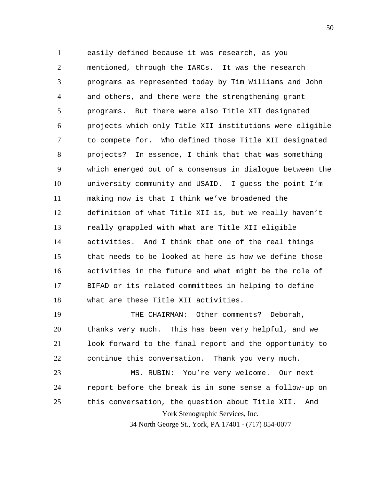1 2 3 4 5 6 7 8 9 10 11 12 13 14 15 16 17 18 easily defined because it was research, as you mentioned, through the IARCs. It was the research programs as represented today by Tim Williams and John and others, and there were the strengthening grant programs. But there were also Title XII designated projects which only Title XII institutions were eligible to compete for. Who defined those Title XII designated projects? In essence, I think that that was something which emerged out of a consensus in dialogue between the university community and USAID. I guess the point I'm making now is that I think we've broadened the definition of what Title XII is, but we really haven't really grappled with what are Title XII eligible activities. And I think that one of the real things that needs to be looked at here is how we define those activities in the future and what might be the role of BIFAD or its related committees in helping to define what are these Title XII activities.

York Stenographic Services, Inc. 34 North George St., York, PA 17401 - (717) 854-0077 19 20 21 22 23 24 25 THE CHAIRMAN: Other comments? Deborah, thanks very much. This has been very helpful, and we look forward to the final report and the opportunity to continue this conversation. Thank you very much. MS. RUBIN: You're very welcome. Our next report before the break is in some sense a follow-up on this conversation, the question about Title XII. And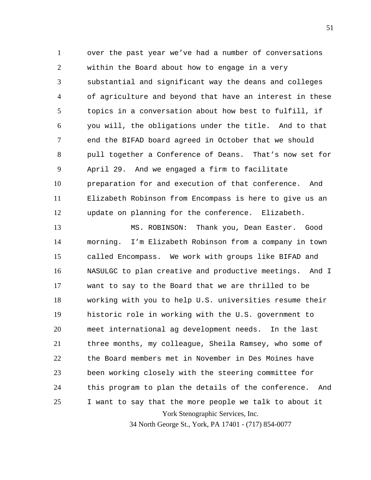1 2 3 4 5 6 7 8 9 10 11 12 over the past year we've had a number of conversations within the Board about how to engage in a very substantial and significant way the deans and colleges of agriculture and beyond that have an interest in these topics in a conversation about how best to fulfill, if you will, the obligations under the title. And to that end the BIFAD board agreed in October that we should pull together a Conference of Deans. That's now set for April 29. And we engaged a firm to facilitate preparation for and execution of that conference. And Elizabeth Robinson from Encompass is here to give us an update on planning for the conference. Elizabeth.

York Stenographic Services, Inc. 13 14 15 16 17 18 19 20 21 22 23 24 25 MS. ROBINSON: Thank you, Dean Easter. Good morning. I'm Elizabeth Robinson from a company in town called Encompass. We work with groups like BIFAD and NASULGC to plan creative and productive meetings. And I want to say to the Board that we are thrilled to be working with you to help U.S. universities resume their historic role in working with the U.S. government to meet international ag development needs. In the last three months, my colleague, Sheila Ramsey, who some of the Board members met in November in Des Moines have been working closely with the steering committee for this program to plan the details of the conference. And I want to say that the more people we talk to about it

34 North George St., York, PA 17401 - (717) 854-0077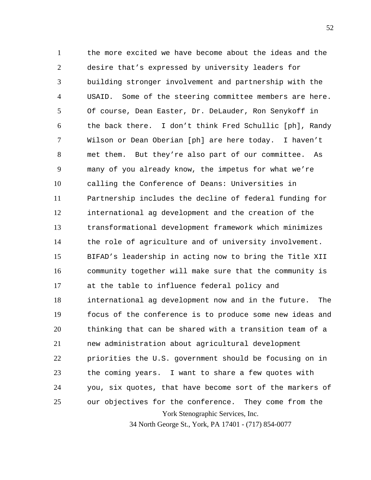York Stenographic Services, Inc. 1 2 3 4 5 6 7 8 9 10 11 12 13 14 15 16 17 18 19 20 21 22 23 24 25 the more excited we have become about the ideas and the desire that's expressed by university leaders for building stronger involvement and partnership with the USAID. Some of the steering committee members are here. Of course, Dean Easter, Dr. DeLauder, Ron Senykoff in the back there. I don't think Fred Schullic [ph], Randy Wilson or Dean Oberian [ph] are here today. I haven't met them. But they're also part of our committee. As many of you already know, the impetus for what we're calling the Conference of Deans: Universities in Partnership includes the decline of federal funding for international ag development and the creation of the transformational development framework which minimizes the role of agriculture and of university involvement. BIFAD's leadership in acting now to bring the Title XII community together will make sure that the community is at the table to influence federal policy and international ag development now and in the future. The focus of the conference is to produce some new ideas and thinking that can be shared with a transition team of a new administration about agricultural development priorities the U.S. government should be focusing on in the coming years. I want to share a few quotes with you, six quotes, that have become sort of the markers of our objectives for the conference. They come from the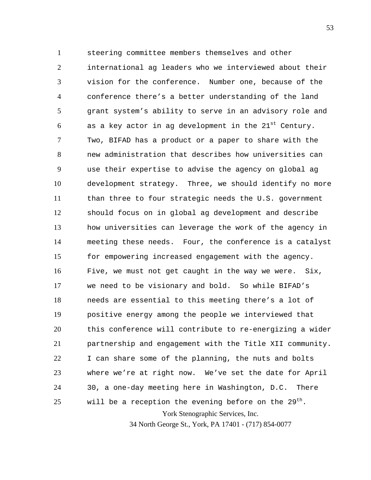York Stenographic Services, Inc. 1 2 3 4 5 6 7 8 9 10 11 12 13 14 15 16 17 18 19 20 21 22 23 24 25 steering committee members themselves and other international ag leaders who we interviewed about their vision for the conference. Number one, because of the conference there's a better understanding of the land grant system's ability to serve in an advisory role and as a key actor in ag development in the  $21^{st}$  Century. Two, BIFAD has a product or a paper to share with the new administration that describes how universities can use their expertise to advise the agency on global ag development strategy. Three, we should identify no more than three to four strategic needs the U.S. government should focus on in global ag development and describe how universities can leverage the work of the agency in meeting these needs. Four, the conference is a catalyst for empowering increased engagement with the agency. Five, we must not get caught in the way we were. Six, we need to be visionary and bold. So while BIFAD's needs are essential to this meeting there's a lot of positive energy among the people we interviewed that this conference will contribute to re-energizing a wider partnership and engagement with the Title XII community. I can share some of the planning, the nuts and bolts where we're at right now. We've set the date for April 30, a one-day meeting here in Washington, D.C. There will be a reception the evening before on the  $29^{th}$ .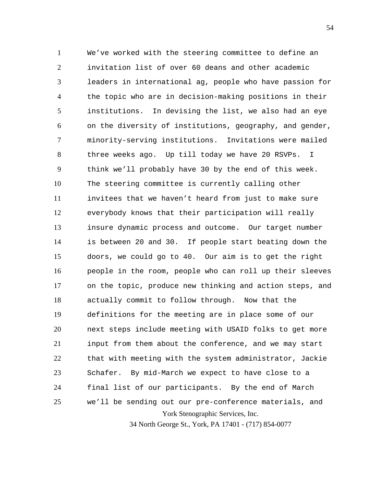York Stenographic Services, Inc. 1 2 3 4 5 6 7 8 9 10 11 12 13 14 15 16 17 18 19 20 21 22 23 24 25 We've worked with the steering committee to define an invitation list of over 60 deans and other academic leaders in international ag, people who have passion for the topic who are in decision-making positions in their institutions. In devising the list, we also had an eye on the diversity of institutions, geography, and gender, minority-serving institutions. Invitations were mailed three weeks ago. Up till today we have 20 RSVPs. I think we'll probably have 30 by the end of this week. The steering committee is currently calling other invitees that we haven't heard from just to make sure everybody knows that their participation will really insure dynamic process and outcome. Our target number is between 20 and 30. If people start beating down the doors, we could go to 40. Our aim is to get the right people in the room, people who can roll up their sleeves on the topic, produce new thinking and action steps, and actually commit to follow through. Now that the definitions for the meeting are in place some of our next steps include meeting with USAID folks to get more input from them about the conference, and we may start that with meeting with the system administrator, Jackie Schafer. By mid-March we expect to have close to a final list of our participants. By the end of March we'll be sending out our pre-conference materials, and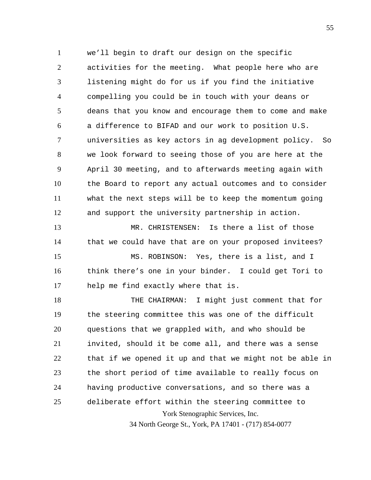1 2 3 4 5 6 7 8 9 10 11 12 we'll begin to draft our design on the specific activities for the meeting. What people here who are listening might do for us if you find the initiative compelling you could be in touch with your deans or deans that you know and encourage them to come and make a difference to BIFAD and our work to position U.S. universities as key actors in ag development policy. So we look forward to seeing those of you are here at the April 30 meeting, and to afterwards meeting again with the Board to report any actual outcomes and to consider what the next steps will be to keep the momentum going and support the university partnership in action.

13 14 MR. CHRISTENSEN: Is there a list of those that we could have that are on your proposed invitees?

15 16 17 MS. ROBINSON: Yes, there is a list, and I think there's one in your binder. I could get Tori to help me find exactly where that is.

York Stenographic Services, Inc. 18 19 20 21 22 23 24 25 THE CHAIRMAN: I might just comment that for the steering committee this was one of the difficult questions that we grappled with, and who should be invited, should it be come all, and there was a sense that if we opened it up and that we might not be able in the short period of time available to really focus on having productive conversations, and so there was a deliberate effort within the steering committee to

34 North George St., York, PA 17401 - (717) 854-0077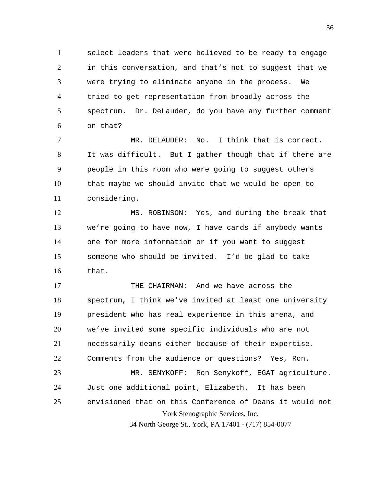1 2 3 4 5 6 select leaders that were believed to be ready to engage in this conversation, and that's not to suggest that we were trying to eliminate anyone in the process. We tried to get representation from broadly across the spectrum. Dr. DeLauder, do you have any further comment on that?

7 8 9 10 11 MR. DELAUDER: No. I think that is correct. It was difficult. But I gather though that if there are people in this room who were going to suggest others that maybe we should invite that we would be open to considering.

12 13 14 15 16 MS. ROBINSON: Yes, and during the break that we're going to have now, I have cards if anybody wants one for more information or if you want to suggest someone who should be invited. I'd be glad to take that.

York Stenographic Services, Inc. 34 North George St., York, PA 17401 - (717) 854-0077 17 18 19 20 21 22 23 24 25 THE CHAIRMAN: And we have across the spectrum, I think we've invited at least one university president who has real experience in this arena, and we've invited some specific individuals who are not necessarily deans either because of their expertise. Comments from the audience or questions? Yes, Ron. MR. SENYKOFF: Ron Senykoff, EGAT agriculture. Just one additional point, Elizabeth. It has been envisioned that on this Conference of Deans it would not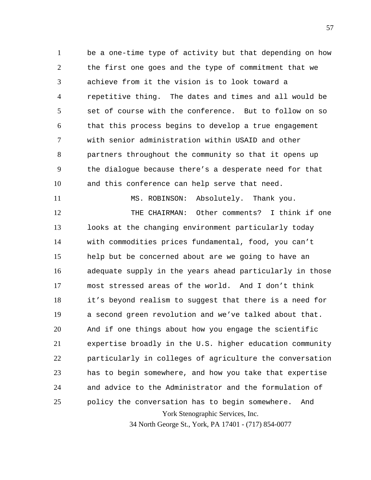1 2 3 4 5 6 7 8 9 10 be a one-time type of activity but that depending on how the first one goes and the type of commitment that we achieve from it the vision is to look toward a repetitive thing. The dates and times and all would be set of course with the conference. But to follow on so that this process begins to develop a true engagement with senior administration within USAID and other partners throughout the community so that it opens up the dialogue because there's a desperate need for that and this conference can help serve that need.

11

York Stenographic Services, Inc. 12 13 14 15 16 17 18 19 20 21 22 23 24 25 MS. ROBINSON: Absolutely. Thank you. THE CHAIRMAN: Other comments? I think if one looks at the changing environment particularly today with commodities prices fundamental, food, you can't help but be concerned about are we going to have an adequate supply in the years ahead particularly in those most stressed areas of the world. And I don't think it's beyond realism to suggest that there is a need for a second green revolution and we've talked about that. And if one things about how you engage the scientific expertise broadly in the U.S. higher education community particularly in colleges of agriculture the conversation has to begin somewhere, and how you take that expertise and advice to the Administrator and the formulation of policy the conversation has to begin somewhere. And

34 North George St., York, PA 17401 - (717) 854-0077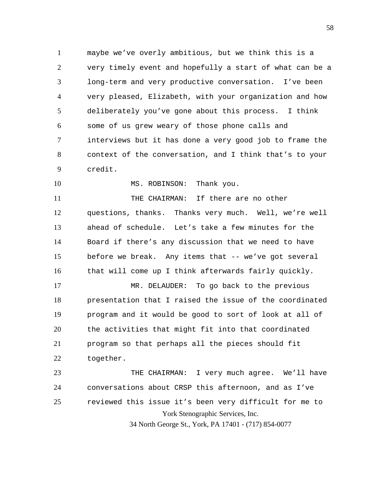1 2 3 4 5 6 7 8 9 maybe we've overly ambitious, but we think this is a very timely event and hopefully a start of what can be a long-term and very productive conversation. I've been very pleased, Elizabeth, with your organization and how deliberately you've gone about this process. I think some of us grew weary of those phone calls and interviews but it has done a very good job to frame the context of the conversation, and I think that's to your credit.

10 MS. ROBINSON: Thank you.

11 12 13 14 15 16 THE CHAIRMAN: If there are no other questions, thanks. Thanks very much. Well, we're well ahead of schedule. Let's take a few minutes for the Board if there's any discussion that we need to have before we break. Any items that -- we've got several that will come up I think afterwards fairly quickly.

17 18 19 20 21 22 MR. DELAUDER: To go back to the previous presentation that I raised the issue of the coordinated program and it would be good to sort of look at all of the activities that might fit into that coordinated program so that perhaps all the pieces should fit together.

York Stenographic Services, Inc. 23 24 25 THE CHAIRMAN: I very much agree. We'll have conversations about CRSP this afternoon, and as I've reviewed this issue it's been very difficult for me to

34 North George St., York, PA 17401 - (717) 854-0077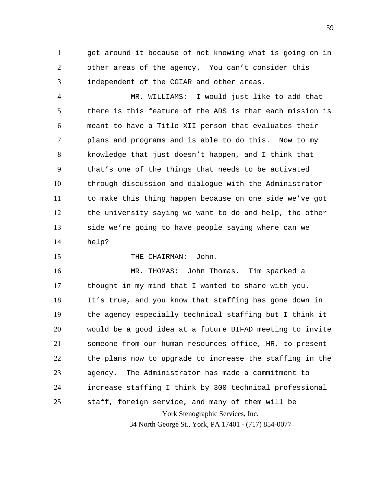1 2 3 get around it because of not knowing what is going on in other areas of the agency. You can't consider this independent of the CGIAR and other areas.

4 5 6 7 8 9 10 11 12 13 14 MR. WILLIAMS: I would just like to add that there is this feature of the ADS is that each mission is meant to have a Title XII person that evaluates their plans and programs and is able to do this. Now to my knowledge that just doesn't happen, and I think that that's one of the things that needs to be activated through discussion and dialogue with the Administrator to make this thing happen because on one side we've got the university saying we want to do and help, the other side we're going to have people saying where can we help?

THE CHAIRMAN: John.

15

York Stenographic Services, Inc. 34 North George St., York, PA 17401 - (717) 854-0077 16 17 18 19 20 21 22 23 24 25 MR. THOMAS: John Thomas. Tim sparked a thought in my mind that I wanted to share with you. It's true, and you know that staffing has gone down in the agency especially technical staffing but I think it would be a good idea at a future BIFAD meeting to invite someone from our human resources office, HR, to present the plans now to upgrade to increase the staffing in the agency. The Administrator has made a commitment to increase staffing I think by 300 technical professional staff, foreign service, and many of them will be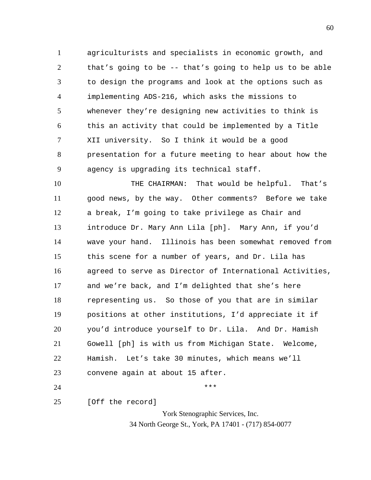1 2 3 4 5 6 7 8 9 agriculturists and specialists in economic growth, and that's going to be -- that's going to help us to be able to design the programs and look at the options such as implementing ADS-216, which asks the missions to whenever they're designing new activities to think is this an activity that could be implemented by a Title XII university. So I think it would be a good presentation for a future meeting to hear about how the agency is upgrading its technical staff.

10 11 12 13 14 15 16 17 18 19 20 21 22 23 THE CHAIRMAN: That would be helpful. That's good news, by the way. Other comments? Before we take a break, I'm going to take privilege as Chair and introduce Dr. Mary Ann Lila [ph]. Mary Ann, if you'd wave your hand. Illinois has been somewhat removed from this scene for a number of years, and Dr. Lila has agreed to serve as Director of International Activities, and we're back, and I'm delighted that she's here representing us. So those of you that are in similar positions at other institutions, I'd appreciate it if you'd introduce yourself to Dr. Lila. And Dr. Hamish Gowell [ph] is with us from Michigan State. Welcome, Hamish. Let's take 30 minutes, which means we'll convene again at about 15 after.

24

25

[Off the record]

York Stenographic Services, Inc. 34 North George St., York, PA 17401 - (717) 854-0077

\*\*\*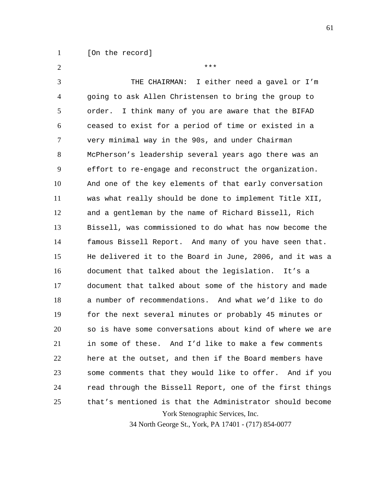1 [On the record]

York Stenographic Services, Inc. 2 3 4 5 6 7 8 9 10 11 12 13 14 15 16 17 18 19 20 21 22 23 24 25 \*\*\* THE CHAIRMAN: I either need a gavel or I'm going to ask Allen Christensen to bring the group to order. I think many of you are aware that the BIFAD ceased to exist for a period of time or existed in a very minimal way in the 90s, and under Chairman McPherson's leadership several years ago there was an effort to re-engage and reconstruct the organization. And one of the key elements of that early conversation was what really should be done to implement Title XII, and a gentleman by the name of Richard Bissell, Rich Bissell, was commissioned to do what has now become the famous Bissell Report. And many of you have seen that. He delivered it to the Board in June, 2006, and it was a document that talked about the legislation. It's a document that talked about some of the history and made a number of recommendations. And what we'd like to do for the next several minutes or probably 45 minutes or so is have some conversations about kind of where we are in some of these. And I'd like to make a few comments here at the outset, and then if the Board members have some comments that they would like to offer. And if you read through the Bissell Report, one of the first things that's mentioned is that the Administrator should become

34 North George St., York, PA 17401 - (717) 854-0077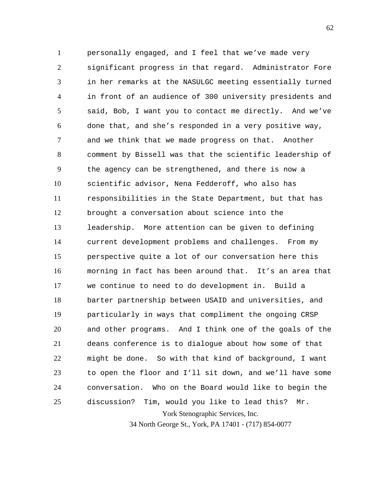York Stenographic Services, Inc. 1 2 3 4 5 6 7 8 9 10 11 12 13 14 15 16 17 18 19 20 21 22 23 24 25 personally engaged, and I feel that we've made very significant progress in that regard. Administrator Fore in her remarks at the NASULGC meeting essentially turned in front of an audience of 300 university presidents and said, Bob, I want you to contact me directly. And we've done that, and she's responded in a very positive way, and we think that we made progress on that. Another comment by Bissell was that the scientific leadership of the agency can be strengthened, and there is now a scientific advisor, Nena Fedderoff, who also has responsibilities in the State Department, but that has brought a conversation about science into the leadership. More attention can be given to defining current development problems and challenges. From my perspective quite a lot of our conversation here this morning in fact has been around that. It's an area that we continue to need to do development in. Build a barter partnership between USAID and universities, and particularly in ways that compliment the ongoing CRSP and other programs. And I think one of the goals of the deans conference is to dialogue about how some of that might be done. So with that kind of background, I want to open the floor and I'll sit down, and we'll have some conversation. Who on the Board would like to begin the discussion? Tim, would you like to lead this? Mr.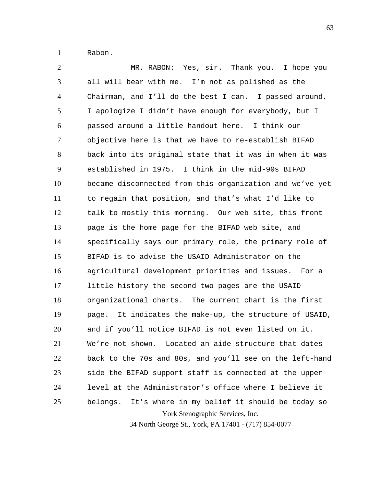1 Rabon.

York Stenographic Services, Inc. 2 3 4 5 6 7 8 9 10 11 12 13 14 15 16 17 18 19 20 21 22 23 24 25 MR. RABON: Yes, sir. Thank you. I hope you all will bear with me. I'm not as polished as the Chairman, and I'll do the best I can. I passed around, I apologize I didn't have enough for everybody, but I passed around a little handout here. I think our objective here is that we have to re-establish BIFAD back into its original state that it was in when it was established in 1975. I think in the mid-90s BIFAD became disconnected from this organization and we've yet to regain that position, and that's what I'd like to talk to mostly this morning. Our web site, this front page is the home page for the BIFAD web site, and specifically says our primary role, the primary role of BIFAD is to advise the USAID Administrator on the agricultural development priorities and issues. For a little history the second two pages are the USAID organizational charts. The current chart is the first page. It indicates the make-up, the structure of USAID, and if you'll notice BIFAD is not even listed on it. We're not shown. Located an aide structure that dates back to the 70s and 80s, and you'll see on the left-hand side the BIFAD support staff is connected at the upper level at the Administrator's office where I believe it belongs. It's where in my belief it should be today so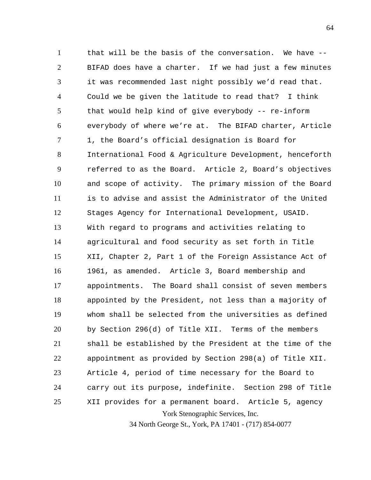York Stenographic Services, Inc. 1 2 3 4 5 6 7 8 9 10 11 12 13 14 15 16 17 18 19 20 21 22 23 24 25 that will be the basis of the conversation. We have -- BIFAD does have a charter. If we had just a few minutes it was recommended last night possibly we'd read that. Could we be given the latitude to read that? I think that would help kind of give everybody -- re-inform everybody of where we're at. The BIFAD charter, Article 1, the Board's official designation is Board for International Food & Agriculture Development, henceforth referred to as the Board. Article 2, Board's objectives and scope of activity. The primary mission of the Board is to advise and assist the Administrator of the United Stages Agency for International Development, USAID. With regard to programs and activities relating to agricultural and food security as set forth in Title XII, Chapter 2, Part 1 of the Foreign Assistance Act of 1961, as amended. Article 3, Board membership and appointments. The Board shall consist of seven members appointed by the President, not less than a majority of whom shall be selected from the universities as defined by Section 296(d) of Title XII. Terms of the members shall be established by the President at the time of the appointment as provided by Section 298(a) of Title XII. Article 4, period of time necessary for the Board to carry out its purpose, indefinite. Section 298 of Title XII provides for a permanent board. Article 5, agency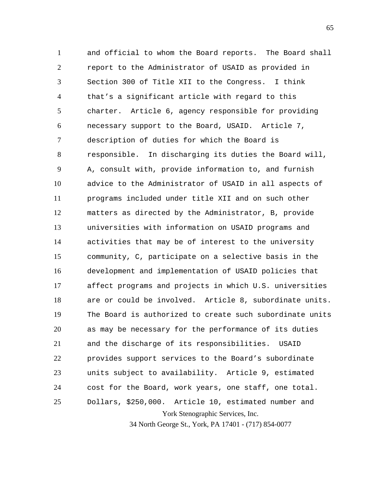York Stenographic Services, Inc. 1 2 3 4 5 6 7 8 9 10 11 12 13 14 15 16 17 18 19 20 21 22 23 24 25 and official to whom the Board reports. The Board shall report to the Administrator of USAID as provided in Section 300 of Title XII to the Congress. I think that's a significant article with regard to this charter. Article 6, agency responsible for providing necessary support to the Board, USAID. Article 7, description of duties for which the Board is responsible. In discharging its duties the Board will, A, consult with, provide information to, and furnish advice to the Administrator of USAID in all aspects of programs included under title XII and on such other matters as directed by the Administrator, B, provide universities with information on USAID programs and activities that may be of interest to the university community, C, participate on a selective basis in the development and implementation of USAID policies that affect programs and projects in which U.S. universities are or could be involved. Article 8, subordinate units. The Board is authorized to create such subordinate units as may be necessary for the performance of its duties and the discharge of its responsibilities. USAID provides support services to the Board's subordinate units subject to availability. Article 9, estimated cost for the Board, work years, one staff, one total. Dollars, \$250,000. Article 10, estimated number and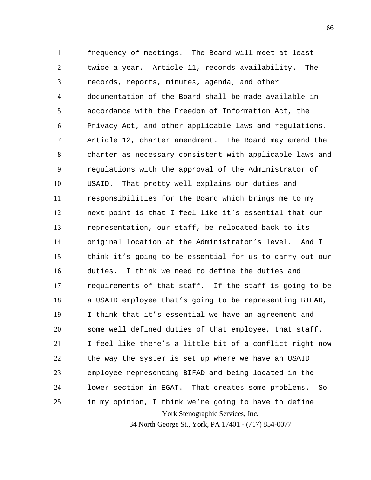York Stenographic Services, Inc. 1 2 3 4 5 6 7 8 9 10 11 12 13 14 15 16 17 18 19 20 21 22 23 24 25 frequency of meetings. The Board will meet at least twice a year. Article 11, records availability. The records, reports, minutes, agenda, and other documentation of the Board shall be made available in accordance with the Freedom of Information Act, the Privacy Act, and other applicable laws and regulations. Article 12, charter amendment. The Board may amend the charter as necessary consistent with applicable laws and regulations with the approval of the Administrator of USAID. That pretty well explains our duties and responsibilities for the Board which brings me to my next point is that I feel like it's essential that our representation, our staff, be relocated back to its original location at the Administrator's level. And I think it's going to be essential for us to carry out our duties. I think we need to define the duties and requirements of that staff. If the staff is going to be a USAID employee that's going to be representing BIFAD, I think that it's essential we have an agreement and some well defined duties of that employee, that staff. I feel like there's a little bit of a conflict right now the way the system is set up where we have an USAID employee representing BIFAD and being located in the lower section in EGAT. That creates some problems. So in my opinion, I think we're going to have to define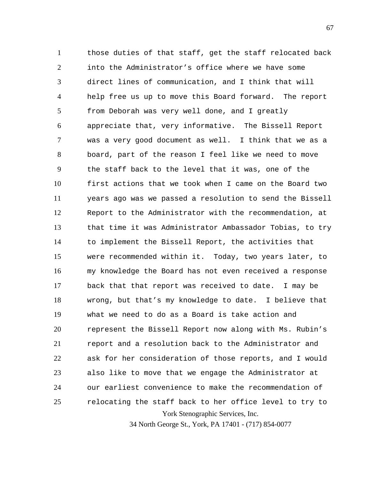York Stenographic Services, Inc. 1 2 3 4 5 6 7 8 9 10 11 12 13 14 15 16 17 18 19 20 21 22 23 24 25 those duties of that staff, get the staff relocated back into the Administrator's office where we have some direct lines of communication, and I think that will help free us up to move this Board forward. The report from Deborah was very well done, and I greatly appreciate that, very informative. The Bissell Report was a very good document as well. I think that we as a board, part of the reason I feel like we need to move the staff back to the level that it was, one of the first actions that we took when I came on the Board two years ago was we passed a resolution to send the Bissell Report to the Administrator with the recommendation, at that time it was Administrator Ambassador Tobias, to try to implement the Bissell Report, the activities that were recommended within it. Today, two years later, to my knowledge the Board has not even received a response back that that report was received to date. I may be wrong, but that's my knowledge to date. I believe that what we need to do as a Board is take action and represent the Bissell Report now along with Ms. Rubin's report and a resolution back to the Administrator and ask for her consideration of those reports, and I would also like to move that we engage the Administrator at our earliest convenience to make the recommendation of relocating the staff back to her office level to try to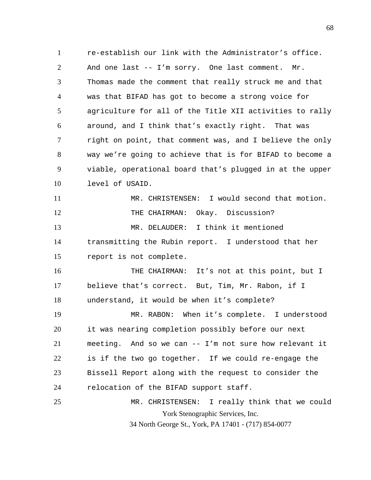1 2 3 4 5 6 7 8 9 10 11 re-establish our link with the Administrator's office. And one last -- I'm sorry. One last comment. Mr. Thomas made the comment that really struck me and that was that BIFAD has got to become a strong voice for agriculture for all of the Title XII activities to rally around, and I think that's exactly right. That was right on point, that comment was, and I believe the only way we're going to achieve that is for BIFAD to become a viable, operational board that's plugged in at the upper level of USAID. MR. CHRISTENSEN: I would second that motion.

12 13 14 15 THE CHAIRMAN: Okay. Discussion? MR. DELAUDER: I think it mentioned transmitting the Rubin report. I understood that her report is not complete.

16 17 18 THE CHAIRMAN: It's not at this point, but I believe that's correct. But, Tim, Mr. Rabon, if I understand, it would be when it's complete?

19 20 21 22 23 24 25 MR. RABON: When it's complete. I understood it was nearing completion possibly before our next meeting. And so we can -- I'm not sure how relevant it is if the two go together. If we could re-engage the Bissell Report along with the request to consider the relocation of the BIFAD support staff.

York Stenographic Services, Inc. 34 North George St., York, PA 17401 - (717) 854-0077 MR. CHRISTENSEN: I really think that we could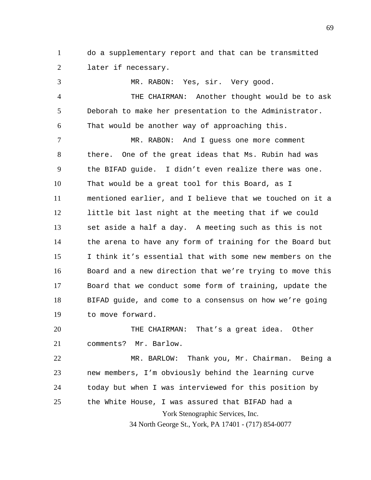1 2 do a supplementary report and that can be transmitted later if necessary.

3 4 5 6 7 8 9 10 11 12 13 14 15 16 17 18 19 MR. RABON: Yes, sir. Very good. THE CHAIRMAN: Another thought would be to ask Deborah to make her presentation to the Administrator. That would be another way of approaching this. MR. RABON: And I guess one more comment there. One of the great ideas that Ms. Rubin had was the BIFAD guide. I didn't even realize there was one. That would be a great tool for this Board, as I mentioned earlier, and I believe that we touched on it a little bit last night at the meeting that if we could set aside a half a day. A meeting such as this is not the arena to have any form of training for the Board but I think it's essential that with some new members on the Board and a new direction that we're trying to move this Board that we conduct some form of training, update the BIFAD guide, and come to a consensus on how we're going to move forward.

20 21 THE CHAIRMAN: That's a great idea. Other comments? Mr. Barlow.

York Stenographic Services, Inc. 22 23 24 25 MR. BARLOW: Thank you, Mr. Chairman. Being a new members, I'm obviously behind the learning curve today but when I was interviewed for this position by the White House, I was assured that BIFAD had a

34 North George St., York, PA 17401 - (717) 854-0077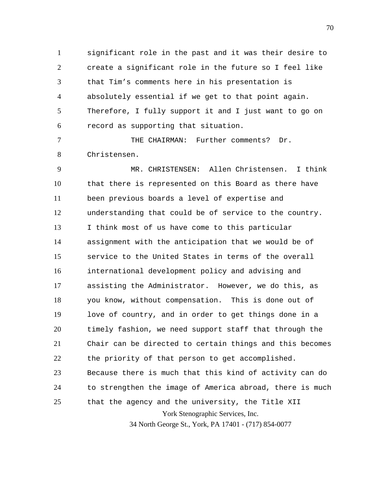1 2 3 4 5 6 significant role in the past and it was their desire to create a significant role in the future so I feel like that Tim's comments here in his presentation is absolutely essential if we get to that point again. Therefore, I fully support it and I just want to go on record as supporting that situation.

7 8 THE CHAIRMAN: Further comments? Dr. Christensen.

York Stenographic Services, Inc. 9 10 11 12 13 14 15 16 17 18 19 20 21 22 23 24 25 MR. CHRISTENSEN: Allen Christensen. I think that there is represented on this Board as there have been previous boards a level of expertise and understanding that could be of service to the country. I think most of us have come to this particular assignment with the anticipation that we would be of service to the United States in terms of the overall international development policy and advising and assisting the Administrator. However, we do this, as you know, without compensation. This is done out of love of country, and in order to get things done in a timely fashion, we need support staff that through the Chair can be directed to certain things and this becomes the priority of that person to get accomplished. Because there is much that this kind of activity can do to strengthen the image of America abroad, there is much that the agency and the university, the Title XII

34 North George St., York, PA 17401 - (717) 854-0077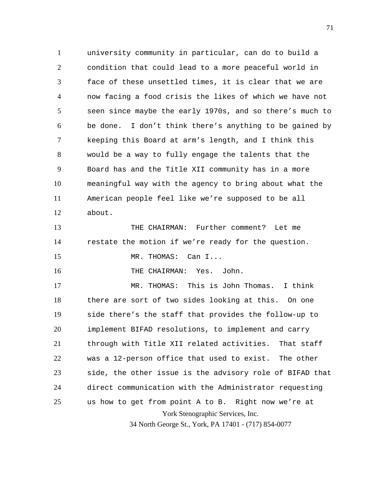1 2 3 4 5 6 7 8 9 10 11 12 university community in particular, can do to build a condition that could lead to a more peaceful world in face of these unsettled times, it is clear that we are now facing a food crisis the likes of which we have not seen since maybe the early 1970s, and so there's much to be done. I don't think there's anything to be gained by keeping this Board at arm's length, and I think this would be a way to fully engage the talents that the Board has and the Title XII community has in a more meaningful way with the agency to bring about what the American people feel like we're supposed to be all about.

13 14 15 THE CHAIRMAN: Further comment? Let me restate the motion if we're ready for the question. MR. THOMAS: Can I...

16 THE CHAIRMAN: Yes. John.

York Stenographic Services, Inc. 34 North George St., York, PA 17401 - (717) 854-0077 17 18 19 20 21 22 23 24 25 MR. THOMAS: This is John Thomas. I think there are sort of two sides looking at this. On one side there's the staff that provides the follow-up to implement BIFAD resolutions, to implement and carry through with Title XII related activities. That staff was a 12-person office that used to exist. The other side, the other issue is the advisory role of BIFAD that direct communication with the Administrator requesting us how to get from point A to B. Right now we're at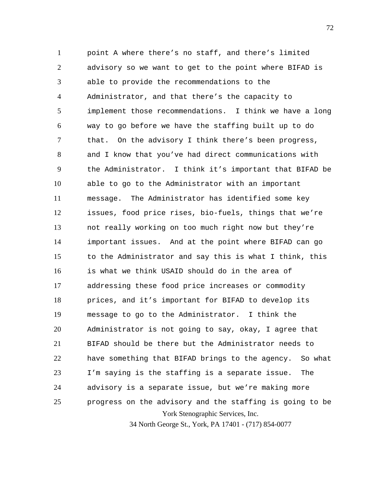York Stenographic Services, Inc. 1 2 3 4 5 6 7 8 9 10 11 12 13 14 15 16 17 18 19 20 21 22 23 24 25 point A where there's no staff, and there's limited advisory so we want to get to the point where BIFAD is able to provide the recommendations to the Administrator, and that there's the capacity to implement those recommendations. I think we have a long way to go before we have the staffing built up to do that. On the advisory I think there's been progress, and I know that you've had direct communications with the Administrator. I think it's important that BIFAD be able to go to the Administrator with an important message. The Administrator has identified some key issues, food price rises, bio-fuels, things that we're not really working on too much right now but they're important issues. And at the point where BIFAD can go to the Administrator and say this is what I think, this is what we think USAID should do in the area of addressing these food price increases or commodity prices, and it's important for BIFAD to develop its message to go to the Administrator. I think the Administrator is not going to say, okay, I agree that BIFAD should be there but the Administrator needs to have something that BIFAD brings to the agency. So what I'm saying is the staffing is a separate issue. The advisory is a separate issue, but we're making more progress on the advisory and the staffing is going to be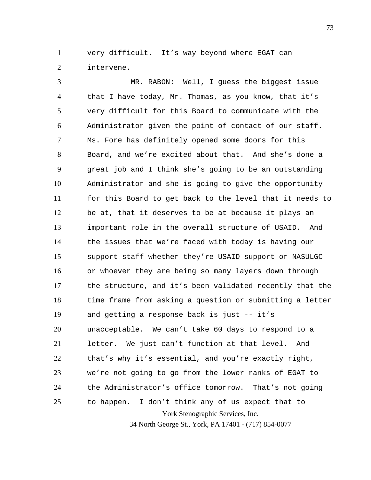1 2 very difficult. It's way beyond where EGAT can intervene.

York Stenographic Services, Inc. 34 North George St., York, PA 17401 - (717) 854-0077 3 4 5 6 7 8 9 10 11 12 13 14 15 16 17 18 19 20 21 22 23 24 25 MR. RABON: Well, I guess the biggest issue that I have today, Mr. Thomas, as you know, that it's very difficult for this Board to communicate with the Administrator given the point of contact of our staff. Ms. Fore has definitely opened some doors for this Board, and we're excited about that. And she's done a great job and I think she's going to be an outstanding Administrator and she is going to give the opportunity for this Board to get back to the level that it needs to be at, that it deserves to be at because it plays an important role in the overall structure of USAID. And the issues that we're faced with today is having our support staff whether they're USAID support or NASULGC or whoever they are being so many layers down through the structure, and it's been validated recently that the time frame from asking a question or submitting a letter and getting a response back is just -- it's unacceptable. We can't take 60 days to respond to a letter. We just can't function at that level. And that's why it's essential, and you're exactly right, we're not going to go from the lower ranks of EGAT to the Administrator's office tomorrow. That's not going to happen. I don't think any of us expect that to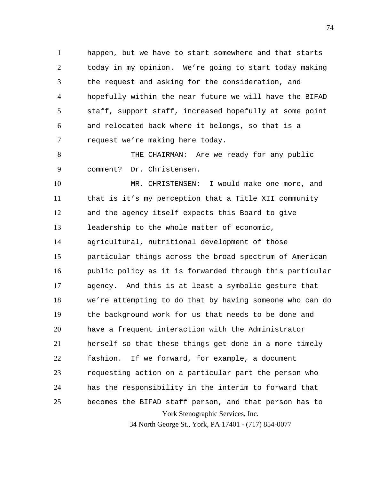1 2 3 4 5 6 7 happen, but we have to start somewhere and that starts today in my opinion. We're going to start today making the request and asking for the consideration, and hopefully within the near future we will have the BIFAD staff, support staff, increased hopefully at some point and relocated back where it belongs, so that is a request we're making here today.

8 9 THE CHAIRMAN: Are we ready for any public comment? Dr. Christensen.

York Stenographic Services, Inc. 10 11 12 13 14 15 16 17 18 19 20 21 22 23 24 25 MR. CHRISTENSEN: I would make one more, and that is it's my perception that a Title XII community and the agency itself expects this Board to give leadership to the whole matter of economic, agricultural, nutritional development of those particular things across the broad spectrum of American public policy as it is forwarded through this particular agency. And this is at least a symbolic gesture that we're attempting to do that by having someone who can do the background work for us that needs to be done and have a frequent interaction with the Administrator herself so that these things get done in a more timely fashion. If we forward, for example, a document requesting action on a particular part the person who has the responsibility in the interim to forward that becomes the BIFAD staff person, and that person has to

34 North George St., York, PA 17401 - (717) 854-0077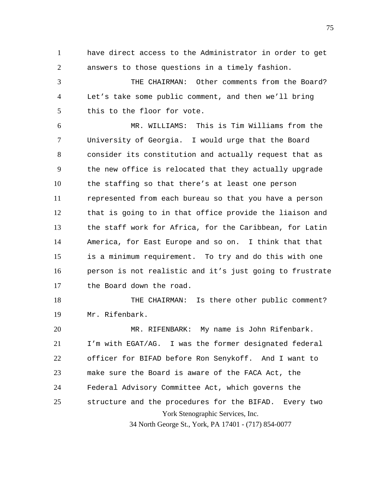1 2 have direct access to the Administrator in order to get answers to those questions in a timely fashion.

3 4 5 THE CHAIRMAN: Other comments from the Board? Let's take some public comment, and then we'll bring this to the floor for vote.

6 7 8 9 10 11 12 13 14 15 16 17 MR. WILLIAMS: This is Tim Williams from the University of Georgia. I would urge that the Board consider its constitution and actually request that as the new office is relocated that they actually upgrade the staffing so that there's at least one person represented from each bureau so that you have a person that is going to in that office provide the liaison and the staff work for Africa, for the Caribbean, for Latin America, for East Europe and so on. I think that that is a minimum requirement. To try and do this with one person is not realistic and it's just going to frustrate the Board down the road.

18 19 THE CHAIRMAN: Is there other public comment? Mr. Rifenbark.

York Stenographic Services, Inc. 20 21 22 23 24 25 MR. RIFENBARK: My name is John Rifenbark. I'm with EGAT/AG. I was the former designated federal officer for BIFAD before Ron Senykoff. And I want to make sure the Board is aware of the FACA Act, the Federal Advisory Committee Act, which governs the structure and the procedures for the BIFAD. Every two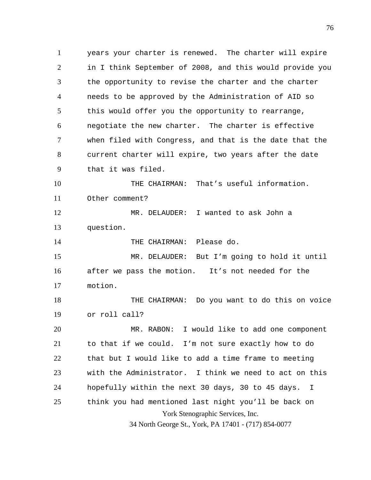York Stenographic Services, Inc. 1 2 3 4 5 6 7 8 9 10 11 12 13 14 15 16 17 18 19 20 21 22 23 24 25 years your charter is renewed. The charter will expire in I think September of 2008, and this would provide you the opportunity to revise the charter and the charter needs to be approved by the Administration of AID so this would offer you the opportunity to rearrange, negotiate the new charter. The charter is effective when filed with Congress, and that is the date that the current charter will expire, two years after the date that it was filed. THE CHAIRMAN: That's useful information. Other comment? MR. DELAUDER: I wanted to ask John a question. THE CHAIRMAN: Please do. MR. DELAUDER: But I'm going to hold it until after we pass the motion. It's not needed for the motion. THE CHAIRMAN: Do you want to do this on voice or roll call? MR. RABON: I would like to add one component to that if we could. I'm not sure exactly how to do that but I would like to add a time frame to meeting with the Administrator. I think we need to act on this hopefully within the next 30 days, 30 to 45 days. I think you had mentioned last night you'll be back on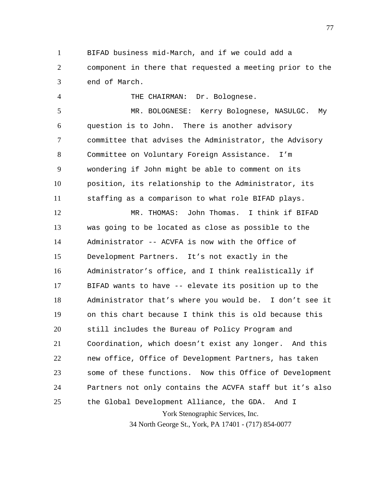1 2 3 BIFAD business mid-March, and if we could add a component in there that requested a meeting prior to the end of March.

THE CHAIRMAN: Dr. Bolognese.

4

5 6 7 8 9 10 11 MR. BOLOGNESE: Kerry Bolognese, NASULGC. My question is to John. There is another advisory committee that advises the Administrator, the Advisory Committee on Voluntary Foreign Assistance. I'm wondering if John might be able to comment on its position, its relationship to the Administrator, its staffing as a comparison to what role BIFAD plays.

York Stenographic Services, Inc. 12 13 14 15 16 17 18 19 20 21 22 23 24 25 MR. THOMAS: John Thomas. I think if BIFAD was going to be located as close as possible to the Administrator -- ACVFA is now with the Office of Development Partners. It's not exactly in the Administrator's office, and I think realistically if BIFAD wants to have -- elevate its position up to the Administrator that's where you would be. I don't see it on this chart because I think this is old because this still includes the Bureau of Policy Program and Coordination, which doesn't exist any longer. And this new office, Office of Development Partners, has taken some of these functions. Now this Office of Development Partners not only contains the ACVFA staff but it's also the Global Development Alliance, the GDA. And I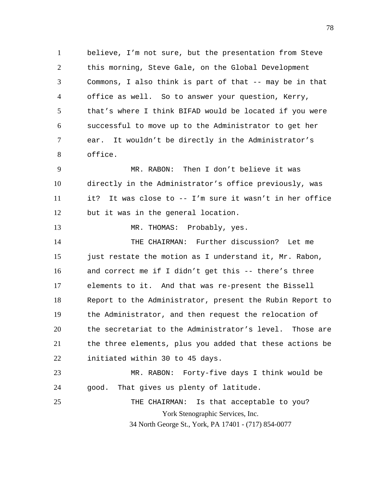1 2 3 4 5 6 7 8 believe, I'm not sure, but the presentation from Steve this morning, Steve Gale, on the Global Development Commons, I also think is part of that -- may be in that office as well. So to answer your question, Kerry, that's where I think BIFAD would be located if you were successful to move up to the Administrator to get her ear. It wouldn't be directly in the Administrator's office.

9 10 11 12 MR. RABON: Then I don't believe it was directly in the Administrator's office previously, was it? It was close to -- I'm sure it wasn't in her office but it was in the general location.

13 MR. THOMAS: Probably, yes.

14 15 16 17 18 19 20 21 22 THE CHAIRMAN: Further discussion? Let me just restate the motion as I understand it, Mr. Rabon, and correct me if I didn't get this -- there's three elements to it. And that was re-present the Bissell Report to the Administrator, present the Rubin Report to the Administrator, and then request the relocation of the secretariat to the Administrator's level. Those are the three elements, plus you added that these actions be initiated within 30 to 45 days.

23 24 25 MR. RABON: Forty-five days I think would be good. That gives us plenty of latitude.

York Stenographic Services, Inc. 34 North George St., York, PA 17401 - (717) 854-0077 THE CHAIRMAN: Is that acceptable to you?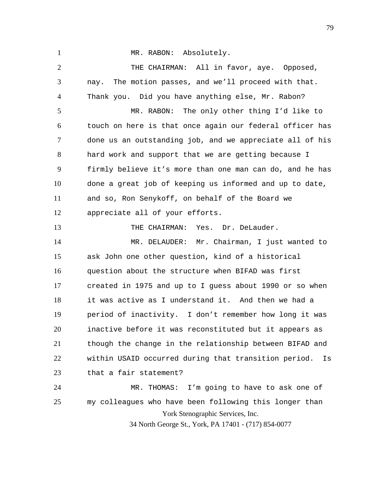1

MR. RABON: Absolutely.

York Stenographic Services, Inc. 34 North George St., York, PA 17401 - (717) 854-0077 2 3 4 5 6 7 8 9 10 11 12 13 14 15 16 17 18 19 20 21 22 23 24 25 THE CHAIRMAN: All in favor, aye. Opposed, nay. The motion passes, and we'll proceed with that. Thank you. Did you have anything else, Mr. Rabon? MR. RABON: The only other thing I'd like to touch on here is that once again our federal officer has done us an outstanding job, and we appreciate all of his hard work and support that we are getting because I firmly believe it's more than one man can do, and he has done a great job of keeping us informed and up to date, and so, Ron Senykoff, on behalf of the Board we appreciate all of your efforts. THE CHAIRMAN: Yes. Dr. DeLauder. MR. DELAUDER: Mr. Chairman, I just wanted to ask John one other question, kind of a historical question about the structure when BIFAD was first created in 1975 and up to I guess about 1990 or so when it was active as I understand it. And then we had a period of inactivity. I don't remember how long it was inactive before it was reconstituted but it appears as though the change in the relationship between BIFAD and within USAID occurred during that transition period. Is that a fair statement? MR. THOMAS: I'm going to have to ask one of my colleagues who have been following this longer than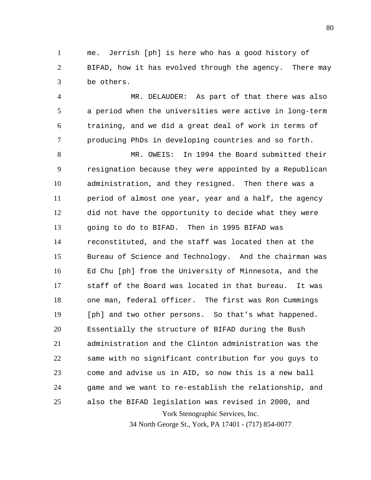1 2 3 me. Jerrish [ph] is here who has a good history of BIFAD, how it has evolved through the agency. There may be others.

4 5 6 7 MR. DELAUDER: As part of that there was also a period when the universities were active in long-term training, and we did a great deal of work in terms of producing PhDs in developing countries and so forth.

York Stenographic Services, Inc. 8 9 10 11 12 13 14 15 16 17 18 19 20 21 22 23 24 25 MR. OWEIS: In 1994 the Board submitted their resignation because they were appointed by a Republican administration, and they resigned. Then there was a period of almost one year, year and a half, the agency did not have the opportunity to decide what they were going to do to BIFAD. Then in 1995 BIFAD was reconstituted, and the staff was located then at the Bureau of Science and Technology. And the chairman was Ed Chu [ph] from the University of Minnesota, and the staff of the Board was located in that bureau. It was one man, federal officer. The first was Ron Cummings [ph] and two other persons. So that's what happened. Essentially the structure of BIFAD during the Bush administration and the Clinton administration was the same with no significant contribution for you guys to come and advise us in AID, so now this is a new ball game and we want to re-establish the relationship, and also the BIFAD legislation was revised in 2000, and

34 North George St., York, PA 17401 - (717) 854-0077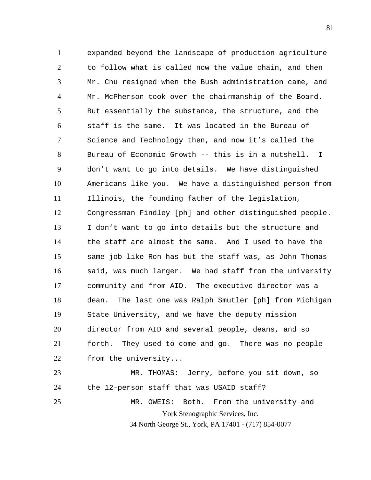1 2 3 4 5 6 7 8 9 10 11 12 13 14 15 16 17 18 19 20 21 22 23 24 expanded beyond the landscape of production agriculture to follow what is called now the value chain, and then Mr. Chu resigned when the Bush administration came, and Mr. McPherson took over the chairmanship of the Board. But essentially the substance, the structure, and the staff is the same. It was located in the Bureau of Science and Technology then, and now it's called the Bureau of Economic Growth -- this is in a nutshell. I don't want to go into details. We have distinguished Americans like you. We have a distinguished person from Illinois, the founding father of the legislation, Congressman Findley [ph] and other distinguished people. I don't want to go into details but the structure and the staff are almost the same. And I used to have the same job like Ron has but the staff was, as John Thomas said, was much larger. We had staff from the university community and from AID. The executive director was a dean. The last one was Ralph Smutler [ph] from Michigan State University, and we have the deputy mission director from AID and several people, deans, and so forth. They used to come and go. There was no people from the university... MR. THOMAS: Jerry, before you sit down, so the 12-person staff that was USAID staff?

York Stenographic Services, Inc. 34 North George St., York, PA 17401 - (717) 854-0077 25 MR. OWEIS: Both. From the university and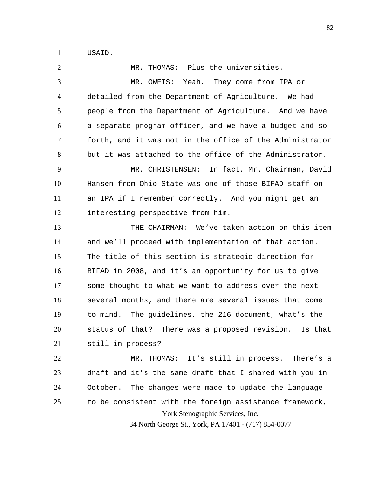1 USAID.

York Stenographic Services, Inc. 34 North George St., York, PA 17401 - (717) 854-0077 2 3 4 5 6 7 8 9 10 11 12 13 14 15 16 17 18 19 20 21 22 23 24 25 MR. THOMAS: Plus the universities. MR. OWEIS: Yeah. They come from IPA or detailed from the Department of Agriculture. We had people from the Department of Agriculture. And we have a separate program officer, and we have a budget and so forth, and it was not in the office of the Administrator but it was attached to the office of the Administrator. MR. CHRISTENSEN: In fact, Mr. Chairman, David Hansen from Ohio State was one of those BIFAD staff on an IPA if I remember correctly. And you might get an interesting perspective from him. THE CHAIRMAN: We've taken action on this item and we'll proceed with implementation of that action. The title of this section is strategic direction for BIFAD in 2008, and it's an opportunity for us to give some thought to what we want to address over the next several months, and there are several issues that come to mind. The guidelines, the 216 document, what's the status of that? There was a proposed revision. Is that still in process? MR. THOMAS: It's still in process. There's a draft and it's the same draft that I shared with you in October. The changes were made to update the language to be consistent with the foreign assistance framework,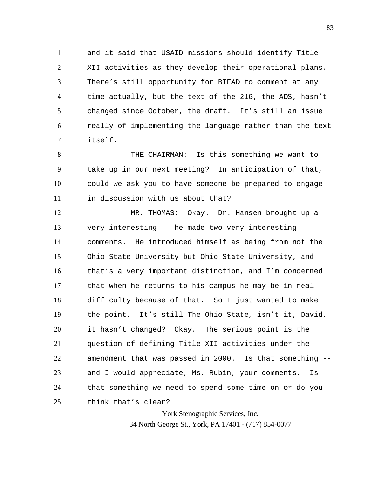1 2 3 4 5 6 7 and it said that USAID missions should identify Title XII activities as they develop their operational plans. There's still opportunity for BIFAD to comment at any time actually, but the text of the 216, the ADS, hasn't changed since October, the draft. It's still an issue really of implementing the language rather than the text itself.

8 9 10 11 THE CHAIRMAN: Is this something we want to take up in our next meeting? In anticipation of that, could we ask you to have someone be prepared to engage in discussion with us about that?

12 13 14 15 16 17 18 19 20 21 22 23 24 25 MR. THOMAS: Okay. Dr. Hansen brought up a very interesting -- he made two very interesting comments. He introduced himself as being from not the Ohio State University but Ohio State University, and that's a very important distinction, and I'm concerned that when he returns to his campus he may be in real difficulty because of that. So I just wanted to make the point. It's still The Ohio State, isn't it, David, it hasn't changed? Okay. The serious point is the question of defining Title XII activities under the amendment that was passed in 2000. Is that something - and I would appreciate, Ms. Rubin, your comments. Is that something we need to spend some time on or do you think that's clear?

> York Stenographic Services, Inc. 34 North George St., York, PA 17401 - (717) 854-0077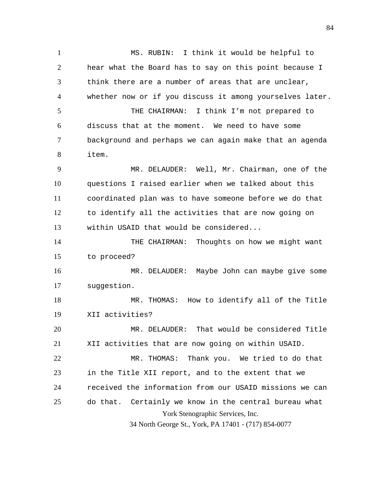1 2 3 4 5 6 7 8 9 10 11 12 13 14 15 16 17 18 19 20 21 22 23 24 MS. RUBIN: I think it would be helpful to hear what the Board has to say on this point because I think there are a number of areas that are unclear, whether now or if you discuss it among yourselves later. THE CHAIRMAN: I think I'm not prepared to discuss that at the moment. We need to have some background and perhaps we can again make that an agenda item. MR. DELAUDER: Well, Mr. Chairman, one of the questions I raised earlier when we talked about this coordinated plan was to have someone before we do that to identify all the activities that are now going on within USAID that would be considered... THE CHAIRMAN: Thoughts on how we might want to proceed? MR. DELAUDER: Maybe John can maybe give some suggestion. MR. THOMAS: How to identify all of the Title XII activities? MR. DELAUDER: That would be considered Title XII activities that are now going on within USAID. MR. THOMAS: Thank you. We tried to do that in the Title XII report, and to the extent that we received the information from our USAID missions we can

York Stenographic Services, Inc. 25 do that. Certainly we know in the central bureau what

34 North George St., York, PA 17401 - (717) 854-0077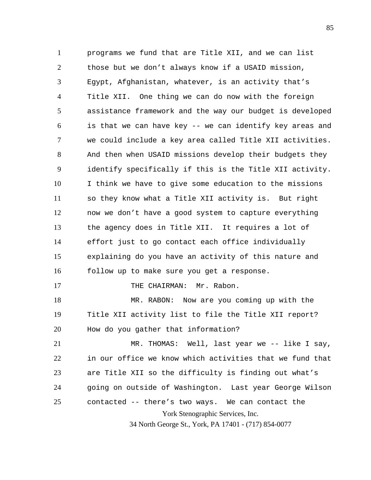1 2 3 4 5 6 7 8 9 10 11 12 13 14 15 16 17 18 19 20 21 22 23 24 programs we fund that are Title XII, and we can list those but we don't always know if a USAID mission, Egypt, Afghanistan, whatever, is an activity that's Title XII. One thing we can do now with the foreign assistance framework and the way our budget is developed is that we can have key -- we can identify key areas and we could include a key area called Title XII activities. And then when USAID missions develop their budgets they identify specifically if this is the Title XII activity. I think we have to give some education to the missions so they know what a Title XII activity is. But right now we don't have a good system to capture everything the agency does in Title XII. It requires a lot of effort just to go contact each office individually explaining do you have an activity of this nature and follow up to make sure you get a response. THE CHAIRMAN: Mr. Rabon. MR. RABON: Now are you coming up with the Title XII activity list to file the Title XII report? How do you gather that information? MR. THOMAS: Well, last year we -- like I say, in our office we know which activities that we fund that are Title XII so the difficulty is finding out what's going on outside of Washington. Last year George Wilson

York Stenographic Services, Inc. 25 contacted -- there's two ways. We can contact the

34 North George St., York, PA 17401 - (717) 854-0077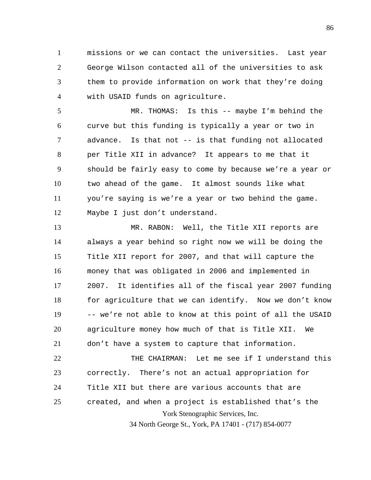1 2 3 4 missions or we can contact the universities. Last year George Wilson contacted all of the universities to ask them to provide information on work that they're doing with USAID funds on agriculture.

5 6 7 8 9 10 11 12 MR. THOMAS: Is this -- maybe I'm behind the curve but this funding is typically a year or two in advance. Is that not -- is that funding not allocated per Title XII in advance? It appears to me that it should be fairly easy to come by because we're a year or two ahead of the game. It almost sounds like what you're saying is we're a year or two behind the game. Maybe I just don't understand.

13 14 15 16 17 18 19 20 21 MR. RABON: Well, the Title XII reports are always a year behind so right now we will be doing the Title XII report for 2007, and that will capture the money that was obligated in 2006 and implemented in 2007. It identifies all of the fiscal year 2007 funding for agriculture that we can identify. Now we don't know -- we're not able to know at this point of all the USAID agriculture money how much of that is Title XII. We don't have a system to capture that information.

York Stenographic Services, Inc. 22 23 24 25 THE CHAIRMAN: Let me see if I understand this correctly. There's not an actual appropriation for Title XII but there are various accounts that are created, and when a project is established that's the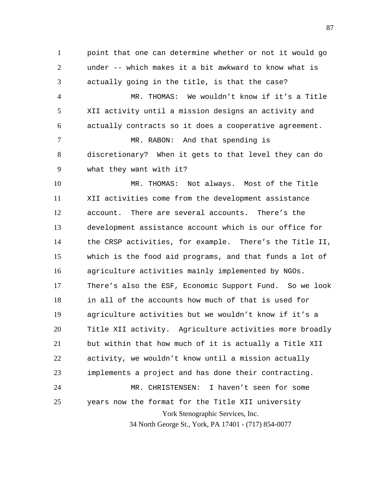2 3 4 5 6 7 8 9 point that one can determine whether or not it would go under -- which makes it a bit awkward to know what is actually going in the title, is that the case? MR. THOMAS: We wouldn't know if it's a Title XII activity until a mission designs an activity and actually contracts so it does a cooperative agreement. MR. RABON: And that spending is discretionary? When it gets to that level they can do what they want with it?

1

York Stenographic Services, Inc. 10 11 12 13 14 15 16 17 18 19 20 21 22 23 24 25 MR. THOMAS: Not always. Most of the Title XII activities come from the development assistance account. There are several accounts. There's the development assistance account which is our office for the CRSP activities, for example. There's the Title II, which is the food aid programs, and that funds a lot of agriculture activities mainly implemented by NGOs. There's also the ESF, Economic Support Fund. So we look in all of the accounts how much of that is used for agriculture activities but we wouldn't know if it's a Title XII activity. Agriculture activities more broadly but within that how much of it is actually a Title XII activity, we wouldn't know until a mission actually implements a project and has done their contracting. MR. CHRISTENSEN: I haven't seen for some years now the format for the Title XII university

34 North George St., York, PA 17401 - (717) 854-0077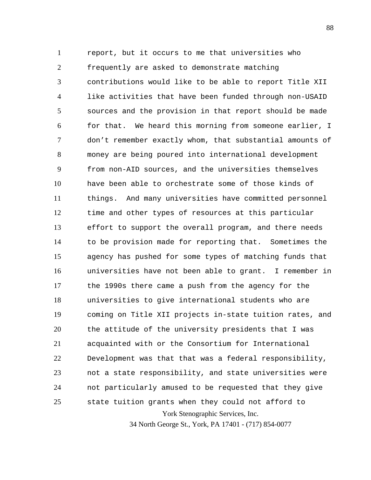York Stenographic Services, Inc. 1 2 3 4 5 6 7 8 9 10 11 12 13 14 15 16 17 18 19 20 21 22 23 24 25 report, but it occurs to me that universities who frequently are asked to demonstrate matching contributions would like to be able to report Title XII like activities that have been funded through non-USAID sources and the provision in that report should be made for that. We heard this morning from someone earlier, I don't remember exactly whom, that substantial amounts of money are being poured into international development from non-AID sources, and the universities themselves have been able to orchestrate some of those kinds of things. And many universities have committed personnel time and other types of resources at this particular effort to support the overall program, and there needs to be provision made for reporting that. Sometimes the agency has pushed for some types of matching funds that universities have not been able to grant. I remember in the 1990s there came a push from the agency for the universities to give international students who are coming on Title XII projects in-state tuition rates, and the attitude of the university presidents that I was acquainted with or the Consortium for International Development was that that was a federal responsibility, not a state responsibility, and state universities were not particularly amused to be requested that they give state tuition grants when they could not afford to

34 North George St., York, PA 17401 - (717) 854-0077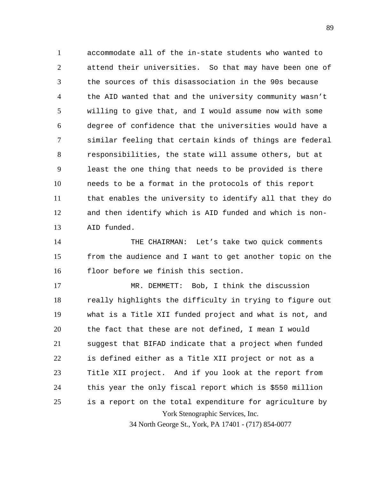1 2 3 4 5 6 7 8 9 10 11 12 13 accommodate all of the in-state students who wanted to attend their universities. So that may have been one of the sources of this disassociation in the 90s because the AID wanted that and the university community wasn't willing to give that, and I would assume now with some degree of confidence that the universities would have a similar feeling that certain kinds of things are federal responsibilities, the state will assume others, but at least the one thing that needs to be provided is there needs to be a format in the protocols of this report that enables the university to identify all that they do and then identify which is AID funded and which is non-AID funded.

14 15 16 THE CHAIRMAN: Let's take two quick comments from the audience and I want to get another topic on the floor before we finish this section.

York Stenographic Services, Inc. 17 18 19 20 21 22 23 24 25 MR. DEMMETT: Bob, I think the discussion really highlights the difficulty in trying to figure out what is a Title XII funded project and what is not, and the fact that these are not defined, I mean I would suggest that BIFAD indicate that a project when funded is defined either as a Title XII project or not as a Title XII project. And if you look at the report from this year the only fiscal report which is \$550 million is a report on the total expenditure for agriculture by

34 North George St., York, PA 17401 - (717) 854-0077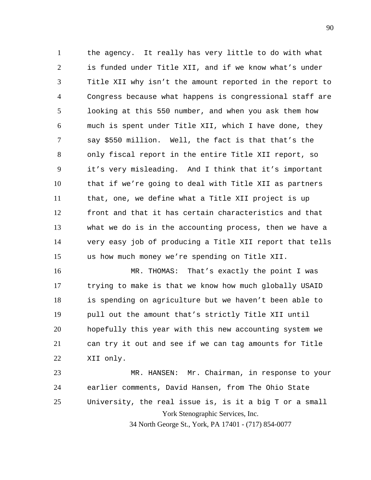1 2 3 4 5 6 7 8 9 10 11 12 13 14 15 the agency. It really has very little to do with what is funded under Title XII, and if we know what's under Title XII why isn't the amount reported in the report to Congress because what happens is congressional staff are looking at this 550 number, and when you ask them how much is spent under Title XII, which I have done, they say \$550 million. Well, the fact is that that's the only fiscal report in the entire Title XII report, so it's very misleading. And I think that it's important that if we're going to deal with Title XII as partners that, one, we define what a Title XII project is up front and that it has certain characteristics and that what we do is in the accounting process, then we have a very easy job of producing a Title XII report that tells us how much money we're spending on Title XII.

16 17 18 19 20 21 22 MR. THOMAS: That's exactly the point I was trying to make is that we know how much globally USAID is spending on agriculture but we haven't been able to pull out the amount that's strictly Title XII until hopefully this year with this new accounting system we can try it out and see if we can tag amounts for Title XII only.

York Stenographic Services, Inc. 23 24 25 MR. HANSEN: Mr. Chairman, in response to your earlier comments, David Hansen, from The Ohio State University, the real issue is, is it a big T or a small

34 North George St., York, PA 17401 - (717) 854-0077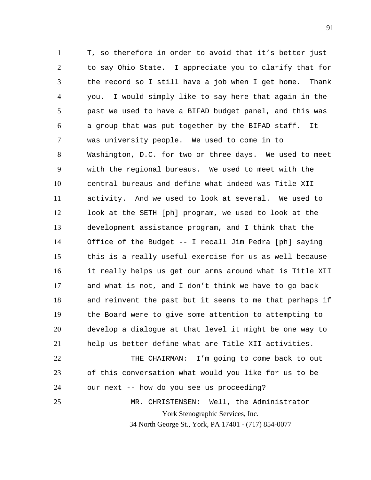1 2 3 4 5 6 7 8 9 10 11 12 13 14 15 16 17 18 19 20 21 22 23 T, so therefore in order to avoid that it's better just to say Ohio State. I appreciate you to clarify that for the record so I still have a job when I get home. Thank you. I would simply like to say here that again in the past we used to have a BIFAD budget panel, and this was a group that was put together by the BIFAD staff. It was university people. We used to come in to Washington, D.C. for two or three days. We used to meet with the regional bureaus. We used to meet with the central bureaus and define what indeed was Title XII activity. And we used to look at several. We used to look at the SETH [ph] program, we used to look at the development assistance program, and I think that the Office of the Budget -- I recall Jim Pedra [ph] saying this is a really useful exercise for us as well because it really helps us get our arms around what is Title XII and what is not, and I don't think we have to go back and reinvent the past but it seems to me that perhaps if the Board were to give some attention to attempting to develop a dialogue at that level it might be one way to help us better define what are Title XII activities. THE CHAIRMAN: I'm going to come back to out of this conversation what would you like for us to be

York Stenographic Services, Inc. 25 MR. CHRISTENSEN: Well, the Administrator

our next -- how do you see us proceeding?

24

34 North George St., York, PA 17401 - (717) 854-0077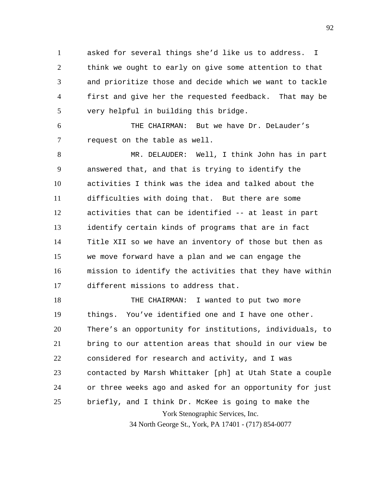1 2 3 4 5 asked for several things she'd like us to address. I think we ought to early on give some attention to that and prioritize those and decide which we want to tackle first and give her the requested feedback. That may be very helpful in building this bridge.

6 7 THE CHAIRMAN: But we have Dr. DeLauder's request on the table as well.

8 9 10 11 12 13 14 15 16 17 MR. DELAUDER: Well, I think John has in part answered that, and that is trying to identify the activities I think was the idea and talked about the difficulties with doing that. But there are some activities that can be identified -- at least in part identify certain kinds of programs that are in fact Title XII so we have an inventory of those but then as we move forward have a plan and we can engage the mission to identify the activities that they have within different missions to address that.

York Stenographic Services, Inc. 18 19 20 21 22 23 24 25 THE CHAIRMAN: I wanted to put two more things. You've identified one and I have one other. There's an opportunity for institutions, individuals, to bring to our attention areas that should in our view be considered for research and activity, and I was contacted by Marsh Whittaker [ph] at Utah State a couple or three weeks ago and asked for an opportunity for just briefly, and I think Dr. McKee is going to make the

34 North George St., York, PA 17401 - (717) 854-0077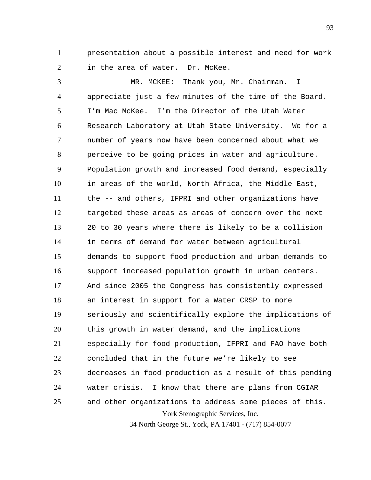1 2 presentation about a possible interest and need for work in the area of water. Dr. McKee.

York Stenographic Services, Inc. 3 4 5 6 7 8 9 10 11 12 13 14 15 16 17 18 19 20 21 22 23 24 25 MR. MCKEE: Thank you, Mr. Chairman. I appreciate just a few minutes of the time of the Board. I'm Mac McKee. I'm the Director of the Utah Water Research Laboratory at Utah State University. We for a number of years now have been concerned about what we perceive to be going prices in water and agriculture. Population growth and increased food demand, especially in areas of the world, North Africa, the Middle East, the -- and others, IFPRI and other organizations have targeted these areas as areas of concern over the next 20 to 30 years where there is likely to be a collision in terms of demand for water between agricultural demands to support food production and urban demands to support increased population growth in urban centers. And since 2005 the Congress has consistently expressed an interest in support for a Water CRSP to more seriously and scientifically explore the implications of this growth in water demand, and the implications especially for food production, IFPRI and FAO have both concluded that in the future we're likely to see decreases in food production as a result of this pending water crisis. I know that there are plans from CGIAR and other organizations to address some pieces of this.

34 North George St., York, PA 17401 - (717) 854-0077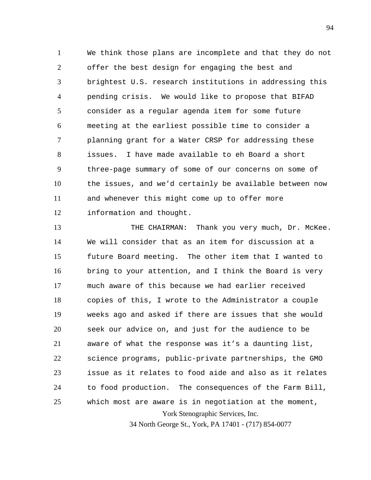1 2 3 4 5 6 7 8 9 10 11 12 We think those plans are incomplete and that they do not offer the best design for engaging the best and brightest U.S. research institutions in addressing this pending crisis. We would like to propose that BIFAD consider as a regular agenda item for some future meeting at the earliest possible time to consider a planning grant for a Water CRSP for addressing these issues. I have made available to eh Board a short three-page summary of some of our concerns on some of the issues, and we'd certainly be available between now and whenever this might come up to offer more information and thought.

York Stenographic Services, Inc. 13 14 15 16 17 18 19 20 21 22 23 24 25 THE CHAIRMAN: Thank you very much, Dr. McKee. We will consider that as an item for discussion at a future Board meeting. The other item that I wanted to bring to your attention, and I think the Board is very much aware of this because we had earlier received copies of this, I wrote to the Administrator a couple weeks ago and asked if there are issues that she would seek our advice on, and just for the audience to be aware of what the response was it's a daunting list, science programs, public-private partnerships, the GMO issue as it relates to food aide and also as it relates to food production. The consequences of the Farm Bill, which most are aware is in negotiation at the moment,

34 North George St., York, PA 17401 - (717) 854-0077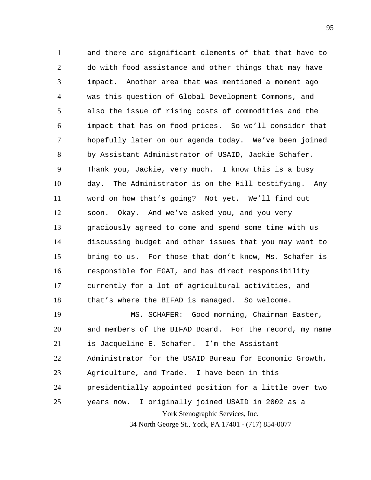1 2 3 4 5 6 7 8 9 10 11 12 13 14 15 16 17 18 19 20 and there are significant elements of that that have to do with food assistance and other things that may have impact. Another area that was mentioned a moment ago was this question of Global Development Commons, and also the issue of rising costs of commodities and the impact that has on food prices. So we'll consider that hopefully later on our agenda today. We've been joined by Assistant Administrator of USAID, Jackie Schafer. Thank you, Jackie, very much. I know this is a busy day. The Administrator is on the Hill testifying. Any word on how that's going? Not yet. We'll find out soon. Okay. And we've asked you, and you very graciously agreed to come and spend some time with us discussing budget and other issues that you may want to bring to us. For those that don't know, Ms. Schafer is responsible for EGAT, and has direct responsibility currently for a lot of agricultural activities, and that's where the BIFAD is managed. So welcome. MS. SCHAFER: Good morning, Chairman Easter, and members of the BIFAD Board. For the record, my name

21 is Jacqueline E. Schafer. I'm the Assistant

22 Administrator for the USAID Bureau for Economic Growth,

23 Agriculture, and Trade. I have been in this

24 presidentially appointed position for a little over two

York Stenographic Services, Inc. 25 years now. I originally joined USAID in 2002 as a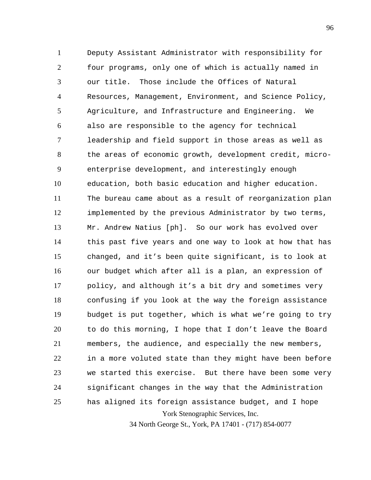York Stenographic Services, Inc. 1 2 3 4 5 6 7 8 9 10 11 12 13 14 15 16 17 18 19 20 21 22 23 24 25 Deputy Assistant Administrator with responsibility for four programs, only one of which is actually named in our title. Those include the Offices of Natural Resources, Management, Environment, and Science Policy, Agriculture, and Infrastructure and Engineering. We also are responsible to the agency for technical leadership and field support in those areas as well as the areas of economic growth, development credit, microenterprise development, and interestingly enough education, both basic education and higher education. The bureau came about as a result of reorganization plan implemented by the previous Administrator by two terms, Mr. Andrew Natius [ph]. So our work has evolved over this past five years and one way to look at how that has changed, and it's been quite significant, is to look at our budget which after all is a plan, an expression of policy, and although it's a bit dry and sometimes very confusing if you look at the way the foreign assistance budget is put together, which is what we're going to try to do this morning, I hope that I don't leave the Board members, the audience, and especially the new members, in a more voluted state than they might have been before we started this exercise. But there have been some very significant changes in the way that the Administration has aligned its foreign assistance budget, and I hope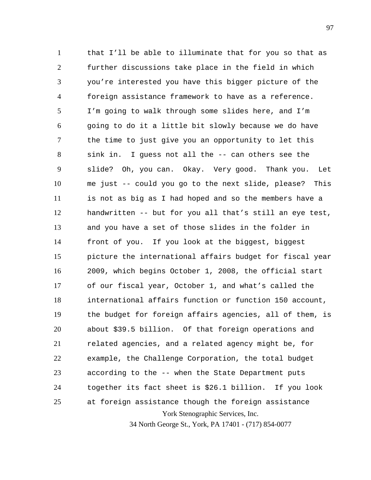York Stenographic Services, Inc. 1 2 3 4 5 6 7 8 9 10 11 12 13 14 15 16 17 18 19 20 21 22 23 24 25 that I'll be able to illuminate that for you so that as further discussions take place in the field in which you're interested you have this bigger picture of the foreign assistance framework to have as a reference. I'm going to walk through some slides here, and I'm going to do it a little bit slowly because we do have the time to just give you an opportunity to let this sink in. I guess not all the -- can others see the slide? Oh, you can. Okay. Very good. Thank you. Let me just -- could you go to the next slide, please? This is not as big as I had hoped and so the members have a handwritten -- but for you all that's still an eye test, and you have a set of those slides in the folder in front of you. If you look at the biggest, biggest picture the international affairs budget for fiscal year 2009, which begins October 1, 2008, the official start of our fiscal year, October 1, and what's called the international affairs function or function 150 account, the budget for foreign affairs agencies, all of them, is about \$39.5 billion. Of that foreign operations and related agencies, and a related agency might be, for example, the Challenge Corporation, the total budget according to the -- when the State Department puts together its fact sheet is \$26.1 billion. If you look at foreign assistance though the foreign assistance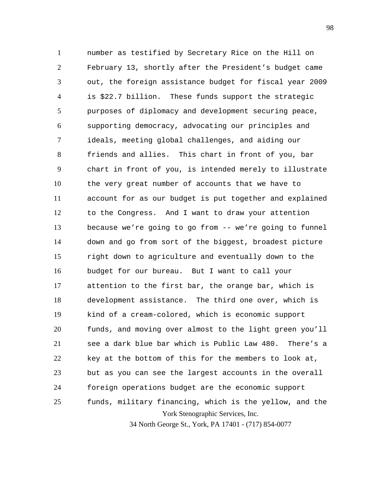York Stenographic Services, Inc. 1 2 3 4 5 6 7 8 9 10 11 12 13 14 15 16 17 18 19 20 21 22 23 24 25 number as testified by Secretary Rice on the Hill on February 13, shortly after the President's budget came out, the foreign assistance budget for fiscal year 2009 is \$22.7 billion. These funds support the strategic purposes of diplomacy and development securing peace, supporting democracy, advocating our principles and ideals, meeting global challenges, and aiding our friends and allies. This chart in front of you, bar chart in front of you, is intended merely to illustrate the very great number of accounts that we have to account for as our budget is put together and explained to the Congress. And I want to draw your attention because we're going to go from -- we're going to funnel down and go from sort of the biggest, broadest picture right down to agriculture and eventually down to the budget for our bureau. But I want to call your attention to the first bar, the orange bar, which is development assistance. The third one over, which is kind of a cream-colored, which is economic support funds, and moving over almost to the light green you'll see a dark blue bar which is Public Law 480. There's a key at the bottom of this for the members to look at, but as you can see the largest accounts in the overall foreign operations budget are the economic support funds, military financing, which is the yellow, and the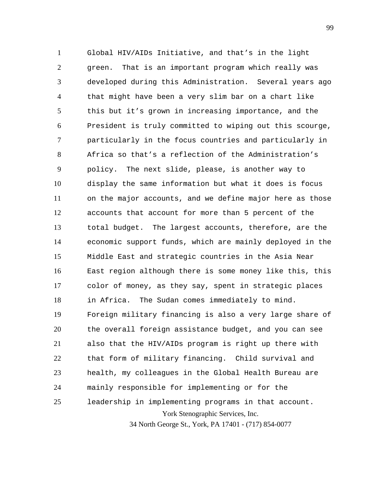York Stenographic Services, Inc. 1 2 3 4 5 6 7 8 9 10 11 12 13 14 15 16 17 18 19 20 21 22 23 24 25 Global HIV/AIDs Initiative, and that's in the light green. That is an important program which really was developed during this Administration. Several years ago that might have been a very slim bar on a chart like this but it's grown in increasing importance, and the President is truly committed to wiping out this scourge, particularly in the focus countries and particularly in Africa so that's a reflection of the Administration's policy. The next slide, please, is another way to display the same information but what it does is focus on the major accounts, and we define major here as those accounts that account for more than 5 percent of the total budget. The largest accounts, therefore, are the economic support funds, which are mainly deployed in the Middle East and strategic countries in the Asia Near East region although there is some money like this, this color of money, as they say, spent in strategic places in Africa. The Sudan comes immediately to mind. Foreign military financing is also a very large share of the overall foreign assistance budget, and you can see also that the HIV/AIDs program is right up there with that form of military financing. Child survival and health, my colleagues in the Global Health Bureau are mainly responsible for implementing or for the leadership in implementing programs in that account.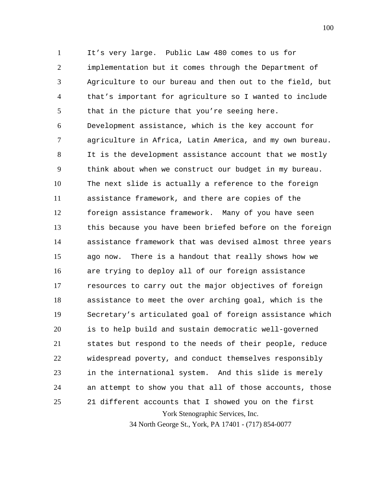York Stenographic Services, Inc. 1 2 3 4 5 6 7 8 9 10 11 12 13 14 15 16 17 18 19 20 21 22 23 24 25 It's very large. Public Law 480 comes to us for implementation but it comes through the Department of Agriculture to our bureau and then out to the field, but that's important for agriculture so I wanted to include that in the picture that you're seeing here. Development assistance, which is the key account for agriculture in Africa, Latin America, and my own bureau. It is the development assistance account that we mostly think about when we construct our budget in my bureau. The next slide is actually a reference to the foreign assistance framework, and there are copies of the foreign assistance framework. Many of you have seen this because you have been briefed before on the foreign assistance framework that was devised almost three years ago now. There is a handout that really shows how we are trying to deploy all of our foreign assistance resources to carry out the major objectives of foreign assistance to meet the over arching goal, which is the Secretary's articulated goal of foreign assistance which is to help build and sustain democratic well-governed states but respond to the needs of their people, reduce widespread poverty, and conduct themselves responsibly in the international system. And this slide is merely an attempt to show you that all of those accounts, those 21 different accounts that I showed you on the first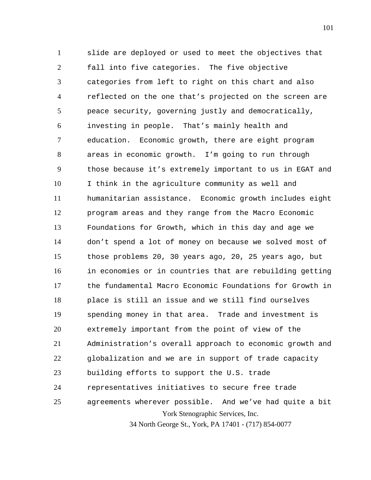York Stenographic Services, Inc. 34 North George St., York, PA 17401 - (717) 854-0077 1 2 3 4 5 6 7 8 9 10 11 12 13 14 15 16 17 18 19 20 21 22 23 24 25 slide are deployed or used to meet the objectives that fall into five categories. The five objective categories from left to right on this chart and also reflected on the one that's projected on the screen are peace security, governing justly and democratically, investing in people. That's mainly health and education. Economic growth, there are eight program areas in economic growth. I'm going to run through those because it's extremely important to us in EGAT and I think in the agriculture community as well and humanitarian assistance. Economic growth includes eight program areas and they range from the Macro Economic Foundations for Growth, which in this day and age we don't spend a lot of money on because we solved most of those problems 20, 30 years ago, 20, 25 years ago, but in economies or in countries that are rebuilding getting the fundamental Macro Economic Foundations for Growth in place is still an issue and we still find ourselves spending money in that area. Trade and investment is extremely important from the point of view of the Administration's overall approach to economic growth and globalization and we are in support of trade capacity building efforts to support the U.S. trade representatives initiatives to secure free trade agreements wherever possible. And we've had quite a bit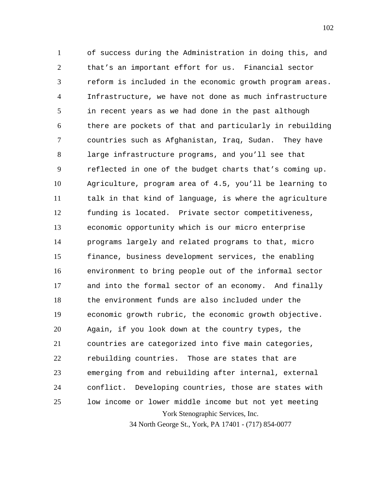York Stenographic Services, Inc. 1 2 3 4 5 6 7 8 9 10 11 12 13 14 15 16 17 18 19 20 21 22 23 24 25 of success during the Administration in doing this, and that's an important effort for us. Financial sector reform is included in the economic growth program areas. Infrastructure, we have not done as much infrastructure in recent years as we had done in the past although there are pockets of that and particularly in rebuilding countries such as Afghanistan, Iraq, Sudan. They have large infrastructure programs, and you'll see that reflected in one of the budget charts that's coming up. Agriculture, program area of 4.5, you'll be learning to talk in that kind of language, is where the agriculture funding is located. Private sector competitiveness, economic opportunity which is our micro enterprise programs largely and related programs to that, micro finance, business development services, the enabling environment to bring people out of the informal sector and into the formal sector of an economy. And finally the environment funds are also included under the economic growth rubric, the economic growth objective. Again, if you look down at the country types, the countries are categorized into five main categories, rebuilding countries. Those are states that are emerging from and rebuilding after internal, external conflict. Developing countries, those are states with low income or lower middle income but not yet meeting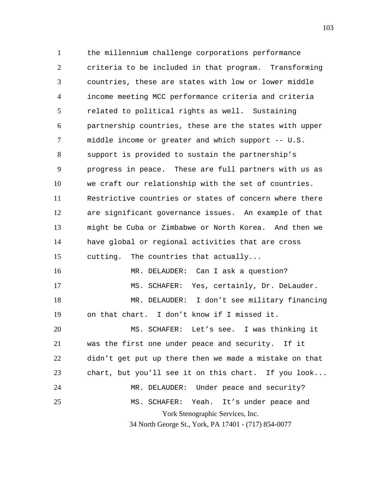York Stenographic Services, Inc. 34 North George St., York, PA 17401 - (717) 854-0077 1 2 3 4 5 6 7 8 9 10 11 12 13 14 15 16 17 18 19 20 21 22 23 24 25 the millennium challenge corporations performance criteria to be included in that program. Transforming countries, these are states with low or lower middle income meeting MCC performance criteria and criteria related to political rights as well. Sustaining partnership countries, these are the states with upper middle income or greater and which support -- U.S. support is provided to sustain the partnership's progress in peace. These are full partners with us as we craft our relationship with the set of countries. Restrictive countries or states of concern where there are significant governance issues. An example of that might be Cuba or Zimbabwe or North Korea. And then we have global or regional activities that are cross cutting. The countries that actually... MR. DELAUDER: Can I ask a question? MS. SCHAFER: Yes, certainly, Dr. DeLauder. MR. DELAUDER: I don't see military financing on that chart. I don't know if I missed it. MS. SCHAFER: Let's see. I was thinking it was the first one under peace and security. If it didn't get put up there then we made a mistake on that chart, but you'll see it on this chart. If you look... MR. DELAUDER: Under peace and security? MS. SCHAFER: Yeah. It's under peace and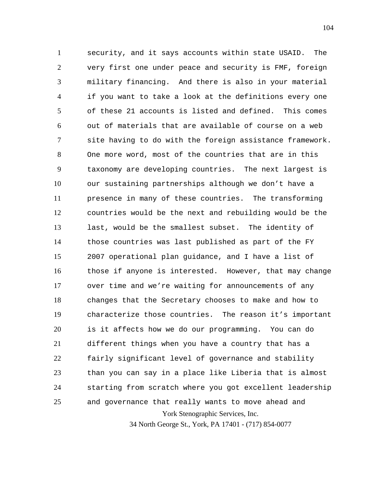York Stenographic Services, Inc. 1 2 3 4 5 6 7 8 9 10 11 12 13 14 15 16 17 18 19 20 21 22 23 24 25 security, and it says accounts within state USAID. The very first one under peace and security is FMF, foreign military financing. And there is also in your material if you want to take a look at the definitions every one of these 21 accounts is listed and defined. This comes out of materials that are available of course on a web site having to do with the foreign assistance framework. One more word, most of the countries that are in this taxonomy are developing countries. The next largest is our sustaining partnerships although we don't have a presence in many of these countries. The transforming countries would be the next and rebuilding would be the last, would be the smallest subset. The identity of those countries was last published as part of the FY 2007 operational plan guidance, and I have a list of those if anyone is interested. However, that may change over time and we're waiting for announcements of any changes that the Secretary chooses to make and how to characterize those countries. The reason it's important is it affects how we do our programming. You can do different things when you have a country that has a fairly significant level of governance and stability than you can say in a place like Liberia that is almost starting from scratch where you got excellent leadership and governance that really wants to move ahead and

34 North George St., York, PA 17401 - (717) 854-0077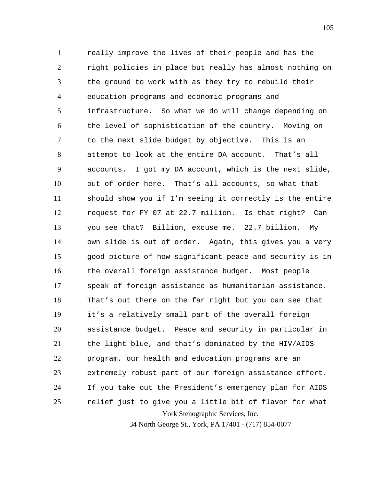York Stenographic Services, Inc. 1 2 3 4 5 6 7 8 9 10 11 12 13 14 15 16 17 18 19 20 21 22 23 24 25 really improve the lives of their people and has the right policies in place but really has almost nothing on the ground to work with as they try to rebuild their education programs and economic programs and infrastructure. So what we do will change depending on the level of sophistication of the country. Moving on to the next slide budget by objective. This is an attempt to look at the entire DA account. That's all accounts. I got my DA account, which is the next slide, out of order here. That's all accounts, so what that should show you if I'm seeing it correctly is the entire request for FY 07 at 22.7 million. Is that right? Can you see that? Billion, excuse me. 22.7 billion. My own slide is out of order. Again, this gives you a very good picture of how significant peace and security is in the overall foreign assistance budget. Most people speak of foreign assistance as humanitarian assistance. That's out there on the far right but you can see that it's a relatively small part of the overall foreign assistance budget. Peace and security in particular in the light blue, and that's dominated by the HIV/AIDS program, our health and education programs are an extremely robust part of our foreign assistance effort. If you take out the President's emergency plan for AIDS relief just to give you a little bit of flavor for what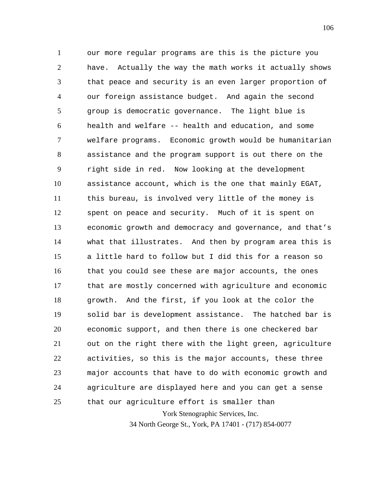York Stenographic Services, Inc. 1 2 3 4 5 6 7 8 9 10 11 12 13 14 15 16 17 18 19 20 21 22 23 24 25 our more regular programs are this is the picture you have. Actually the way the math works it actually shows that peace and security is an even larger proportion of our foreign assistance budget. And again the second group is democratic governance. The light blue is health and welfare -- health and education, and some welfare programs. Economic growth would be humanitarian assistance and the program support is out there on the right side in red. Now looking at the development assistance account, which is the one that mainly EGAT, this bureau, is involved very little of the money is spent on peace and security. Much of it is spent on economic growth and democracy and governance, and that's what that illustrates. And then by program area this is a little hard to follow but I did this for a reason so that you could see these are major accounts, the ones that are mostly concerned with agriculture and economic growth. And the first, if you look at the color the solid bar is development assistance. The hatched bar is economic support, and then there is one checkered bar out on the right there with the light green, agriculture activities, so this is the major accounts, these three major accounts that have to do with economic growth and agriculture are displayed here and you can get a sense that our agriculture effort is smaller than

34 North George St., York, PA 17401 - (717) 854-0077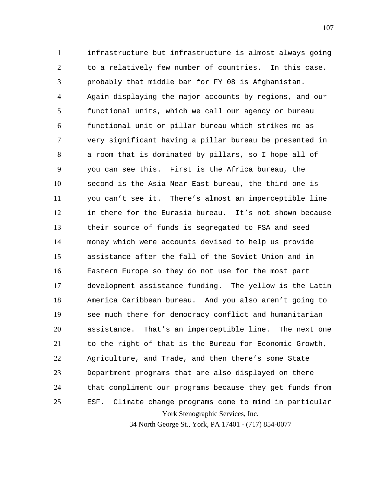York Stenographic Services, Inc. 1 2 3 4 5 6 7 8 9 10 11 12 13 14 15 16 17 18 19 20 21 22 23 24 25 infrastructure but infrastructure is almost always going to a relatively few number of countries. In this case, probably that middle bar for FY 08 is Afghanistan. Again displaying the major accounts by regions, and our functional units, which we call our agency or bureau functional unit or pillar bureau which strikes me as very significant having a pillar bureau be presented in a room that is dominated by pillars, so I hope all of you can see this. First is the Africa bureau, the second is the Asia Near East bureau, the third one is - you can't see it. There's almost an imperceptible line in there for the Eurasia bureau. It's not shown because their source of funds is segregated to FSA and seed money which were accounts devised to help us provide assistance after the fall of the Soviet Union and in Eastern Europe so they do not use for the most part development assistance funding. The yellow is the Latin America Caribbean bureau. And you also aren't going to see much there for democracy conflict and humanitarian assistance. That's an imperceptible line. The next one to the right of that is the Bureau for Economic Growth, Agriculture, and Trade, and then there's some State Department programs that are also displayed on there that compliment our programs because they get funds from ESF. Climate change programs come to mind in particular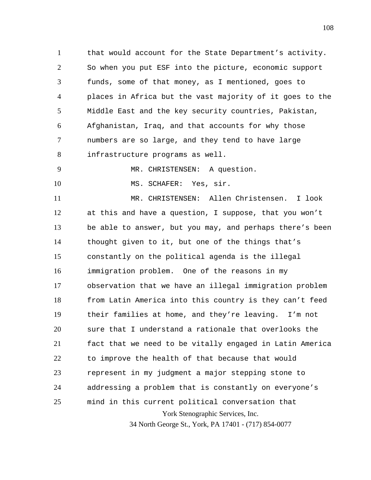1 2 3 4 5 6 7 8 that would account for the State Department's activity. So when you put ESF into the picture, economic support funds, some of that money, as I mentioned, goes to places in Africa but the vast majority of it goes to the Middle East and the key security countries, Pakistan, Afghanistan, Iraq, and that accounts for why those numbers are so large, and they tend to have large infrastructure programs as well.

9 10 MR. CHRISTENSEN: A question.

MS. SCHAFER: Yes, sir.

York Stenographic Services, Inc. 34 North George St., York, PA 17401 - (717) 854-0077 11 12 13 14 15 16 17 18 19 20 21 22 23 24 25 MR. CHRISTENSEN: Allen Christensen. I look at this and have a question, I suppose, that you won't be able to answer, but you may, and perhaps there's been thought given to it, but one of the things that's constantly on the political agenda is the illegal immigration problem. One of the reasons in my observation that we have an illegal immigration problem from Latin America into this country is they can't feed their families at home, and they're leaving. I'm not sure that I understand a rationale that overlooks the fact that we need to be vitally engaged in Latin America to improve the health of that because that would represent in my judgment a major stepping stone to addressing a problem that is constantly on everyone's mind in this current political conversation that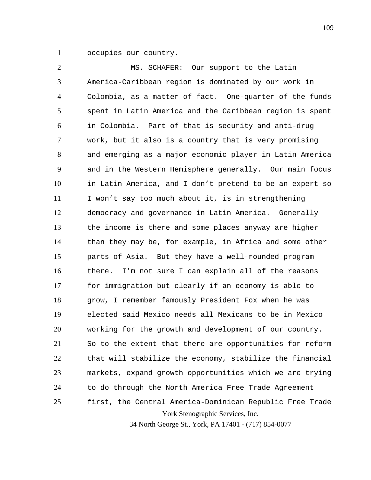1 occupies our country.

York Stenographic Services, Inc. 2 3 4 5 6 7 8 9 10 11 12 13 14 15 16 17 18 19 20 21 22 23 24 25 MS. SCHAFER: Our support to the Latin America-Caribbean region is dominated by our work in Colombia, as a matter of fact. One-quarter of the funds spent in Latin America and the Caribbean region is spent in Colombia. Part of that is security and anti-drug work, but it also is a country that is very promising and emerging as a major economic player in Latin America and in the Western Hemisphere generally. Our main focus in Latin America, and I don't pretend to be an expert so I won't say too much about it, is in strengthening democracy and governance in Latin America. Generally the income is there and some places anyway are higher than they may be, for example, in Africa and some other parts of Asia. But they have a well-rounded program there. I'm not sure I can explain all of the reasons for immigration but clearly if an economy is able to grow, I remember famously President Fox when he was elected said Mexico needs all Mexicans to be in Mexico working for the growth and development of our country. So to the extent that there are opportunities for reform that will stabilize the economy, stabilize the financial markets, expand growth opportunities which we are trying to do through the North America Free Trade Agreement first, the Central America-Dominican Republic Free Trade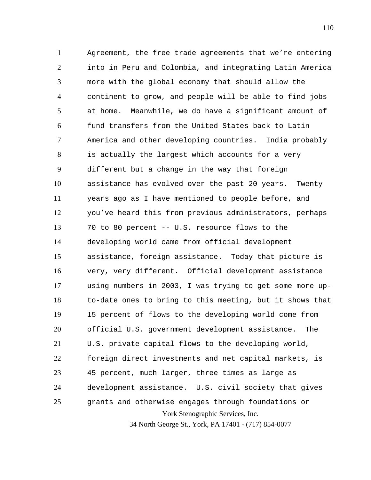York Stenographic Services, Inc. 1 2 3 4 5 6 7 8 9 10 11 12 13 14 15 16 17 18 19 20 21 22 23 24 25 Agreement, the free trade agreements that we're entering into in Peru and Colombia, and integrating Latin America more with the global economy that should allow the continent to grow, and people will be able to find jobs at home. Meanwhile, we do have a significant amount of fund transfers from the United States back to Latin America and other developing countries. India probably is actually the largest which accounts for a very different but a change in the way that foreign assistance has evolved over the past 20 years. Twenty years ago as I have mentioned to people before, and you've heard this from previous administrators, perhaps 70 to 80 percent -- U.S. resource flows to the developing world came from official development assistance, foreign assistance. Today that picture is very, very different. Official development assistance using numbers in 2003, I was trying to get some more upto-date ones to bring to this meeting, but it shows that 15 percent of flows to the developing world come from official U.S. government development assistance. The U.S. private capital flows to the developing world, foreign direct investments and net capital markets, is 45 percent, much larger, three times as large as development assistance. U.S. civil society that gives grants and otherwise engages through foundations or

34 North George St., York, PA 17401 - (717) 854-0077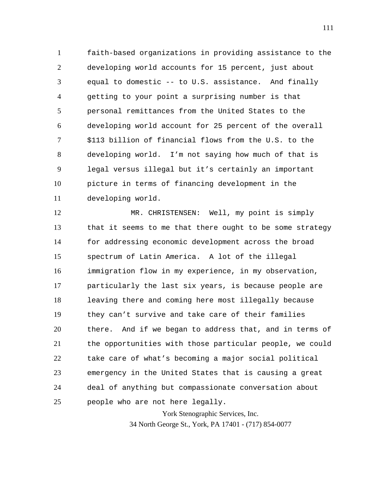1 2 3 4 5 6 7 8 9 10 11 faith-based organizations in providing assistance to the developing world accounts for 15 percent, just about equal to domestic -- to U.S. assistance. And finally getting to your point a surprising number is that personal remittances from the United States to the developing world account for 25 percent of the overall \$113 billion of financial flows from the U.S. to the developing world. I'm not saying how much of that is legal versus illegal but it's certainly an important picture in terms of financing development in the developing world.

12 13 14 15 16 17 18 19 20 21 22 23 24 25 MR. CHRISTENSEN: Well, my point is simply that it seems to me that there ought to be some strategy for addressing economic development across the broad spectrum of Latin America. A lot of the illegal immigration flow in my experience, in my observation, particularly the last six years, is because people are leaving there and coming here most illegally because they can't survive and take care of their families there. And if we began to address that, and in terms of the opportunities with those particular people, we could take care of what's becoming a major social political emergency in the United States that is causing a great deal of anything but compassionate conversation about people who are not here legally.

York Stenographic Services, Inc.

34 North George St., York, PA 17401 - (717) 854-0077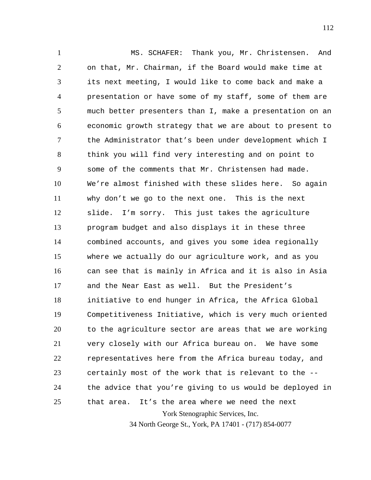York Stenographic Services, Inc. 34 North George St., York, PA 17401 - (717) 854-0077 1 2 3 4 5 6 7 8 9 10 11 12 13 14 15 16 17 18 19 20 21 22 23 24 25 MS. SCHAFER: Thank you, Mr. Christensen. And on that, Mr. Chairman, if the Board would make time at its next meeting, I would like to come back and make a presentation or have some of my staff, some of them are much better presenters than I, make a presentation on an economic growth strategy that we are about to present to the Administrator that's been under development which I think you will find very interesting and on point to some of the comments that Mr. Christensen had made. We're almost finished with these slides here. So again why don't we go to the next one. This is the next slide. I'm sorry. This just takes the agriculture program budget and also displays it in these three combined accounts, and gives you some idea regionally where we actually do our agriculture work, and as you can see that is mainly in Africa and it is also in Asia and the Near East as well. But the President's initiative to end hunger in Africa, the Africa Global Competitiveness Initiative, which is very much oriented to the agriculture sector are areas that we are working very closely with our Africa bureau on. We have some representatives here from the Africa bureau today, and certainly most of the work that is relevant to the - the advice that you're giving to us would be deployed in that area. It's the area where we need the next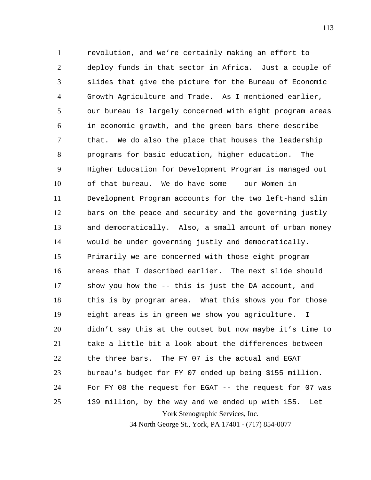York Stenographic Services, Inc. 1 2 3 4 5 6 7 8 9 10 11 12 13 14 15 16 17 18 19 20 21 22 23 24 25 revolution, and we're certainly making an effort to deploy funds in that sector in Africa. Just a couple of slides that give the picture for the Bureau of Economic Growth Agriculture and Trade. As I mentioned earlier, our bureau is largely concerned with eight program areas in economic growth, and the green bars there describe that. We do also the place that houses the leadership programs for basic education, higher education. The Higher Education for Development Program is managed out of that bureau. We do have some -- our Women in Development Program accounts for the two left-hand slim bars on the peace and security and the governing justly and democratically. Also, a small amount of urban money would be under governing justly and democratically. Primarily we are concerned with those eight program areas that I described earlier. The next slide should show you how the -- this is just the DA account, and this is by program area. What this shows you for those eight areas is in green we show you agriculture. I didn't say this at the outset but now maybe it's time to take a little bit a look about the differences between the three bars. The FY 07 is the actual and EGAT bureau's budget for FY 07 ended up being \$155 million. For FY 08 the request for EGAT -- the request for 07 was 139 million, by the way and we ended up with 155. Let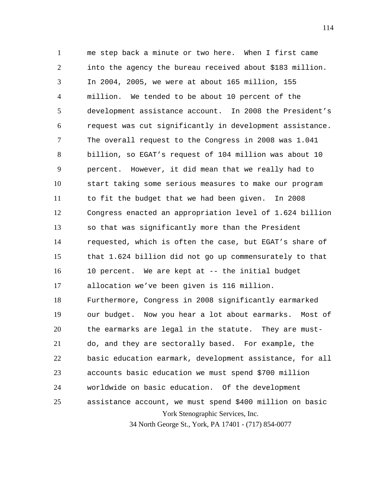York Stenographic Services, Inc. 1 2 3 4 5 6 7 8 9 10 11 12 13 14 15 16 17 18 19 20 21 22 23 24 25 me step back a minute or two here. When I first came into the agency the bureau received about \$183 million. In 2004, 2005, we were at about 165 million, 155 million. We tended to be about 10 percent of the development assistance account. In 2008 the President's request was cut significantly in development assistance. The overall request to the Congress in 2008 was 1.041 billion, so EGAT's request of 104 million was about 10 percent. However, it did mean that we really had to start taking some serious measures to make our program to fit the budget that we had been given. In 2008 Congress enacted an appropriation level of 1.624 billion so that was significantly more than the President requested, which is often the case, but EGAT's share of that 1.624 billion did not go up commensurately to that 10 percent. We are kept at -- the initial budget allocation we've been given is 116 million. Furthermore, Congress in 2008 significantly earmarked our budget. Now you hear a lot about earmarks. Most of the earmarks are legal in the statute. They are mustdo, and they are sectorally based. For example, the basic education earmark, development assistance, for all accounts basic education we must spend \$700 million worldwide on basic education. Of the development assistance account, we must spend \$400 million on basic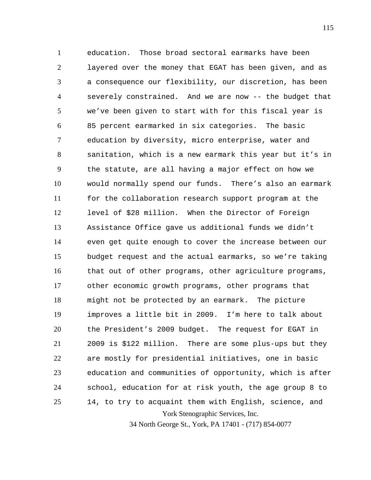York Stenographic Services, Inc. 1 2 3 4 5 6 7 8 9 10 11 12 13 14 15 16 17 18 19 20 21 22 23 24 25 education. Those broad sectoral earmarks have been layered over the money that EGAT has been given, and as a consequence our flexibility, our discretion, has been severely constrained. And we are now -- the budget that we've been given to start with for this fiscal year is 85 percent earmarked in six categories. The basic education by diversity, micro enterprise, water and sanitation, which is a new earmark this year but it's in the statute, are all having a major effect on how we would normally spend our funds. There's also an earmark for the collaboration research support program at the level of \$28 million. When the Director of Foreign Assistance Office gave us additional funds we didn't even get quite enough to cover the increase between our budget request and the actual earmarks, so we're taking that out of other programs, other agriculture programs, other economic growth programs, other programs that might not be protected by an earmark. The picture improves a little bit in 2009. I'm here to talk about the President's 2009 budget. The request for EGAT in 2009 is \$122 million. There are some plus-ups but they are mostly for presidential initiatives, one in basic education and communities of opportunity, which is after school, education for at risk youth, the age group 8 to 14, to try to acquaint them with English, science, and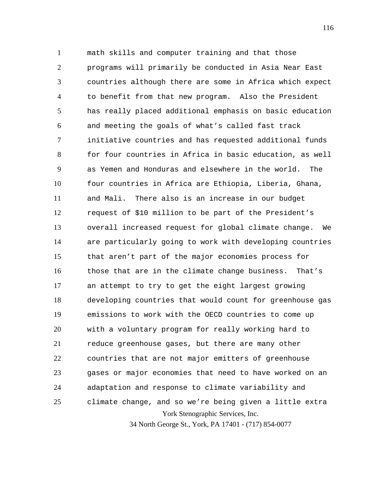York Stenographic Services, Inc. 1 2 3 4 5 6 7 8 9 10 11 12 13 14 15 16 17 18 19 20 21 22 23 24 25 math skills and computer training and that those programs will primarily be conducted in Asia Near East countries although there are some in Africa which expect to benefit from that new program. Also the President has really placed additional emphasis on basic education and meeting the goals of what's called fast track initiative countries and has requested additional funds for four countries in Africa in basic education, as well as Yemen and Honduras and elsewhere in the world. The four countries in Africa are Ethiopia, Liberia, Ghana, and Mali. There also is an increase in our budget request of \$10 million to be part of the President's overall increased request for global climate change. We are particularly going to work with developing countries that aren't part of the major economies process for those that are in the climate change business. That's an attempt to try to get the eight largest growing developing countries that would count for greenhouse gas emissions to work with the OECD countries to come up with a voluntary program for really working hard to reduce greenhouse gases, but there are many other countries that are not major emitters of greenhouse gases or major economies that need to have worked on an adaptation and response to climate variability and climate change, and so we're being given a little extra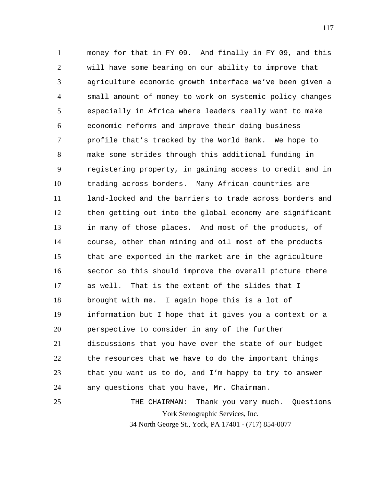1 2 3 4 5 6 7 8 9 10 11 12 13 14 15 16 17 18 19 20 21 22 23 24 25 money for that in FY 09. And finally in FY 09, and this will have some bearing on our ability to improve that agriculture economic growth interface we've been given a small amount of money to work on systemic policy changes especially in Africa where leaders really want to make economic reforms and improve their doing business profile that's tracked by the World Bank. We hope to make some strides through this additional funding in registering property, in gaining access to credit and in trading across borders. Many African countries are land-locked and the barriers to trade across borders and then getting out into the global economy are significant in many of those places. And most of the products, of course, other than mining and oil most of the products that are exported in the market are in the agriculture sector so this should improve the overall picture there as well. That is the extent of the slides that I brought with me. I again hope this is a lot of information but I hope that it gives you a context or a perspective to consider in any of the further discussions that you have over the state of our budget the resources that we have to do the important things that you want us to do, and I'm happy to try to answer any questions that you have, Mr. Chairman. THE CHAIRMAN: Thank you very much. Questions

York Stenographic Services, Inc.

34 North George St., York, PA 17401 - (717) 854-0077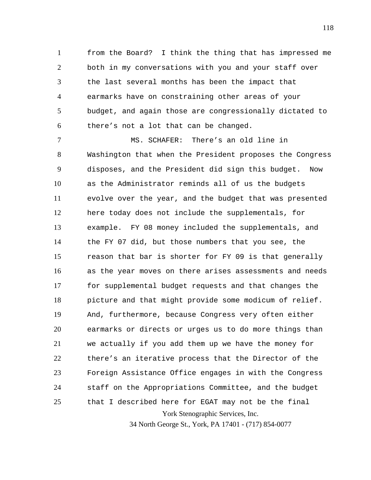1 2 3 4 5 6 from the Board? I think the thing that has impressed me both in my conversations with you and your staff over the last several months has been the impact that earmarks have on constraining other areas of your budget, and again those are congressionally dictated to there's not a lot that can be changed.

York Stenographic Services, Inc. 34 North George St., York, PA 17401 - (717) 854-0077 7 8 9 10 11 12 13 14 15 16 17 18 19 20 21 22 23 24 25 MS. SCHAFER: There's an old line in Washington that when the President proposes the Congress disposes, and the President did sign this budget. Now as the Administrator reminds all of us the budgets evolve over the year, and the budget that was presented here today does not include the supplementals, for example. FY 08 money included the supplementals, and the FY 07 did, but those numbers that you see, the reason that bar is shorter for FY 09 is that generally as the year moves on there arises assessments and needs for supplemental budget requests and that changes the picture and that might provide some modicum of relief. And, furthermore, because Congress very often either earmarks or directs or urges us to do more things than we actually if you add them up we have the money for there's an iterative process that the Director of the Foreign Assistance Office engages in with the Congress staff on the Appropriations Committee, and the budget that I described here for EGAT may not be the final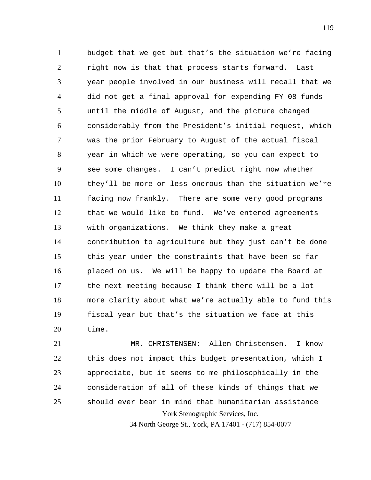1 2 3 4 5 6 7 8 9 10 11 12 13 14 15 16 17 18 19 20 budget that we get but that's the situation we're facing right now is that that process starts forward. Last year people involved in our business will recall that we did not get a final approval for expending FY 08 funds until the middle of August, and the picture changed considerably from the President's initial request, which was the prior February to August of the actual fiscal year in which we were operating, so you can expect to see some changes. I can't predict right now whether they'll be more or less onerous than the situation we're facing now frankly. There are some very good programs that we would like to fund. We've entered agreements with organizations. We think they make a great contribution to agriculture but they just can't be done this year under the constraints that have been so far placed on us. We will be happy to update the Board at the next meeting because I think there will be a lot more clarity about what we're actually able to fund this fiscal year but that's the situation we face at this time.

York Stenographic Services, Inc. 21 22 23 24 25 MR. CHRISTENSEN: Allen Christensen. I know this does not impact this budget presentation, which I appreciate, but it seems to me philosophically in the consideration of all of these kinds of things that we should ever bear in mind that humanitarian assistance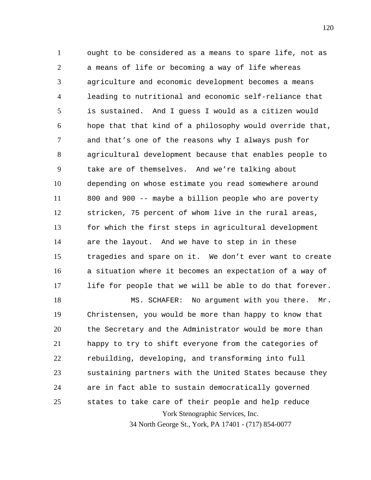1 2 3 4 5 6 7 8 9 10 11 12 13 14 15 16 17 ought to be considered as a means to spare life, not as a means of life or becoming a way of life whereas agriculture and economic development becomes a means leading to nutritional and economic self-reliance that is sustained. And I guess I would as a citizen would hope that that kind of a philosophy would override that, and that's one of the reasons why I always push for agricultural development because that enables people to take are of themselves. And we're talking about depending on whose estimate you read somewhere around 800 and 900 -- maybe a billion people who are poverty stricken, 75 percent of whom live in the rural areas, for which the first steps in agricultural development are the layout. And we have to step in in these tragedies and spare on it. We don't ever want to create a situation where it becomes an expectation of a way of life for people that we will be able to do that forever.

York Stenographic Services, Inc. 18 19 20 21 22 23 24 25 MS. SCHAFER: No argument with you there. Mr. Christensen, you would be more than happy to know that the Secretary and the Administrator would be more than happy to try to shift everyone from the categories of rebuilding, developing, and transforming into full sustaining partners with the United States because they are in fact able to sustain democratically governed states to take care of their people and help reduce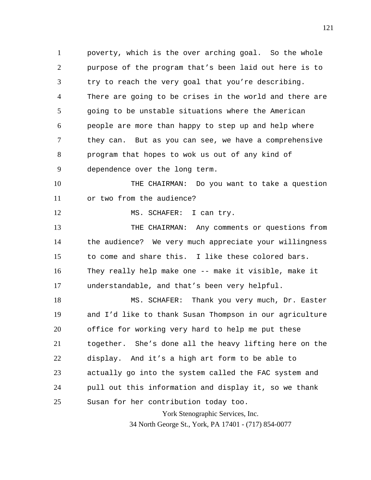1 2 3 4 5 6 7 8 9 10 11 12 13 14 15 16 17 18 19 20 poverty, which is the over arching goal. So the whole purpose of the program that's been laid out here is to try to reach the very goal that you're describing. There are going to be crises in the world and there are going to be unstable situations where the American people are more than happy to step up and help where they can. But as you can see, we have a comprehensive program that hopes to wok us out of any kind of dependence over the long term. THE CHAIRMAN: Do you want to take a question or two from the audience? MS. SCHAFER: I can try. THE CHAIRMAN: Any comments or questions from the audience? We very much appreciate your willingness to come and share this. I like these colored bars. They really help make one -- make it visible, make it understandable, and that's been very helpful. MS. SCHAFER: Thank you very much, Dr. Easter and I'd like to thank Susan Thompson in our agriculture office for working very hard to help me put these

21 22 23 24 together. She's done all the heavy lifting here on the display. And it's a high art form to be able to actually go into the system called the FAC system and pull out this information and display it, so we thank

25

Susan for her contribution today too.

York Stenographic Services, Inc. 34 North George St., York, PA 17401 - (717) 854-0077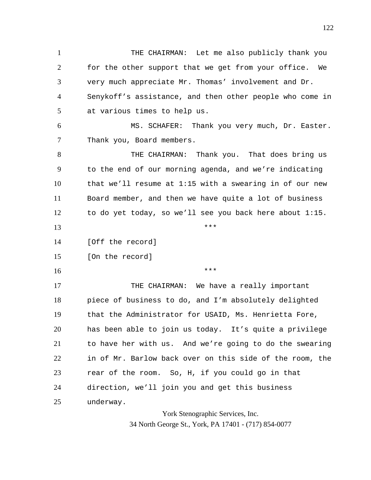1 2 3 4 5 6 THE CHAIRMAN: Let me also publicly thank you for the other support that we get from your office. We very much appreciate Mr. Thomas' involvement and Dr. Senykoff's assistance, and then other people who come in at various times to help us. MS. SCHAFER: Thank you very much, Dr. Easter.

7 Thank you, Board members.

8 9 10 11 12 THE CHAIRMAN: Thank you. That does bring us to the end of our morning agenda, and we're indicating that we'll resume at 1:15 with a swearing in of our new Board member, and then we have quite a lot of business to do yet today, so we'll see you back here about 1:15.

\*\*\*

\*\*\*

14 [Off the record]

15 [On the record]

16

13

17 18 19 20 21 22 23 24 25 THE CHAIRMAN: We have a really important piece of business to do, and I'm absolutely delighted that the Administrator for USAID, Ms. Henrietta Fore, has been able to join us today. It's quite a privilege to have her with us. And we're going to do the swearing in of Mr. Barlow back over on this side of the room, the rear of the room. So, H, if you could go in that direction, we'll join you and get this business underway.

> York Stenographic Services, Inc. 34 North George St., York, PA 17401 - (717) 854-0077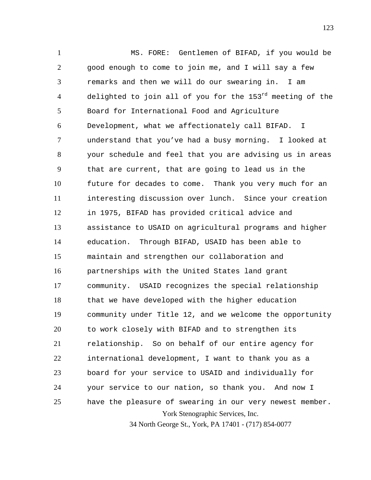York Stenographic Services, Inc. 1 2 3 4 5 6 7 8 9 10 11 12 13 14 15 16 17 18 19 20 21 22 23 24 25 MS. FORE: Gentlemen of BIFAD, if you would be good enough to come to join me, and I will say a few remarks and then we will do our swearing in. I am delighted to join all of you for the  $153^{rd}$  meeting of the Board for International Food and Agriculture Development, what we affectionately call BIFAD. I understand that you've had a busy morning. I looked at your schedule and feel that you are advising us in areas that are current, that are going to lead us in the future for decades to come. Thank you very much for an interesting discussion over lunch. Since your creation in 1975, BIFAD has provided critical advice and assistance to USAID on agricultural programs and higher education. Through BIFAD, USAID has been able to maintain and strengthen our collaboration and partnerships with the United States land grant community. USAID recognizes the special relationship that we have developed with the higher education community under Title 12, and we welcome the opportunity to work closely with BIFAD and to strengthen its relationship. So on behalf of our entire agency for international development, I want to thank you as a board for your service to USAID and individually for your service to our nation, so thank you. And now I have the pleasure of swearing in our very newest member.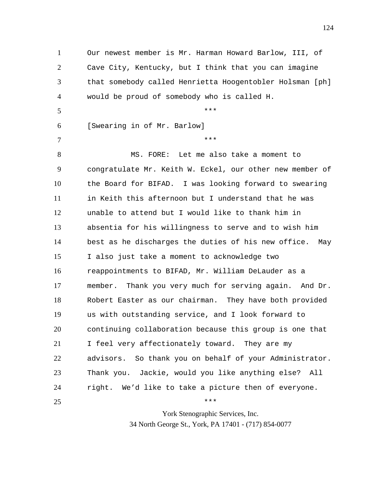1 2 3 4 5 6 7 8 9 10 11 12 13 14 15 16 17 18 19 20 21 22 23 24 25 Our newest member is Mr. Harman Howard Barlow, III, of Cave City, Kentucky, but I think that you can imagine that somebody called Henrietta Hoogentobler Holsman [ph] would be proud of somebody who is called H. \*\*\* [Swearing in of Mr. Barlow] \*\*\* MS. FORE: Let me also take a moment to congratulate Mr. Keith W. Eckel, our other new member of the Board for BIFAD. I was looking forward to swearing in Keith this afternoon but I understand that he was unable to attend but I would like to thank him in absentia for his willingness to serve and to wish him best as he discharges the duties of his new office. May I also just take a moment to acknowledge two reappointments to BIFAD, Mr. William DeLauder as a member. Thank you very much for serving again. And Dr. Robert Easter as our chairman. They have both provided us with outstanding service, and I look forward to continuing collaboration because this group is one that I feel very affectionately toward. They are my advisors. So thank you on behalf of your Administrator. Thank you. Jackie, would you like anything else? All right. We'd like to take a picture then of everyone. \*\*\*

> York Stenographic Services, Inc. 34 North George St., York, PA 17401 - (717) 854-0077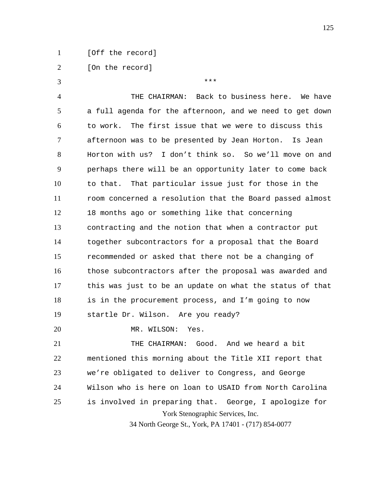1 [Off the record]

2 [On the record]

York Stenographic Services, Inc. 34 North George St., York, PA 17401 - (717) 854-0077 3 4 5 6 7 8 9 10 11 12 13 14 15 16 17 18 19 20 21 22 23 24 25 \*\*\* THE CHAIRMAN: Back to business here. We have a full agenda for the afternoon, and we need to get down to work. The first issue that we were to discuss this afternoon was to be presented by Jean Horton. Is Jean Horton with us? I don't think so. So we'll move on and perhaps there will be an opportunity later to come back to that. That particular issue just for those in the room concerned a resolution that the Board passed almost 18 months ago or something like that concerning contracting and the notion that when a contractor put together subcontractors for a proposal that the Board recommended or asked that there not be a changing of those subcontractors after the proposal was awarded and this was just to be an update on what the status of that is in the procurement process, and I'm going to now startle Dr. Wilson. Are you ready? MR. WILSON: Yes. THE CHAIRMAN: Good. And we heard a bit mentioned this morning about the Title XII report that we're obligated to deliver to Congress, and George Wilson who is here on loan to USAID from North Carolina is involved in preparing that. George, I apologize for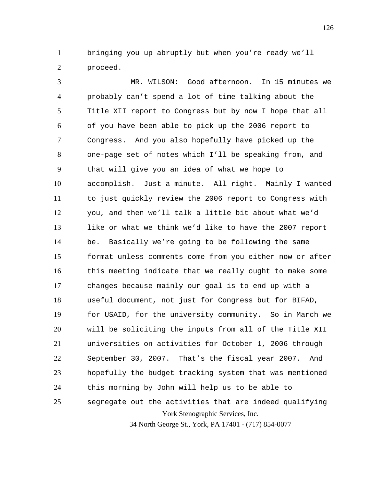1 2 bringing you up abruptly but when you're ready we'll proceed.

York Stenographic Services, Inc. 3 4 5 6 7 8 9 10 11 12 13 14 15 16 17 18 19 20 21 22 23 24 25 MR. WILSON: Good afternoon. In 15 minutes we probably can't spend a lot of time talking about the Title XII report to Congress but by now I hope that all of you have been able to pick up the 2006 report to Congress. And you also hopefully have picked up the one-page set of notes which I'll be speaking from, and that will give you an idea of what we hope to accomplish. Just a minute. All right. Mainly I wanted to just quickly review the 2006 report to Congress with you, and then we'll talk a little bit about what we'd like or what we think we'd like to have the 2007 report be. Basically we're going to be following the same format unless comments come from you either now or after this meeting indicate that we really ought to make some changes because mainly our goal is to end up with a useful document, not just for Congress but for BIFAD, for USAID, for the university community. So in March we will be soliciting the inputs from all of the Title XII universities on activities for October 1, 2006 through September 30, 2007. That's the fiscal year 2007. And hopefully the budget tracking system that was mentioned this morning by John will help us to be able to segregate out the activities that are indeed qualifying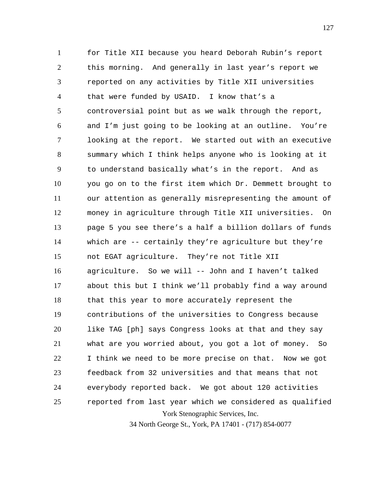York Stenographic Services, Inc. 1 2 3 4 5 6 7 8 9 10 11 12 13 14 15 16 17 18 19 20 21 22 23 24 25 for Title XII because you heard Deborah Rubin's report this morning. And generally in last year's report we reported on any activities by Title XII universities that were funded by USAID. I know that's a controversial point but as we walk through the report, and I'm just going to be looking at an outline. You're looking at the report. We started out with an executive summary which I think helps anyone who is looking at it to understand basically what's in the report. And as you go on to the first item which Dr. Demmett brought to our attention as generally misrepresenting the amount of money in agriculture through Title XII universities. On page 5 you see there's a half a billion dollars of funds which are -- certainly they're agriculture but they're not EGAT agriculture. They're not Title XII agriculture. So we will -- John and I haven't talked about this but I think we'll probably find a way around that this year to more accurately represent the contributions of the universities to Congress because like TAG [ph] says Congress looks at that and they say what are you worried about, you got a lot of money. So I think we need to be more precise on that. Now we got feedback from 32 universities and that means that not everybody reported back. We got about 120 activities reported from last year which we considered as qualified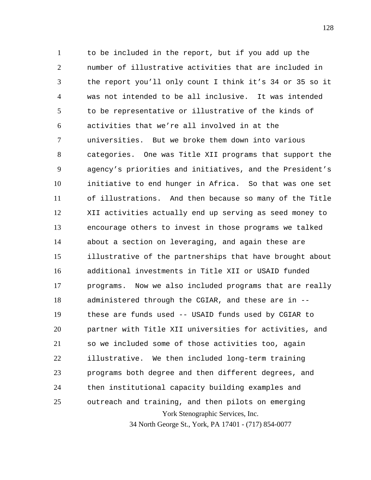York Stenographic Services, Inc. 1 2 3 4 5 6 7 8 9 10 11 12 13 14 15 16 17 18 19 20 21 22 23 24 25 to be included in the report, but if you add up the number of illustrative activities that are included in the report you'll only count I think it's 34 or 35 so it was not intended to be all inclusive. It was intended to be representative or illustrative of the kinds of activities that we're all involved in at the universities. But we broke them down into various categories. One was Title XII programs that support the agency's priorities and initiatives, and the President's initiative to end hunger in Africa. So that was one set of illustrations. And then because so many of the Title XII activities actually end up serving as seed money to encourage others to invest in those programs we talked about a section on leveraging, and again these are illustrative of the partnerships that have brought about additional investments in Title XII or USAID funded programs. Now we also included programs that are really administered through the CGIAR, and these are in - these are funds used -- USAID funds used by CGIAR to partner with Title XII universities for activities, and so we included some of those activities too, again illustrative. We then included long-term training programs both degree and then different degrees, and then institutional capacity building examples and outreach and training, and then pilots on emerging

34 North George St., York, PA 17401 - (717) 854-0077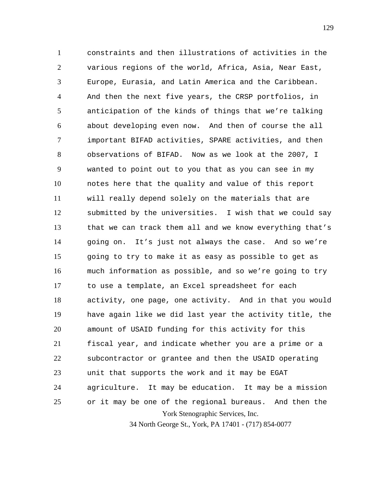York Stenographic Services, Inc. 1 2 3 4 5 6 7 8 9 10 11 12 13 14 15 16 17 18 19 20 21 22 23 24 25 constraints and then illustrations of activities in the various regions of the world, Africa, Asia, Near East, Europe, Eurasia, and Latin America and the Caribbean. And then the next five years, the CRSP portfolios, in anticipation of the kinds of things that we're talking about developing even now. And then of course the all important BIFAD activities, SPARE activities, and then observations of BIFAD. Now as we look at the 2007, I wanted to point out to you that as you can see in my notes here that the quality and value of this report will really depend solely on the materials that are submitted by the universities. I wish that we could say that we can track them all and we know everything that's going on. It's just not always the case. And so we're going to try to make it as easy as possible to get as much information as possible, and so we're going to try to use a template, an Excel spreadsheet for each activity, one page, one activity. And in that you would have again like we did last year the activity title, the amount of USAID funding for this activity for this fiscal year, and indicate whether you are a prime or a subcontractor or grantee and then the USAID operating unit that supports the work and it may be EGAT agriculture. It may be education. It may be a mission or it may be one of the regional bureaus. And then the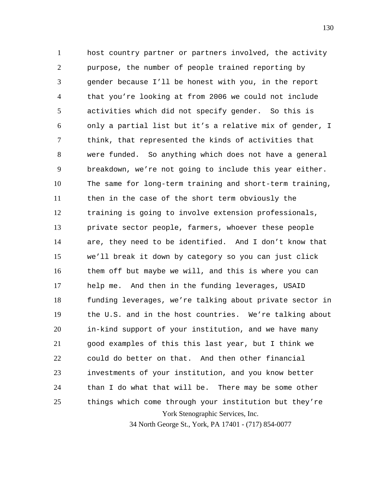York Stenographic Services, Inc. 1 2 3 4 5 6 7 8 9 10 11 12 13 14 15 16 17 18 19 20 21 22 23 24 25 host country partner or partners involved, the activity purpose, the number of people trained reporting by gender because I'll be honest with you, in the report that you're looking at from 2006 we could not include activities which did not specify gender. So this is only a partial list but it's a relative mix of gender, I think, that represented the kinds of activities that were funded. So anything which does not have a general breakdown, we're not going to include this year either. The same for long-term training and short-term training, then in the case of the short term obviously the training is going to involve extension professionals, private sector people, farmers, whoever these people are, they need to be identified. And I don't know that we'll break it down by category so you can just click them off but maybe we will, and this is where you can help me. And then in the funding leverages, USAID funding leverages, we're talking about private sector in the U.S. and in the host countries. We're talking about in-kind support of your institution, and we have many good examples of this this last year, but I think we could do better on that. And then other financial investments of your institution, and you know better than I do what that will be. There may be some other things which come through your institution but they're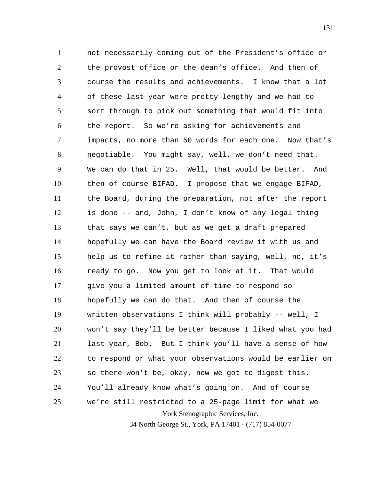York Stenographic Services, Inc. 1 2 3 4 5 6 7 8 9 10 11 12 13 14 15 16 17 18 19 20 21 22 23 24 25 not necessarily coming out of the President's office or the provost office or the dean's office. And then of course the results and achievements. I know that a lot of these last year were pretty lengthy and we had to sort through to pick out something that would fit into the report. So we're asking for achievements and impacts, no more than 50 words for each one. Now that's negotiable. You might say, well, we don't need that. We can do that in 25. Well, that would be better. And then of course BIFAD. I propose that we engage BIFAD, the Board, during the preparation, not after the report is done -- and, John, I don't know of any legal thing that says we can't, but as we get a draft prepared hopefully we can have the Board review it with us and help us to refine it rather than saying, well, no, it's ready to go. Now you get to look at it. That would give you a limited amount of time to respond so hopefully we can do that. And then of course the written observations I think will probably -- well, I won't say they'll be better because I liked what you had last year, Bob. But I think you'll have a sense of how to respond or what your observations would be earlier on so there won't be, okay, now we got to digest this. You'll already know what's going on. And of course we're still restricted to a 25-page limit for what we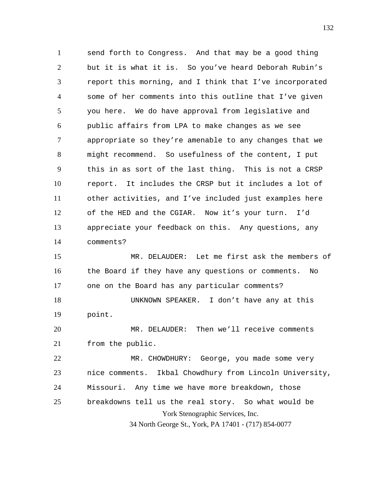1 2 3 4 5 6 7 8 9 10 11 12 13 14 send forth to Congress. And that may be a good thing but it is what it is. So you've heard Deborah Rubin's report this morning, and I think that I've incorporated some of her comments into this outline that I've given you here. We do have approval from legislative and public affairs from LPA to make changes as we see appropriate so they're amenable to any changes that we might recommend. So usefulness of the content, I put this in as sort of the last thing. This is not a CRSP report. It includes the CRSP but it includes a lot of other activities, and I've included just examples here of the HED and the CGIAR. Now it's your turn. I'd appreciate your feedback on this. Any questions, any comments?

15 16 17 18 19 MR. DELAUDER: Let me first ask the members of the Board if they have any questions or comments. No one on the Board has any particular comments? UNKNOWN SPEAKER. I don't have any at this point.

20 21 MR. DELAUDER: Then we'll receive comments from the public.

York Stenographic Services, Inc. 22 23 24 25 MR. CHOWDHURY: George, you made some very nice comments. Ikbal Chowdhury from Lincoln University, Missouri. Any time we have more breakdown, those breakdowns tell us the real story. So what would be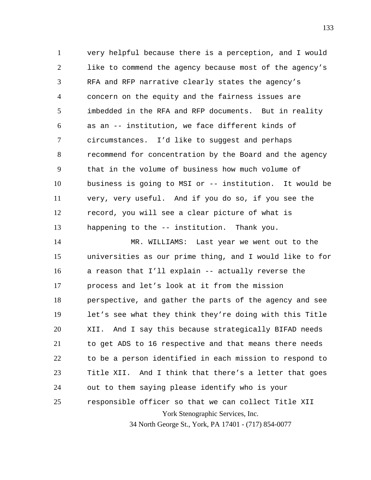1 2 3 4 5 6 7 8 9 10 11 12 13 very helpful because there is a perception, and I would like to commend the agency because most of the agency's RFA and RFP narrative clearly states the agency's concern on the equity and the fairness issues are imbedded in the RFA and RFP documents. But in reality as an -- institution, we face different kinds of circumstances. I'd like to suggest and perhaps recommend for concentration by the Board and the agency that in the volume of business how much volume of business is going to MSI or -- institution. It would be very, very useful. And if you do so, if you see the record, you will see a clear picture of what is happening to the -- institution. Thank you.

York Stenographic Services, Inc. 14 15 16 17 18 19 20 21 22 23 24 25 MR. WILLIAMS: Last year we went out to the universities as our prime thing, and I would like to for a reason that I'll explain -- actually reverse the process and let's look at it from the mission perspective, and gather the parts of the agency and see let's see what they think they're doing with this Title XII. And I say this because strategically BIFAD needs to get ADS to 16 respective and that means there needs to be a person identified in each mission to respond to Title XII. And I think that there's a letter that goes out to them saying please identify who is your responsible officer so that we can collect Title XII

34 North George St., York, PA 17401 - (717) 854-0077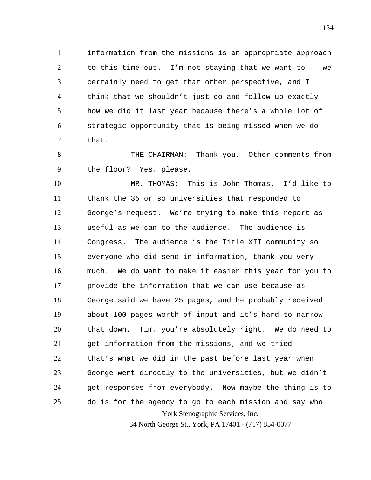1 2 3 4 5 6 7 information from the missions is an appropriate approach to this time out. I'm not staying that we want to -- we certainly need to get that other perspective, and I think that we shouldn't just go and follow up exactly how we did it last year because there's a whole lot of strategic opportunity that is being missed when we do that.

8 9 THE CHAIRMAN: Thank you. Other comments from the floor? Yes, please.

York Stenographic Services, Inc. 10 11 12 13 14 15 16 17 18 19 20 21 22 23 24 25 MR. THOMAS: This is John Thomas. I'd like to thank the 35 or so universities that responded to George's request. We're trying to make this report as useful as we can to the audience. The audience is Congress. The audience is the Title XII community so everyone who did send in information, thank you very much. We do want to make it easier this year for you to provide the information that we can use because as George said we have 25 pages, and he probably received about 100 pages worth of input and it's hard to narrow that down. Tim, you're absolutely right. We do need to get information from the missions, and we tried - that's what we did in the past before last year when George went directly to the universities, but we didn't get responses from everybody. Now maybe the thing is to do is for the agency to go to each mission and say who

34 North George St., York, PA 17401 - (717) 854-0077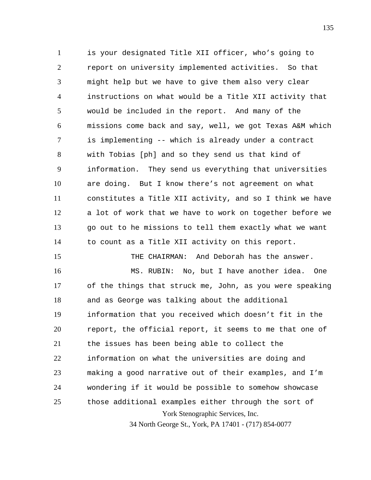1 2 3 4 5 6 7 8 9 10 11 12 13 14 is your designated Title XII officer, who's going to report on university implemented activities. So that might help but we have to give them also very clear instructions on what would be a Title XII activity that would be included in the report. And many of the missions come back and say, well, we got Texas A&M which is implementing -- which is already under a contract with Tobias [ph] and so they send us that kind of information. They send us everything that universities are doing. But I know there's not agreement on what constitutes a Title XII activity, and so I think we have a lot of work that we have to work on together before we go out to he missions to tell them exactly what we want to count as a Title XII activity on this report.

York Stenographic Services, Inc. 34 North George St., York, PA 17401 - (717) 854-0077 16 17 18 19 20 21 22 23 24 25 MS. RUBIN: No, but I have another idea. One of the things that struck me, John, as you were speaking and as George was talking about the additional information that you received which doesn't fit in the report, the official report, it seems to me that one of the issues has been being able to collect the information on what the universities are doing and making a good narrative out of their examples, and I'm wondering if it would be possible to somehow showcase those additional examples either through the sort of

THE CHAIRMAN: And Deborah has the answer.

15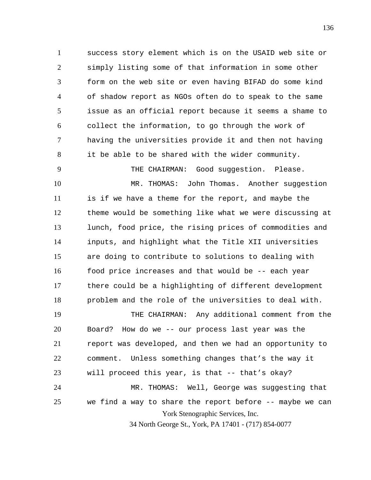1 2 3 4 5 6 7 8 success story element which is on the USAID web site or simply listing some of that information in some other form on the web site or even having BIFAD do some kind of shadow report as NGOs often do to speak to the same issue as an official report because it seems a shame to collect the information, to go through the work of having the universities provide it and then not having it be able to be shared with the wider community.

THE CHAIRMAN: Good suggestion. Please.

9

10 11 12 13 14 15 16 17 18 MR. THOMAS: John Thomas. Another suggestion is if we have a theme for the report, and maybe the theme would be something like what we were discussing at lunch, food price, the rising prices of commodities and inputs, and highlight what the Title XII universities are doing to contribute to solutions to dealing with food price increases and that would be -- each year there could be a highlighting of different development problem and the role of the universities to deal with.

York Stenographic Services, Inc. 34 North George St., York, PA 17401 - (717) 854-0077 19 20 21 22 23 24 25 THE CHAIRMAN: Any additional comment from the Board? How do we -- our process last year was the report was developed, and then we had an opportunity to comment. Unless something changes that's the way it will proceed this year, is that -- that's okay? MR. THOMAS: Well, George was suggesting that we find a way to share the report before -- maybe we can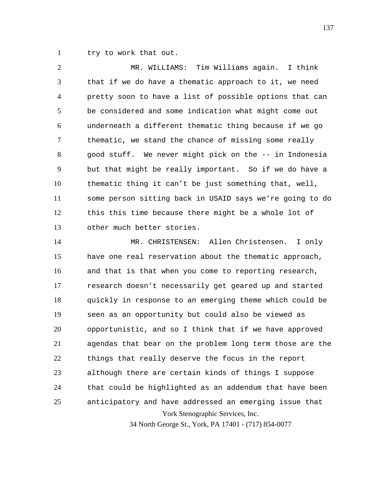1 try to work that out.

2 3 4 5 6 7 8 9 10 11 12 13 MR. WILLIAMS: Tim Williams again. I think that if we do have a thematic approach to it, we need pretty soon to have a list of possible options that can be considered and some indication what might come out underneath a different thematic thing because if we go thematic, we stand the chance of missing some really good stuff. We never might pick on the -- in Indonesia but that might be really important. So if we do have a thematic thing it can't be just something that, well, some person sitting back in USAID says we're going to do this this time because there might be a whole lot of other much better stories.

York Stenographic Services, Inc. 14 15 16 17 18 19 20 21 22 23 24 25 MR. CHRISTENSEN: Allen Christensen. I only have one real reservation about the thematic approach, and that is that when you come to reporting research, research doesn't necessarily get geared up and started quickly in response to an emerging theme which could be seen as an opportunity but could also be viewed as opportunistic, and so I think that if we have approved agendas that bear on the problem long term those are the things that really deserve the focus in the report although there are certain kinds of things I suppose that could be highlighted as an addendum that have been anticipatory and have addressed an emerging issue that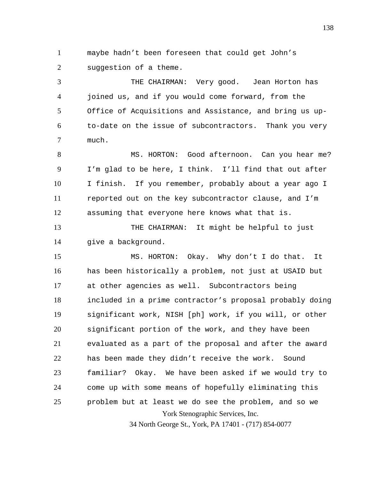1 2 maybe hadn't been foreseen that could get John's suggestion of a theme.

3 4 5 6 7 THE CHAIRMAN: Very good. Jean Horton has joined us, and if you would come forward, from the Office of Acquisitions and Assistance, and bring us upto-date on the issue of subcontractors. Thank you very much.

8 9 10 11 12 MS. HORTON: Good afternoon. Can you hear me? I'm glad to be here, I think. I'll find that out after I finish. If you remember, probably about a year ago I reported out on the key subcontractor clause, and I'm assuming that everyone here knows what that is.

13 14 THE CHAIRMAN: It might be helpful to just give a background.

York Stenographic Services, Inc. 15 16 17 18 19 20 21 22 23 24 25 MS. HORTON: Okay. Why don't I do that. It has been historically a problem, not just at USAID but at other agencies as well. Subcontractors being included in a prime contractor's proposal probably doing significant work, NISH [ph] work, if you will, or other significant portion of the work, and they have been evaluated as a part of the proposal and after the award has been made they didn't receive the work. Sound familiar? Okay. We have been asked if we would try to come up with some means of hopefully eliminating this problem but at least we do see the problem, and so we

34 North George St., York, PA 17401 - (717) 854-0077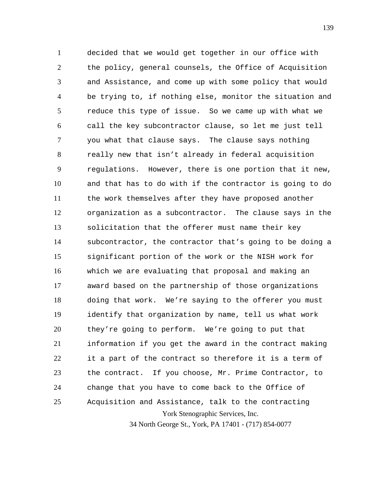York Stenographic Services, Inc. 1 2 3 4 5 6 7 8 9 10 11 12 13 14 15 16 17 18 19 20 21 22 23 24 25 decided that we would get together in our office with the policy, general counsels, the Office of Acquisition and Assistance, and come up with some policy that would be trying to, if nothing else, monitor the situation and reduce this type of issue. So we came up with what we call the key subcontractor clause, so let me just tell you what that clause says. The clause says nothing really new that isn't already in federal acquisition regulations. However, there is one portion that it new, and that has to do with if the contractor is going to do the work themselves after they have proposed another organization as a subcontractor. The clause says in the solicitation that the offerer must name their key subcontractor, the contractor that's going to be doing a significant portion of the work or the NISH work for which we are evaluating that proposal and making an award based on the partnership of those organizations doing that work. We're saying to the offerer you must identify that organization by name, tell us what work they're going to perform. We're going to put that information if you get the award in the contract making it a part of the contract so therefore it is a term of the contract. If you choose, Mr. Prime Contractor, to change that you have to come back to the Office of Acquisition and Assistance, talk to the contracting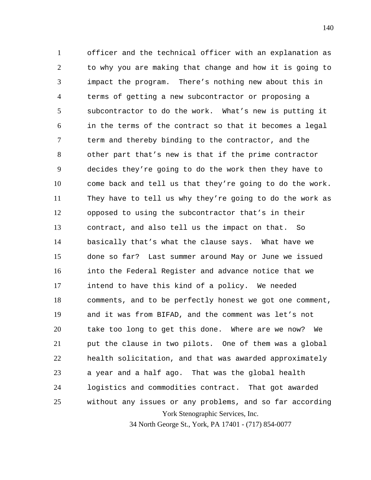York Stenographic Services, Inc. 1 2 3 4 5 6 7 8 9 10 11 12 13 14 15 16 17 18 19 20 21 22 23 24 25 officer and the technical officer with an explanation as to why you are making that change and how it is going to impact the program. There's nothing new about this in terms of getting a new subcontractor or proposing a subcontractor to do the work. What's new is putting it in the terms of the contract so that it becomes a legal term and thereby binding to the contractor, and the other part that's new is that if the prime contractor decides they're going to do the work then they have to come back and tell us that they're going to do the work. They have to tell us why they're going to do the work as opposed to using the subcontractor that's in their contract, and also tell us the impact on that. So basically that's what the clause says. What have we done so far? Last summer around May or June we issued into the Federal Register and advance notice that we intend to have this kind of a policy. We needed comments, and to be perfectly honest we got one comment, and it was from BIFAD, and the comment was let's not take too long to get this done. Where are we now? We put the clause in two pilots. One of them was a global health solicitation, and that was awarded approximately a year and a half ago. That was the global health logistics and commodities contract. That got awarded without any issues or any problems, and so far according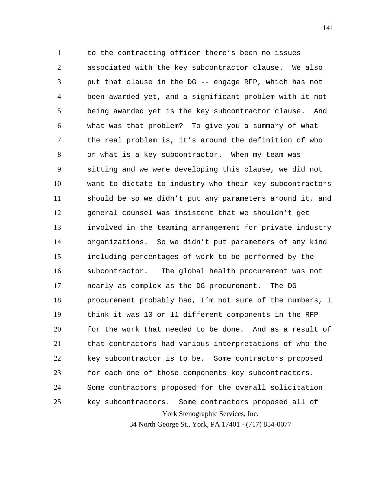York Stenographic Services, Inc. 1 2 3 4 5 6 7 8 9 10 11 12 13 14 15 16 17 18 19 20 21 22 23 24 25 to the contracting officer there's been no issues associated with the key subcontractor clause. We also put that clause in the DG -- engage RFP, which has not been awarded yet, and a significant problem with it not being awarded yet is the key subcontractor clause. And what was that problem? To give you a summary of what the real problem is, it's around the definition of who or what is a key subcontractor. When my team was sitting and we were developing this clause, we did not want to dictate to industry who their key subcontractors should be so we didn't put any parameters around it, and general counsel was insistent that we shouldn't get involved in the teaming arrangement for private industry organizations. So we didn't put parameters of any kind including percentages of work to be performed by the subcontractor. The global health procurement was not nearly as complex as the DG procurement. The DG procurement probably had, I'm not sure of the numbers, I think it was 10 or 11 different components in the RFP for the work that needed to be done. And as a result of that contractors had various interpretations of who the key subcontractor is to be. Some contractors proposed for each one of those components key subcontractors. Some contractors proposed for the overall solicitation key subcontractors. Some contractors proposed all of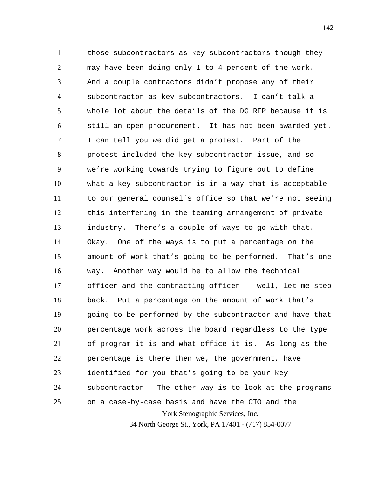York Stenographic Services, Inc. 34 North George St., York, PA 17401 - (717) 854-0077 1 2 3 4 5 6 7 8 9 10 11 12 13 14 15 16 17 18 19 20 21 22 23 24 25 those subcontractors as key subcontractors though they may have been doing only 1 to 4 percent of the work. And a couple contractors didn't propose any of their subcontractor as key subcontractors. I can't talk a whole lot about the details of the DG RFP because it is still an open procurement. It has not been awarded yet. I can tell you we did get a protest. Part of the protest included the key subcontractor issue, and so we're working towards trying to figure out to define what a key subcontractor is in a way that is acceptable to our general counsel's office so that we're not seeing this interfering in the teaming arrangement of private industry. There's a couple of ways to go with that. Okay. One of the ways is to put a percentage on the amount of work that's going to be performed. That's one way. Another way would be to allow the technical officer and the contracting officer -- well, let me step back. Put a percentage on the amount of work that's going to be performed by the subcontractor and have that percentage work across the board regardless to the type of program it is and what office it is. As long as the percentage is there then we, the government, have identified for you that's going to be your key subcontractor. The other way is to look at the programs on a case-by-case basis and have the CTO and the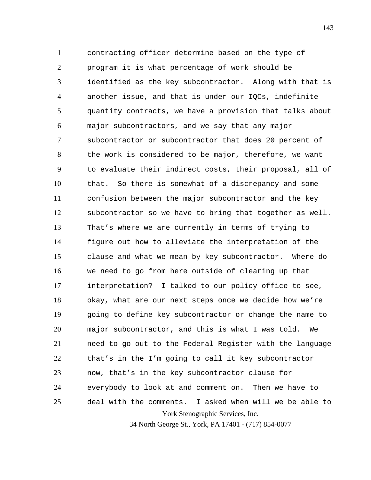York Stenographic Services, Inc. 1 2 3 4 5 6 7 8 9 10 11 12 13 14 15 16 17 18 19 20 21 22 23 24 25 contracting officer determine based on the type of program it is what percentage of work should be identified as the key subcontractor. Along with that is another issue, and that is under our IQCs, indefinite quantity contracts, we have a provision that talks about major subcontractors, and we say that any major subcontractor or subcontractor that does 20 percent of the work is considered to be major, therefore, we want to evaluate their indirect costs, their proposal, all of that. So there is somewhat of a discrepancy and some confusion between the major subcontractor and the key subcontractor so we have to bring that together as well. That's where we are currently in terms of trying to figure out how to alleviate the interpretation of the clause and what we mean by key subcontractor. Where do we need to go from here outside of clearing up that interpretation? I talked to our policy office to see, okay, what are our next steps once we decide how we're going to define key subcontractor or change the name to major subcontractor, and this is what I was told. We need to go out to the Federal Register with the language that's in the I'm going to call it key subcontractor now, that's in the key subcontractor clause for everybody to look at and comment on. Then we have to deal with the comments. I asked when will we be able to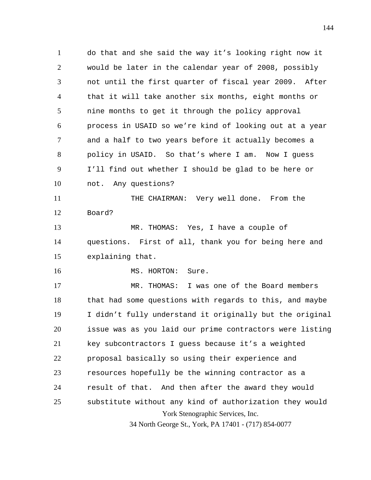1 2 3 4 5 6 7 8 9 10 11 12 13 14 do that and she said the way it's looking right now it would be later in the calendar year of 2008, possibly not until the first quarter of fiscal year 2009. After that it will take another six months, eight months or nine months to get it through the policy approval process in USAID so we're kind of looking out at a year and a half to two years before it actually becomes a policy in USAID. So that's where I am. Now I guess I'll find out whether I should be glad to be here or not. Any questions? THE CHAIRMAN: Very well done. From the Board? MR. THOMAS: Yes, I have a couple of questions. First of all, thank you for being here and

15 explaining that.

16

MS. HORTON: Sure.

York Stenographic Services, Inc. 17 18 19 20 21 22 23 24 25 MR. THOMAS: I was one of the Board members that had some questions with regards to this, and maybe I didn't fully understand it originally but the original issue was as you laid our prime contractors were listing key subcontractors I guess because it's a weighted proposal basically so using their experience and resources hopefully be the winning contractor as a result of that. And then after the award they would substitute without any kind of authorization they would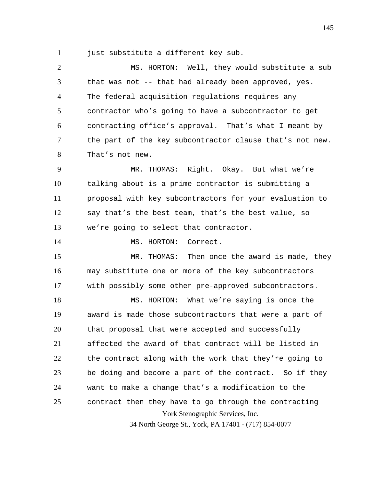1 just substitute a different key sub.

2 3 4 5 6 7 8 MS. HORTON: Well, they would substitute a sub that was not -- that had already been approved, yes. The federal acquisition regulations requires any contractor who's going to have a subcontractor to get contracting office's approval. That's what I meant by the part of the key subcontractor clause that's not new. That's not new.

9 10 11 12 13 MR. THOMAS: Right. Okay. But what we're talking about is a prime contractor is submitting a proposal with key subcontractors for your evaluation to say that's the best team, that's the best value, so we're going to select that contractor.

14 MS. HORTON: Correct.

15 16 17 MR. THOMAS: Then once the award is made, they may substitute one or more of the key subcontractors with possibly some other pre-approved subcontractors.

York Stenographic Services, Inc. 18 19 20 21 22 23 24 25 MS. HORTON: What we're saying is once the award is made those subcontractors that were a part of that proposal that were accepted and successfully affected the award of that contract will be listed in the contract along with the work that they're going to be doing and become a part of the contract. So if they want to make a change that's a modification to the contract then they have to go through the contracting

34 North George St., York, PA 17401 - (717) 854-0077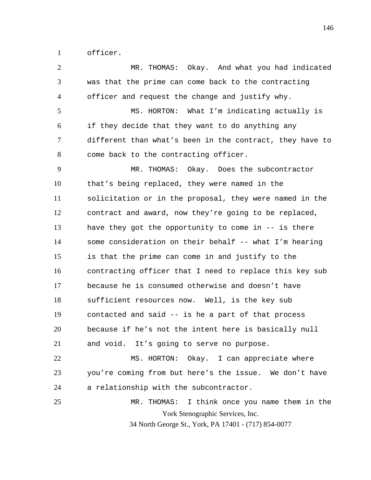1 officer.

| $\overline{2}$ | MR. THOMAS: Okay. And what you had indicated             |
|----------------|----------------------------------------------------------|
| 3              | was that the prime can come back to the contracting      |
| 4              | officer and request the change and justify why.          |
| 5              | MS. HORTON: What I'm indicating actually is              |
| 6              | if they decide that they want to do anything any         |
| 7              | different than what's been in the contract, they have to |
| 8              | come back to the contracting officer.                    |
| 9              | MR. THOMAS: Okay. Does the subcontractor                 |
| 10             | that's being replaced, they were named in the            |
| 11             | solicitation or in the proposal, they were named in the  |
| 12             | contract and award, now they're going to be replaced,    |
| 13             | have they got the opportunity to come in -- is there     |
| 14             | some consideration on their behalf -- what I'm hearing   |
| 15             | is that the prime can come in and justify to the         |
| 16             | contracting officer that I need to replace this key sub  |
| 17             | because he is consumed otherwise and doesn't have        |
| 18             | sufficient resources now. Well, is the key sub           |
| 19             | contacted and said -- is he a part of that process       |
| 20             | because if he's not the intent here is basically null    |
| 21             | and void. It's going to serve no purpose.                |
| 22             | MS. HORTON: Okay. I can appreciate where                 |
| 23             | you're coming from but here's the issue. We don't have   |
| 24             | a relationship with the subcontractor.                   |
| 25             | I think once you name them in the<br>MR. THOMAS:         |
|                | York Stenographic Services, Inc.                         |
|                | 34 North George St., York, PA 17401 - (717) 854-0077     |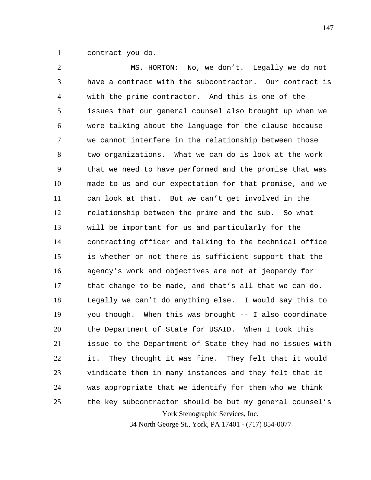1 contract you do.

York Stenographic Services, Inc. 34 North George St., York, PA 17401 - (717) 854-0077 2 3 4 5 6 7 8 9 10 11 12 13 14 15 16 17 18 19 20 21 22 23 24 25 MS. HORTON: No, we don't. Legally we do not have a contract with the subcontractor. Our contract is with the prime contractor. And this is one of the issues that our general counsel also brought up when we were talking about the language for the clause because we cannot interfere in the relationship between those two organizations. What we can do is look at the work that we need to have performed and the promise that was made to us and our expectation for that promise, and we can look at that. But we can't get involved in the relationship between the prime and the sub. So what will be important for us and particularly for the contracting officer and talking to the technical office is whether or not there is sufficient support that the agency's work and objectives are not at jeopardy for that change to be made, and that's all that we can do. Legally we can't do anything else. I would say this to you though. When this was brought -- I also coordinate the Department of State for USAID. When I took this issue to the Department of State they had no issues with it. They thought it was fine. They felt that it would vindicate them in many instances and they felt that it was appropriate that we identify for them who we think the key subcontractor should be but my general counsel's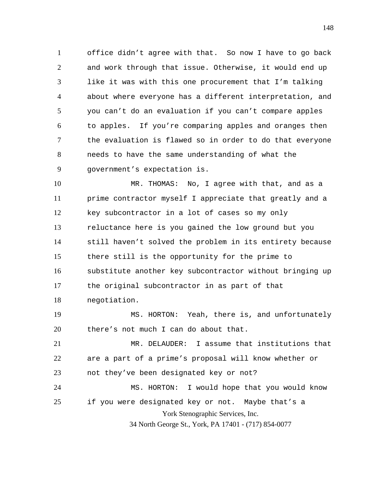1 2 3 4 5 6 7 8 9 office didn't agree with that. So now I have to go back and work through that issue. Otherwise, it would end up like it was with this one procurement that I'm talking about where everyone has a different interpretation, and you can't do an evaluation if you can't compare apples to apples. If you're comparing apples and oranges then the evaluation is flawed so in order to do that everyone needs to have the same understanding of what the government's expectation is.

10 11 12 13 14 15 16 17 18 MR. THOMAS: No, I agree with that, and as a prime contractor myself I appreciate that greatly and a key subcontractor in a lot of cases so my only reluctance here is you gained the low ground but you still haven't solved the problem in its entirety because there still is the opportunity for the prime to substitute another key subcontractor without bringing up the original subcontractor in as part of that negotiation.

19 20 MS. HORTON: Yeah, there is, and unfortunately there's not much I can do about that.

York Stenographic Services, Inc. 34 North George St., York, PA 17401 - (717) 854-0077 21 22 23 24 25 MR. DELAUDER: I assume that institutions that are a part of a prime's proposal will know whether or not they've been designated key or not? MS. HORTON: I would hope that you would know if you were designated key or not. Maybe that's a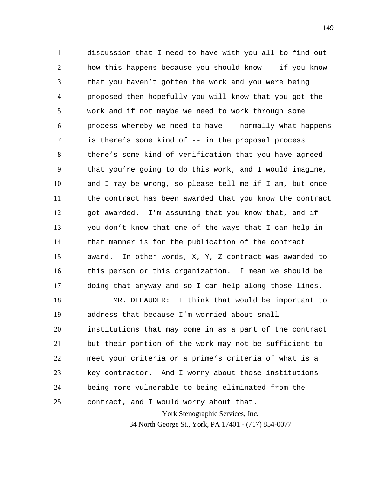1 2 3 4 5 6 7 8 9 10 11 12 13 14 15 16 17 discussion that I need to have with you all to find out how this happens because you should know -- if you know that you haven't gotten the work and you were being proposed then hopefully you will know that you got the work and if not maybe we need to work through some process whereby we need to have -- normally what happens is there's some kind of -- in the proposal process there's some kind of verification that you have agreed that you're going to do this work, and I would imagine, and I may be wrong, so please tell me if I am, but once the contract has been awarded that you know the contract got awarded. I'm assuming that you know that, and if you don't know that one of the ways that I can help in that manner is for the publication of the contract award. In other words, X, Y, Z contract was awarded to this person or this organization. I mean we should be doing that anyway and so I can help along those lines.

York Stenographic Services, Inc. 18 19 20 21 22 23 24 25 MR. DELAUDER: I think that would be important to address that because I'm worried about small institutions that may come in as a part of the contract but their portion of the work may not be sufficient to meet your criteria or a prime's criteria of what is a key contractor. And I worry about those institutions being more vulnerable to being eliminated from the contract, and I would worry about that.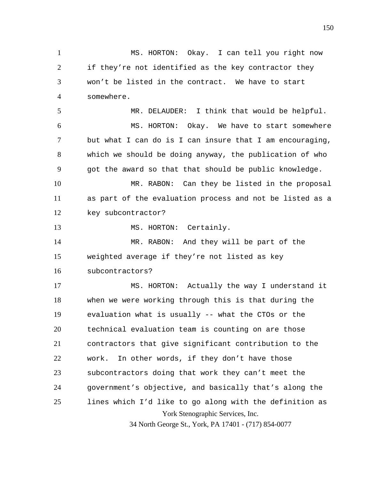York Stenographic Services, Inc. 34 North George St., York, PA 17401 - (717) 854-0077 1 2 3 4 5 6 7 8 9 10 11 12 13 14 15 16 17 18 19 20 21 22 23 24 25 MS. HORTON: Okay. I can tell you right now if they're not identified as the key contractor they won't be listed in the contract. We have to start somewhere. MR. DELAUDER: I think that would be helpful. MS. HORTON: Okay. We have to start somewhere but what I can do is I can insure that I am encouraging, which we should be doing anyway, the publication of who got the award so that that should be public knowledge. MR. RABON: Can they be listed in the proposal as part of the evaluation process and not be listed as a key subcontractor? MS. HORTON: Certainly. MR. RABON: And they will be part of the weighted average if they're not listed as key subcontractors? MS. HORTON: Actually the way I understand it when we were working through this is that during the evaluation what is usually -- what the CTOs or the technical evaluation team is counting on are those contractors that give significant contribution to the work. In other words, if they don't have those subcontractors doing that work they can't meet the government's objective, and basically that's along the lines which I'd like to go along with the definition as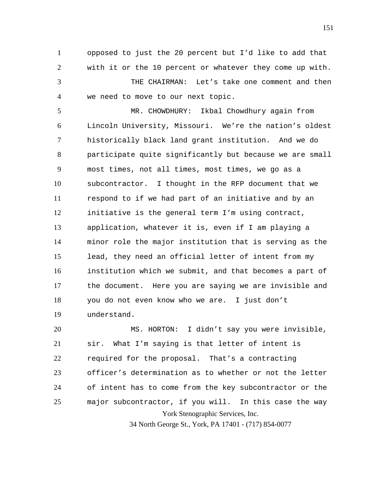1 2 opposed to just the 20 percent but I'd like to add that with it or the 10 percent or whatever they come up with.

3 4 THE CHAIRMAN: Let's take one comment and then we need to move to our next topic.

5 6 7 8 9 10 11 12 13 14 15 16 17 18 19 MR. CHOWDHURY: Ikbal Chowdhury again from Lincoln University, Missouri. We're the nation's oldest historically black land grant institution. And we do participate quite significantly but because we are small most times, not all times, most times, we go as a subcontractor. I thought in the RFP document that we respond to if we had part of an initiative and by an initiative is the general term I'm using contract, application, whatever it is, even if I am playing a minor role the major institution that is serving as the lead, they need an official letter of intent from my institution which we submit, and that becomes a part of the document. Here you are saying we are invisible and you do not even know who we are. I just don't understand.

York Stenographic Services, Inc. 20 21 22 23 24 25 MS. HORTON: I didn't say you were invisible, sir. What I'm saying is that letter of intent is required for the proposal. That's a contracting officer's determination as to whether or not the letter of intent has to come from the key subcontractor or the major subcontractor, if you will. In this case the way

34 North George St., York, PA 17401 - (717) 854-0077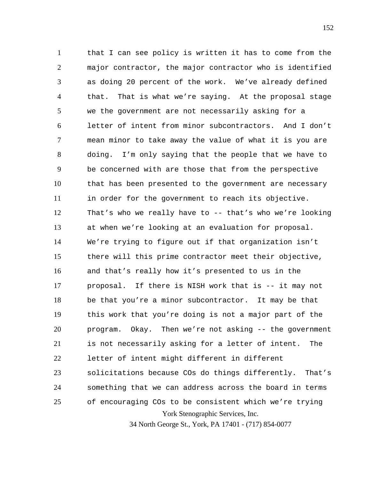York Stenographic Services, Inc. 1 2 3 4 5 6 7 8 9 10 11 12 13 14 15 16 17 18 19 20 21 22 23 24 25 that I can see policy is written it has to come from the major contractor, the major contractor who is identified as doing 20 percent of the work. We've already defined that. That is what we're saying. At the proposal stage we the government are not necessarily asking for a letter of intent from minor subcontractors. And I don't mean minor to take away the value of what it is you are doing. I'm only saying that the people that we have to be concerned with are those that from the perspective that has been presented to the government are necessary in order for the government to reach its objective. That's who we really have to -- that's who we're looking at when we're looking at an evaluation for proposal. We're trying to figure out if that organization isn't there will this prime contractor meet their objective, and that's really how it's presented to us in the proposal. If there is NISH work that is -- it may not be that you're a minor subcontractor. It may be that this work that you're doing is not a major part of the program. Okay. Then we're not asking -- the government is not necessarily asking for a letter of intent. The letter of intent might different in different solicitations because COs do things differently. That's something that we can address across the board in terms of encouraging COs to be consistent which we're trying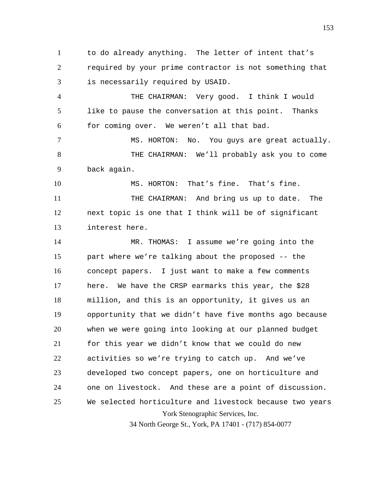1 2 3 to do already anything. The letter of intent that's required by your prime contractor is not something that is necessarily required by USAID.

4 5 6 THE CHAIRMAN: Very good. I think I would like to pause the conversation at this point. Thanks for coming over. We weren't all that bad.

7 8 9 MS. HORTON: No. You guys are great actually. THE CHAIRMAN: We'll probably ask you to come back again.

10 MS. HORTON: That's fine. That's fine.

11 12 13 THE CHAIRMAN: And bring us up to date. The next topic is one that I think will be of significant interest here.

York Stenographic Services, Inc. 14 15 16 17 18 19 20 21 22 23 24 25 MR. THOMAS: I assume we're going into the part where we're talking about the proposed -- the concept papers. I just want to make a few comments here. We have the CRSP earmarks this year, the \$28 million, and this is an opportunity, it gives us an opportunity that we didn't have five months ago because when we were going into looking at our planned budget for this year we didn't know that we could do new activities so we're trying to catch up. And we've developed two concept papers, one on horticulture and one on livestock. And these are a point of discussion. We selected horticulture and livestock because two years

34 North George St., York, PA 17401 - (717) 854-0077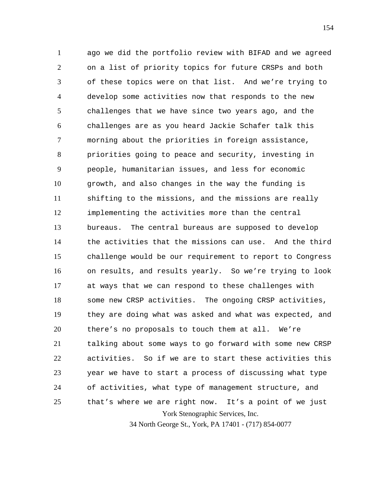York Stenographic Services, Inc. 1 2 3 4 5 6 7 8 9 10 11 12 13 14 15 16 17 18 19 20 21 22 23 24 25 ago we did the portfolio review with BIFAD and we agreed on a list of priority topics for future CRSPs and both of these topics were on that list. And we're trying to develop some activities now that responds to the new challenges that we have since two years ago, and the challenges are as you heard Jackie Schafer talk this morning about the priorities in foreign assistance, priorities going to peace and security, investing in people, humanitarian issues, and less for economic growth, and also changes in the way the funding is shifting to the missions, and the missions are really implementing the activities more than the central bureaus. The central bureaus are supposed to develop the activities that the missions can use. And the third challenge would be our requirement to report to Congress on results, and results yearly. So we're trying to look at ways that we can respond to these challenges with some new CRSP activities. The ongoing CRSP activities, they are doing what was asked and what was expected, and there's no proposals to touch them at all. We're talking about some ways to go forward with some new CRSP activities. So if we are to start these activities this year we have to start a process of discussing what type of activities, what type of management structure, and that's where we are right now. It's a point of we just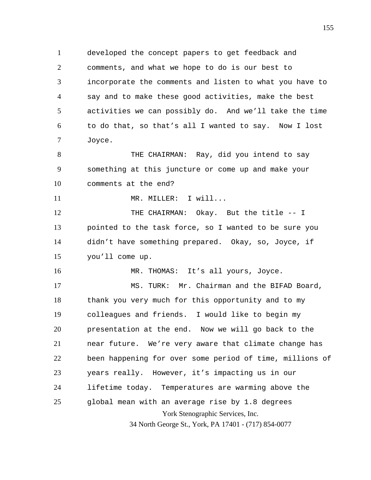1 2 3 4 5 6 7 developed the concept papers to get feedback and comments, and what we hope to do is our best to incorporate the comments and listen to what you have to say and to make these good activities, make the best activities we can possibly do. And we'll take the time to do that, so that's all I wanted to say. Now I lost Joyce.

8 9 10 THE CHAIRMAN: Ray, did you intend to say something at this juncture or come up and make your comments at the end?

11 MR. MILLER: I will...

12 13 14 15 THE CHAIRMAN: Okay. But the title -- I pointed to the task force, so I wanted to be sure you didn't have something prepared. Okay, so, Joyce, if you'll come up.

16 MR. THOMAS: It's all yours, Joyce.

York Stenographic Services, Inc. 34 North George St., York, PA 17401 - (717) 854-0077 17 18 19 20 21 22 23 24 25 MS. TURK: Mr. Chairman and the BIFAD Board, thank you very much for this opportunity and to my colleagues and friends. I would like to begin my presentation at the end. Now we will go back to the near future. We're very aware that climate change has been happening for over some period of time, millions of years really. However, it's impacting us in our lifetime today. Temperatures are warming above the global mean with an average rise by 1.8 degrees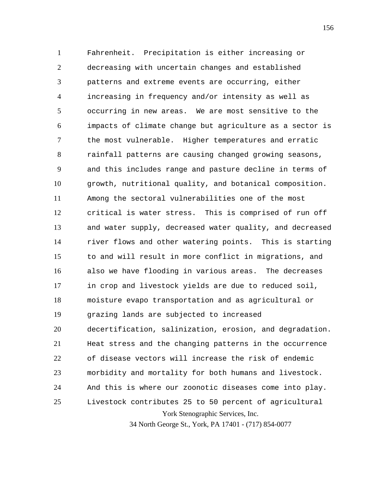York Stenographic Services, Inc. 1 2 3 4 5 6 7 8 9 10 11 12 13 14 15 16 17 18 19 20 21 22 23 24 25 Fahrenheit. Precipitation is either increasing or decreasing with uncertain changes and established patterns and extreme events are occurring, either increasing in frequency and/or intensity as well as occurring in new areas. We are most sensitive to the impacts of climate change but agriculture as a sector is the most vulnerable. Higher temperatures and erratic rainfall patterns are causing changed growing seasons, and this includes range and pasture decline in terms of growth, nutritional quality, and botanical composition. Among the sectoral vulnerabilities one of the most critical is water stress. This is comprised of run off and water supply, decreased water quality, and decreased river flows and other watering points. This is starting to and will result in more conflict in migrations, and also we have flooding in various areas. The decreases in crop and livestock yields are due to reduced soil, moisture evapo transportation and as agricultural or grazing lands are subjected to increased decertification, salinization, erosion, and degradation. Heat stress and the changing patterns in the occurrence of disease vectors will increase the risk of endemic morbidity and mortality for both humans and livestock. And this is where our zoonotic diseases come into play. Livestock contributes 25 to 50 percent of agricultural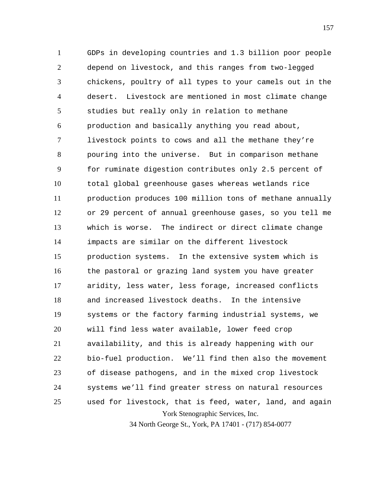York Stenographic Services, Inc. 1 2 3 4 5 6 7 8 9 10 11 12 13 14 15 16 17 18 19 20 21 22 23 24 25 GDPs in developing countries and 1.3 billion poor people depend on livestock, and this ranges from two-legged chickens, poultry of all types to your camels out in the desert. Livestock are mentioned in most climate change studies but really only in relation to methane production and basically anything you read about, livestock points to cows and all the methane they're pouring into the universe. But in comparison methane for ruminate digestion contributes only 2.5 percent of total global greenhouse gases whereas wetlands rice production produces 100 million tons of methane annually or 29 percent of annual greenhouse gases, so you tell me which is worse. The indirect or direct climate change impacts are similar on the different livestock production systems. In the extensive system which is the pastoral or grazing land system you have greater aridity, less water, less forage, increased conflicts and increased livestock deaths. In the intensive systems or the factory farming industrial systems, we will find less water available, lower feed crop availability, and this is already happening with our bio-fuel production. We'll find then also the movement of disease pathogens, and in the mixed crop livestock systems we'll find greater stress on natural resources used for livestock, that is feed, water, land, and again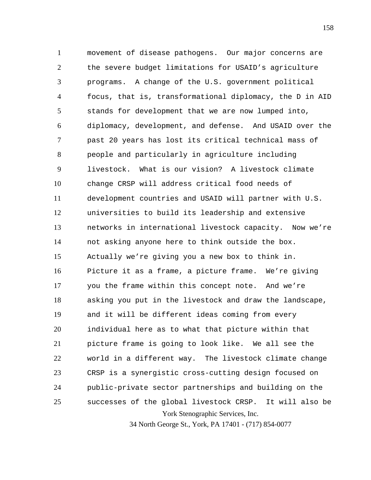York Stenographic Services, Inc. 1 2 3 4 5 6 7 8 9 10 11 12 13 14 15 16 17 18 19 20 21 22 23 24 25 movement of disease pathogens. Our major concerns are the severe budget limitations for USAID's agriculture programs. A change of the U.S. government political focus, that is, transformational diplomacy, the D in AID stands for development that we are now lumped into, diplomacy, development, and defense. And USAID over the past 20 years has lost its critical technical mass of people and particularly in agriculture including livestock. What is our vision? A livestock climate change CRSP will address critical food needs of development countries and USAID will partner with U.S. universities to build its leadership and extensive networks in international livestock capacity. Now we're not asking anyone here to think outside the box. Actually we're giving you a new box to think in. Picture it as a frame, a picture frame. We're giving you the frame within this concept note. And we're asking you put in the livestock and draw the landscape, and it will be different ideas coming from every individual here as to what that picture within that picture frame is going to look like. We all see the world in a different way. The livestock climate change CRSP is a synergistic cross-cutting design focused on public-private sector partnerships and building on the successes of the global livestock CRSP. It will also be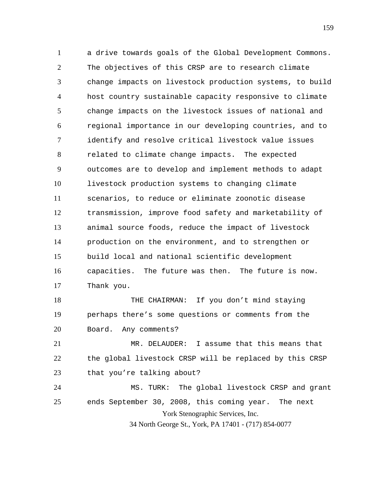1 2 3 4 5 6 7 8 9 10 11 12 13 14 15 16 17 18 19 20 a drive towards goals of the Global Development Commons. The objectives of this CRSP are to research climate change impacts on livestock production systems, to build host country sustainable capacity responsive to climate change impacts on the livestock issues of national and regional importance in our developing countries, and to identify and resolve critical livestock value issues related to climate change impacts. The expected outcomes are to develop and implement methods to adapt livestock production systems to changing climate scenarios, to reduce or eliminate zoonotic disease transmission, improve food safety and marketability of animal source foods, reduce the impact of livestock production on the environment, and to strengthen or build local and national scientific development capacities. The future was then. The future is now. Thank you. THE CHAIRMAN: If you don't mind staying perhaps there's some questions or comments from the Board. Any comments?

21 22 23 MR. DELAUDER: I assume that this means that the global livestock CRSP will be replaced by this CRSP that you're talking about?

York Stenographic Services, Inc. 34 North George St., York, PA 17401 - (717) 854-0077 24 25 MS. TURK: The global livestock CRSP and grant ends September 30, 2008, this coming year. The next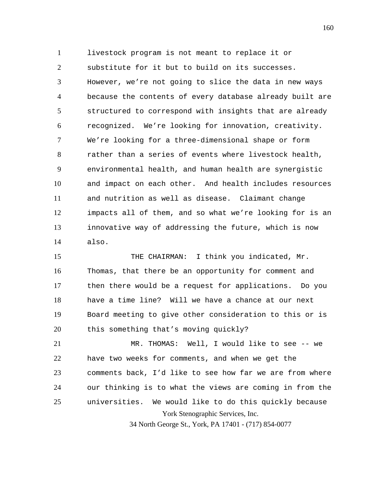1 2 3 4 5 6 7 8 9 10 11 12 13 14 livestock program is not meant to replace it or substitute for it but to build on its successes. However, we're not going to slice the data in new ways because the contents of every database already built are structured to correspond with insights that are already recognized. We're looking for innovation, creativity. We're looking for a three-dimensional shape or form rather than a series of events where livestock health, environmental health, and human health are synergistic and impact on each other. And health includes resources and nutrition as well as disease. Claimant change impacts all of them, and so what we're looking for is an innovative way of addressing the future, which is now also.

15 16 17 18 19 20 THE CHAIRMAN: I think you indicated, Mr. Thomas, that there be an opportunity for comment and then there would be a request for applications. Do you have a time line? Will we have a chance at our next Board meeting to give other consideration to this or is this something that's moving quickly?

York Stenographic Services, Inc. 21 22 23 24 25 MR. THOMAS: Well, I would like to see -- we have two weeks for comments, and when we get the comments back, I'd like to see how far we are from where our thinking is to what the views are coming in from the universities. We would like to do this quickly because

34 North George St., York, PA 17401 - (717) 854-0077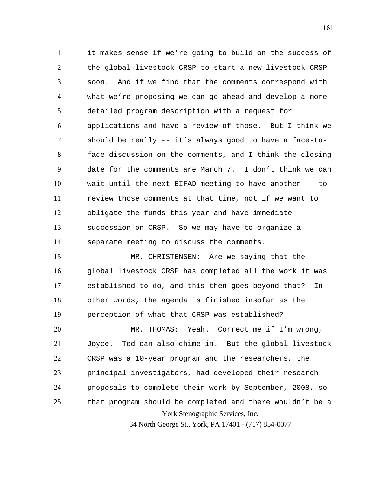1 2 3 4 5 6 7 8 9 10 11 12 13 14 it makes sense if we're going to build on the success of the global livestock CRSP to start a new livestock CRSP soon. And if we find that the comments correspond with what we're proposing we can go ahead and develop a more detailed program description with a request for applications and have a review of those. But I think we should be really -- it's always good to have a face-toface discussion on the comments, and I think the closing date for the comments are March 7. I don't think we can wait until the next BIFAD meeting to have another -- to review those comments at that time, not if we want to obligate the funds this year and have immediate succession on CRSP. So we may have to organize a separate meeting to discuss the comments.

15 16 17 18 19 MR. CHRISTENSEN: Are we saying that the global livestock CRSP has completed all the work it was established to do, and this then goes beyond that? In other words, the agenda is finished insofar as the perception of what that CRSP was established?

York Stenographic Services, Inc. 20 21 22 23 24 25 MR. THOMAS: Yeah. Correct me if I'm wrong, Joyce. Ted can also chime in. But the global livestock CRSP was a 10-year program and the researchers, the principal investigators, had developed their research proposals to complete their work by September, 2008, so that program should be completed and there wouldn't be a

34 North George St., York, PA 17401 - (717) 854-0077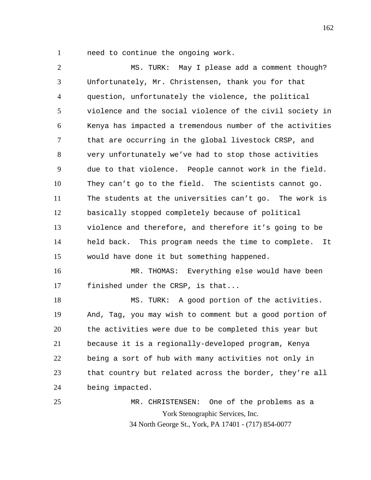1 need to continue the ongoing work.

2 3 4 5 6 7 8 9 10 11 12 13 14 15 16 MS. TURK: May I please add a comment though? Unfortunately, Mr. Christensen, thank you for that question, unfortunately the violence, the political violence and the social violence of the civil society in Kenya has impacted a tremendous number of the activities that are occurring in the global livestock CRSP, and very unfortunately we've had to stop those activities due to that violence. People cannot work in the field. They can't go to the field. The scientists cannot go. The students at the universities can't go. The work is basically stopped completely because of political violence and therefore, and therefore it's going to be held back. This program needs the time to complete. It would have done it but something happened.

17 MR. THOMAS: Everything else would have been finished under the CRSP, is that...

18 19 20 21 22 23 24 MS. TURK: A good portion of the activities. And, Tag, you may wish to comment but a good portion of the activities were due to be completed this year but because it is a regionally-developed program, Kenya being a sort of hub with many activities not only in that country but related across the border, they're all being impacted.

York Stenographic Services, Inc. 34 North George St., York, PA 17401 - (717) 854-0077 25 MR. CHRISTENSEN: One of the problems as a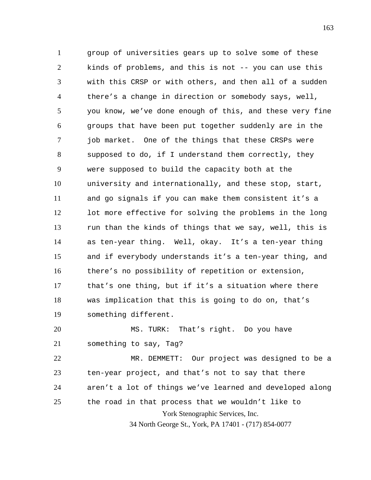1 2 3 4 5 6 7 8 9 10 11 12 13 14 15 16 17 18 19 group of universities gears up to solve some of these kinds of problems, and this is not -- you can use this with this CRSP or with others, and then all of a sudden there's a change in direction or somebody says, well, you know, we've done enough of this, and these very fine groups that have been put together suddenly are in the job market. One of the things that these CRSPs were supposed to do, if I understand them correctly, they were supposed to build the capacity both at the university and internationally, and these stop, start, and go signals if you can make them consistent it's a lot more effective for solving the problems in the long run than the kinds of things that we say, well, this is as ten-year thing. Well, okay. It's a ten-year thing and if everybody understands it's a ten-year thing, and there's no possibility of repetition or extension, that's one thing, but if it's a situation where there was implication that this is going to do on, that's something different.

20 21 MS. TURK: That's right. Do you have something to say, Tag?

York Stenographic Services, Inc. 22 23 24 25 MR. DEMMETT: Our project was designed to be a ten-year project, and that's not to say that there aren't a lot of things we've learned and developed along the road in that process that we wouldn't like to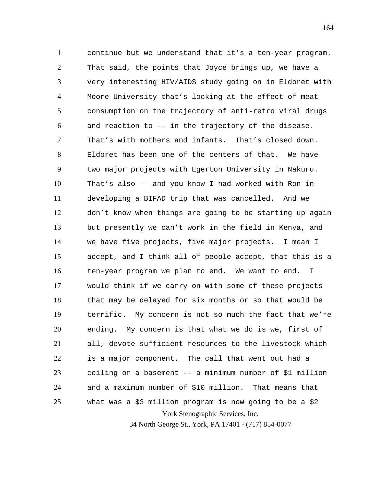York Stenographic Services, Inc. 1 2 3 4 5 6 7 8 9 10 11 12 13 14 15 16 17 18 19 20 21 22 23 24 25 continue but we understand that it's a ten-year program. That said, the points that Joyce brings up, we have a very interesting HIV/AIDS study going on in Eldoret with Moore University that's looking at the effect of meat consumption on the trajectory of anti-retro viral drugs and reaction to -- in the trajectory of the disease. That's with mothers and infants. That's closed down. Eldoret has been one of the centers of that. We have two major projects with Egerton University in Nakuru. That's also -- and you know I had worked with Ron in developing a BIFAD trip that was cancelled. And we don't know when things are going to be starting up again but presently we can't work in the field in Kenya, and we have five projects, five major projects. I mean I accept, and I think all of people accept, that this is a ten-year program we plan to end. We want to end. I would think if we carry on with some of these projects that may be delayed for six months or so that would be terrific. My concern is not so much the fact that we're ending. My concern is that what we do is we, first of all, devote sufficient resources to the livestock which is a major component. The call that went out had a ceiling or a basement -- a minimum number of \$1 million and a maximum number of \$10 million. That means that what was a \$3 million program is now going to be a \$2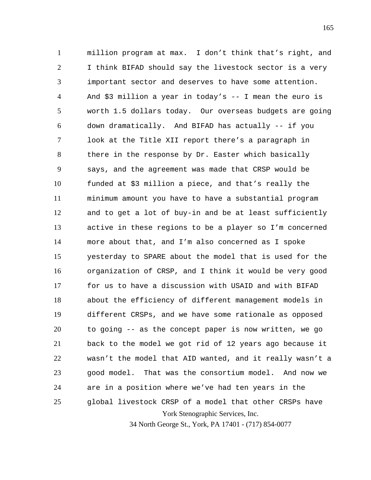York Stenographic Services, Inc. 1 2 3 4 5 6 7 8 9 10 11 12 13 14 15 16 17 18 19 20 21 22 23 24 25 million program at max. I don't think that's right, and I think BIFAD should say the livestock sector is a very important sector and deserves to have some attention. And \$3 million a year in today's -- I mean the euro is worth 1.5 dollars today. Our overseas budgets are going down dramatically. And BIFAD has actually -- if you look at the Title XII report there's a paragraph in there in the response by Dr. Easter which basically says, and the agreement was made that CRSP would be funded at \$3 million a piece, and that's really the minimum amount you have to have a substantial program and to get a lot of buy-in and be at least sufficiently active in these regions to be a player so I'm concerned more about that, and I'm also concerned as I spoke yesterday to SPARE about the model that is used for the organization of CRSP, and I think it would be very good for us to have a discussion with USAID and with BIFAD about the efficiency of different management models in different CRSPs, and we have some rationale as opposed to going -- as the concept paper is now written, we go back to the model we got rid of 12 years ago because it wasn't the model that AID wanted, and it really wasn't a good model. That was the consortium model. And now we are in a position where we've had ten years in the global livestock CRSP of a model that other CRSPs have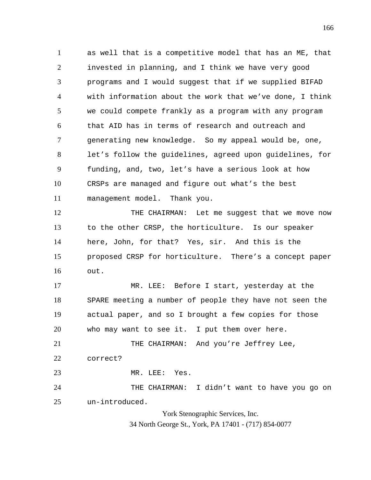1 2 3 4 5 6 7 8 9 10 11 as well that is a competitive model that has an ME, that invested in planning, and I think we have very good programs and I would suggest that if we supplied BIFAD with information about the work that we've done, I think we could compete frankly as a program with any program that AID has in terms of research and outreach and generating new knowledge. So my appeal would be, one, let's follow the guidelines, agreed upon guidelines, for funding, and, two, let's have a serious look at how CRSPs are managed and figure out what's the best management model. Thank you.

12 13 14 15 16 THE CHAIRMAN: Let me suggest that we move now to the other CRSP, the horticulture. Is our speaker here, John, for that? Yes, sir. And this is the proposed CRSP for horticulture. There's a concept paper out.

17 18 19 20 MR. LEE: Before I start, yesterday at the SPARE meeting a number of people they have not seen the actual paper, and so I brought a few copies for those who may want to see it. I put them over here.

21 22 THE CHAIRMAN: And you're Jeffrey Lee, correct?

23 MR. LEE: Yes.

24 25 THE CHAIRMAN: I didn't want to have you go on un-introduced.

> York Stenographic Services, Inc. 34 North George St., York, PA 17401 - (717) 854-0077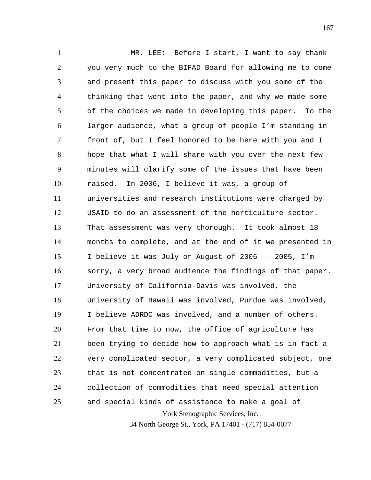York Stenographic Services, Inc. 1 2 3 4 5 6 7 8 9 10 11 12 13 14 15 16 17 18 19 20 21 22 23 24 25 MR. LEE: Before I start, I want to say thank you very much to the BIFAD Board for allowing me to come and present this paper to discuss with you some of the thinking that went into the paper, and why we made some of the choices we made in developing this paper. To the larger audience, what a group of people I'm standing in front of, but I feel honored to be here with you and I hope that what I will share with you over the next few minutes will clarify some of the issues that have been raised. In 2006, I believe it was, a group of universities and research institutions were charged by USAID to do an assessment of the horticulture sector. That assessment was very thorough. It took almost 18 months to complete, and at the end of it we presented in I believe it was July or August of 2006 -- 2005, I'm sorry, a very broad audience the findings of that paper. University of California-Davis was involved, the University of Hawaii was involved, Purdue was involved, I believe ADRDC was involved, and a number of others. From that time to now, the office of agriculture has been trying to decide how to approach what is in fact a very complicated sector, a very complicated subject, one that is not concentrated on single commodities, but a collection of commodities that need special attention and special kinds of assistance to make a goal of

34 North George St., York, PA 17401 - (717) 854-0077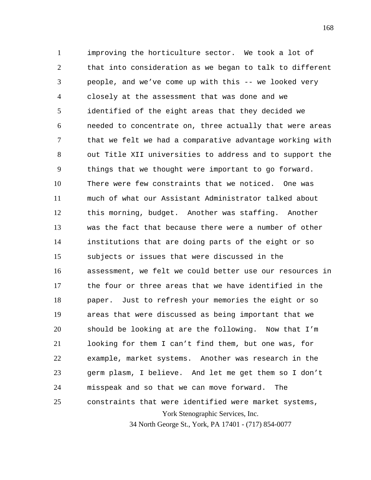York Stenographic Services, Inc. 1 2 3 4 5 6 7 8 9 10 11 12 13 14 15 16 17 18 19 20 21 22 23 24 25 improving the horticulture sector. We took a lot of that into consideration as we began to talk to different people, and we've come up with this -- we looked very closely at the assessment that was done and we identified of the eight areas that they decided we needed to concentrate on, three actually that were areas that we felt we had a comparative advantage working with out Title XII universities to address and to support the things that we thought were important to go forward. There were few constraints that we noticed. One was much of what our Assistant Administrator talked about this morning, budget. Another was staffing. Another was the fact that because there were a number of other institutions that are doing parts of the eight or so subjects or issues that were discussed in the assessment, we felt we could better use our resources in the four or three areas that we have identified in the paper. Just to refresh your memories the eight or so areas that were discussed as being important that we should be looking at are the following. Now that I'm looking for them I can't find them, but one was, for example, market systems. Another was research in the germ plasm, I believe. And let me get them so I don't misspeak and so that we can move forward. The constraints that were identified were market systems,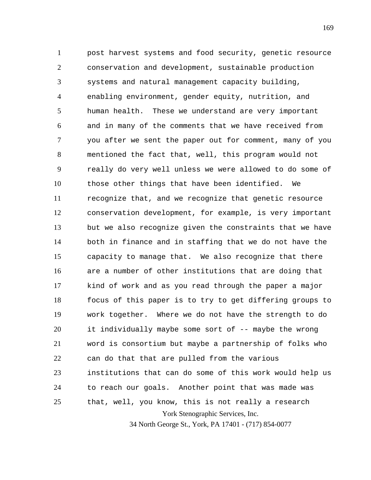York Stenographic Services, Inc. 1 2 3 4 5 6 7 8 9 10 11 12 13 14 15 16 17 18 19 20 21 22 23 24 25 post harvest systems and food security, genetic resource conservation and development, sustainable production systems and natural management capacity building, enabling environment, gender equity, nutrition, and human health. These we understand are very important and in many of the comments that we have received from you after we sent the paper out for comment, many of you mentioned the fact that, well, this program would not really do very well unless we were allowed to do some of those other things that have been identified. We recognize that, and we recognize that genetic resource conservation development, for example, is very important but we also recognize given the constraints that we have both in finance and in staffing that we do not have the capacity to manage that. We also recognize that there are a number of other institutions that are doing that kind of work and as you read through the paper a major focus of this paper is to try to get differing groups to work together. Where we do not have the strength to do it individually maybe some sort of -- maybe the wrong word is consortium but maybe a partnership of folks who can do that that are pulled from the various institutions that can do some of this work would help us to reach our goals. Another point that was made was that, well, you know, this is not really a research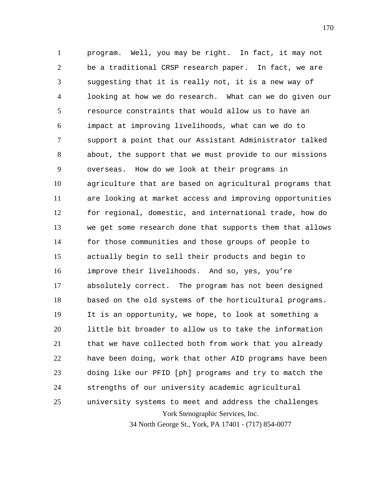York Stenographic Services, Inc. 1 2 3 4 5 6 7 8 9 10 11 12 13 14 15 16 17 18 19 20 21 22 23 24 25 program. Well, you may be right. In fact, it may not be a traditional CRSP research paper. In fact, we are suggesting that it is really not, it is a new way of looking at how we do research. What can we do given our resource constraints that would allow us to have an impact at improving livelihoods, what can we do to support a point that our Assistant Administrator talked about, the support that we must provide to our missions overseas. How do we look at their programs in agriculture that are based on agricultural programs that are looking at market access and improving opportunities for regional, domestic, and international trade, how do we get some research done that supports them that allows for those communities and those groups of people to actually begin to sell their products and begin to improve their livelihoods. And so, yes, you're absolutely correct. The program has not been designed based on the old systems of the horticultural programs. It is an opportunity, we hope, to look at something a little bit broader to allow us to take the information that we have collected both from work that you already have been doing, work that other AID programs have been doing like our PFID [ph] programs and try to match the strengths of our university academic agricultural university systems to meet and address the challenges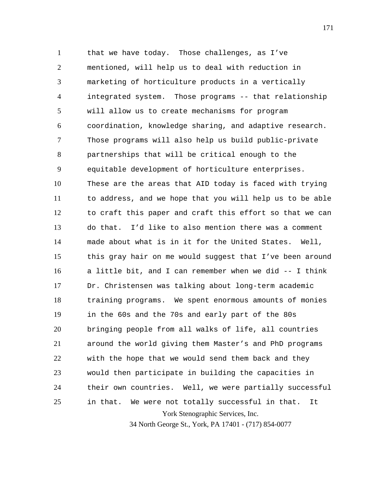York Stenographic Services, Inc. 1 2 3 4 5 6 7 8 9 10 11 12 13 14 15 16 17 18 19 20 21 22 23 24 25 that we have today. Those challenges, as I've mentioned, will help us to deal with reduction in marketing of horticulture products in a vertically integrated system. Those programs -- that relationship will allow us to create mechanisms for program coordination, knowledge sharing, and adaptive research. Those programs will also help us build public-private partnerships that will be critical enough to the equitable development of horticulture enterprises. These are the areas that AID today is faced with trying to address, and we hope that you will help us to be able to craft this paper and craft this effort so that we can do that. I'd like to also mention there was a comment made about what is in it for the United States. Well, this gray hair on me would suggest that I've been around a little bit, and I can remember when we did -- I think Dr. Christensen was talking about long-term academic training programs. We spent enormous amounts of monies in the 60s and the 70s and early part of the 80s bringing people from all walks of life, all countries around the world giving them Master's and PhD programs with the hope that we would send them back and they would then participate in building the capacities in their own countries. Well, we were partially successful in that. We were not totally successful in that. It

34 North George St., York, PA 17401 - (717) 854-0077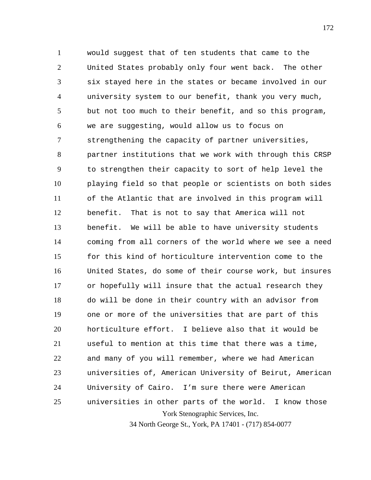York Stenographic Services, Inc. 1 2 3 4 5 6 7 8 9 10 11 12 13 14 15 16 17 18 19 20 21 22 23 24 25 would suggest that of ten students that came to the United States probably only four went back. The other six stayed here in the states or became involved in our university system to our benefit, thank you very much, but not too much to their benefit, and so this program, we are suggesting, would allow us to focus on strengthening the capacity of partner universities, partner institutions that we work with through this CRSP to strengthen their capacity to sort of help level the playing field so that people or scientists on both sides of the Atlantic that are involved in this program will benefit. That is not to say that America will not benefit. We will be able to have university students coming from all corners of the world where we see a need for this kind of horticulture intervention come to the United States, do some of their course work, but insures or hopefully will insure that the actual research they do will be done in their country with an advisor from one or more of the universities that are part of this horticulture effort. I believe also that it would be useful to mention at this time that there was a time, and many of you will remember, where we had American universities of, American University of Beirut, American University of Cairo. I'm sure there were American universities in other parts of the world. I know those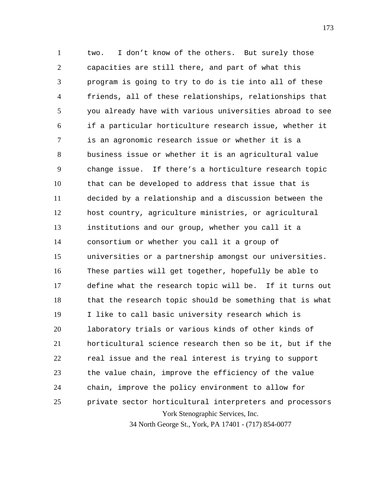York Stenographic Services, Inc. 1 2 3 4 5 6 7 8 9 10 11 12 13 14 15 16 17 18 19 20 21 22 23 24 25 two. I don't know of the others. But surely those capacities are still there, and part of what this program is going to try to do is tie into all of these friends, all of these relationships, relationships that you already have with various universities abroad to see if a particular horticulture research issue, whether it is an agronomic research issue or whether it is a business issue or whether it is an agricultural value change issue. If there's a horticulture research topic that can be developed to address that issue that is decided by a relationship and a discussion between the host country, agriculture ministries, or agricultural institutions and our group, whether you call it a consortium or whether you call it a group of universities or a partnership amongst our universities. These parties will get together, hopefully be able to define what the research topic will be. If it turns out that the research topic should be something that is what I like to call basic university research which is laboratory trials or various kinds of other kinds of horticultural science research then so be it, but if the real issue and the real interest is trying to support the value chain, improve the efficiency of the value chain, improve the policy environment to allow for private sector horticultural interpreters and processors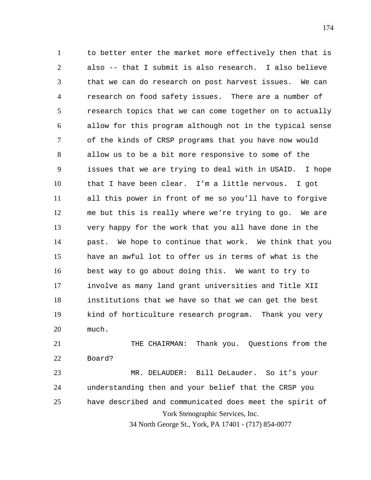1 2 3 4 5 6 7 8 9 10 11 12 13 14 15 16 17 18 19 20 to better enter the market more effectively then that is also -- that I submit is also research. I also believe that we can do research on post harvest issues. We can research on food safety issues. There are a number of research topics that we can come together on to actually allow for this program although not in the typical sense of the kinds of CRSP programs that you have now would allow us to be a bit more responsive to some of the issues that we are trying to deal with in USAID. I hope that I have been clear. I'm a little nervous. I got all this power in front of me so you'll have to forgive me but this is really where we're trying to go. We are very happy for the work that you all have done in the past. We hope to continue that work. We think that you have an awful lot to offer us in terms of what is the best way to go about doing this. We want to try to involve as many land grant universities and Title XII institutions that we have so that we can get the best kind of horticulture research program. Thank you very much.

21 22 23 24 25 THE CHAIRMAN: Thank you. Questions from the Board? MR. DELAUDER: Bill DeLauder. So it's your understanding then and your belief that the CRSP you have described and communicated does meet the spirit of

York Stenographic Services, Inc.

34 North George St., York, PA 17401 - (717) 854-0077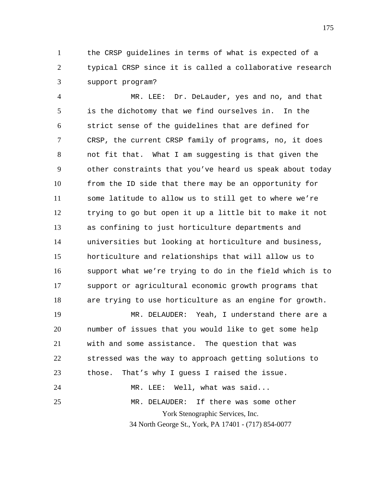1 2 3 the CRSP guidelines in terms of what is expected of a typical CRSP since it is called a collaborative research support program?

4 5 6 7 8 9 10 11 12 13 14 15 16 17 18 MR. LEE: Dr. DeLauder, yes and no, and that is the dichotomy that we find ourselves in. In the strict sense of the guidelines that are defined for CRSP, the current CRSP family of programs, no, it does not fit that. What I am suggesting is that given the other constraints that you've heard us speak about today from the ID side that there may be an opportunity for some latitude to allow us to still get to where we're trying to go but open it up a little bit to make it not as confining to just horticulture departments and universities but looking at horticulture and business, horticulture and relationships that will allow us to support what we're trying to do in the field which is to support or agricultural economic growth programs that are trying to use horticulture as an engine for growth.

York Stenographic Services, Inc. 19 20 21 22 23 24 25 MR. DELAUDER: Yeah, I understand there are a number of issues that you would like to get some help with and some assistance. The question that was stressed was the way to approach getting solutions to those. That's why I guess I raised the issue. MR. LEE: Well, what was said... MR. DELAUDER: If there was some other

34 North George St., York, PA 17401 - (717) 854-0077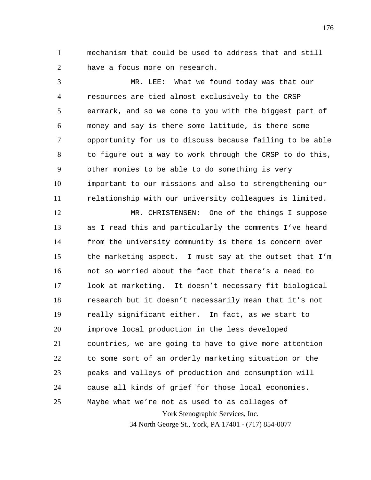1 2 mechanism that could be used to address that and still have a focus more on research.

3 4 5 6 7 8 9 10 11 MR. LEE: What we found today was that our resources are tied almost exclusively to the CRSP earmark, and so we come to you with the biggest part of money and say is there some latitude, is there some opportunity for us to discuss because failing to be able to figure out a way to work through the CRSP to do this, other monies to be able to do something is very important to our missions and also to strengthening our relationship with our university colleagues is limited.

York Stenographic Services, Inc. 12 13 14 15 16 17 18 19 20 21 22 23 24 25 MR. CHRISTENSEN: One of the things I suppose as I read this and particularly the comments I've heard from the university community is there is concern over the marketing aspect. I must say at the outset that I'm not so worried about the fact that there's a need to look at marketing. It doesn't necessary fit biological research but it doesn't necessarily mean that it's not really significant either. In fact, as we start to improve local production in the less developed countries, we are going to have to give more attention to some sort of an orderly marketing situation or the peaks and valleys of production and consumption will cause all kinds of grief for those local economies. Maybe what we're not as used to as colleges of

34 North George St., York, PA 17401 - (717) 854-0077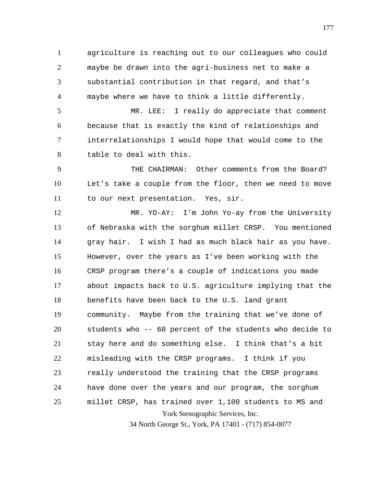1 2 3 4 agriculture is reaching out to our colleagues who could maybe be drawn into the agri-business net to make a substantial contribution in that regard, and that's maybe where we have to think a little differently.

5 6 7 8 MR. LEE: I really do appreciate that comment because that is exactly the kind of relationships and interrelationships I would hope that would come to the table to deal with this.

9 10 11 THE CHAIRMAN: Other comments from the Board? Let's take a couple from the floor, then we need to move to our next presentation. Yes, sir.

York Stenographic Services, Inc. 12 13 14 15 16 17 18 19 20 21 22 23 24 25 MR. YO-AY: I'm John Yo-ay from the University of Nebraska with the sorghum millet CRSP. You mentioned gray hair. I wish I had as much black hair as you have. However, over the years as I've been working with the CRSP program there's a couple of indications you made about impacts back to U.S. agriculture implying that the benefits have been back to the U.S. land grant community. Maybe from the training that we've done of students who -- 60 percent of the students who decide to stay here and do something else. I think that's a bit misleading with the CRSP programs. I think if you really understood the training that the CRSP programs have done over the years and our program, the sorghum millet CRSP, has trained over 1,100 students to MS and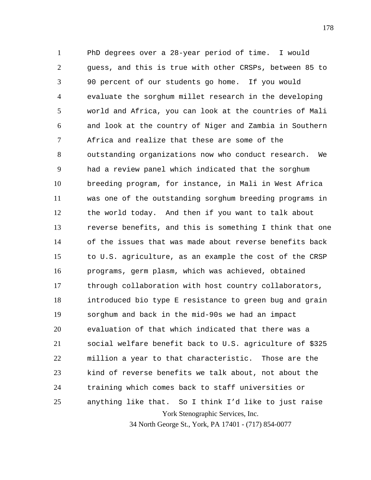York Stenographic Services, Inc. 1 2 3 4 5 6 7 8 9 10 11 12 13 14 15 16 17 18 19 20 21 22 23 24 25 PhD degrees over a 28-year period of time. I would guess, and this is true with other CRSPs, between 85 to 90 percent of our students go home. If you would evaluate the sorghum millet research in the developing world and Africa, you can look at the countries of Mali and look at the country of Niger and Zambia in Southern Africa and realize that these are some of the outstanding organizations now who conduct research. We had a review panel which indicated that the sorghum breeding program, for instance, in Mali in West Africa was one of the outstanding sorghum breeding programs in the world today. And then if you want to talk about reverse benefits, and this is something I think that one of the issues that was made about reverse benefits back to U.S. agriculture, as an example the cost of the CRSP programs, germ plasm, which was achieved, obtained through collaboration with host country collaborators, introduced bio type E resistance to green bug and grain sorghum and back in the mid-90s we had an impact evaluation of that which indicated that there was a social welfare benefit back to U.S. agriculture of \$325 million a year to that characteristic. Those are the kind of reverse benefits we talk about, not about the training which comes back to staff universities or anything like that. So I think I'd like to just raise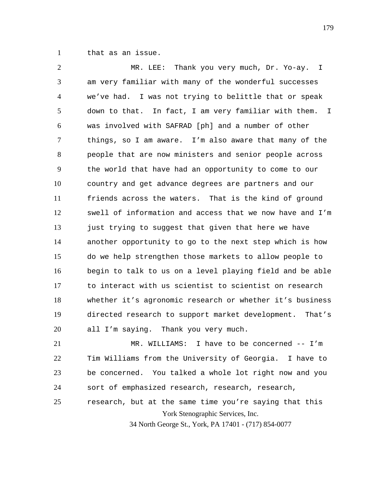1 that as an issue.

2 3 4 5 6 7 8 9 10 11 12 13 14 15 16 17 18 19 20 MR. LEE: Thank you very much, Dr. Yo-ay. I am very familiar with many of the wonderful successes we've had. I was not trying to belittle that or speak down to that. In fact, I am very familiar with them. I was involved with SAFRAD [ph] and a number of other things, so I am aware. I'm also aware that many of the people that are now ministers and senior people across the world that have had an opportunity to come to our country and get advance degrees are partners and our friends across the waters. That is the kind of ground swell of information and access that we now have and I'm just trying to suggest that given that here we have another opportunity to go to the next step which is how do we help strengthen those markets to allow people to begin to talk to us on a level playing field and be able to interact with us scientist to scientist on research whether it's agronomic research or whether it's business directed research to support market development. That's all I'm saying. Thank you very much.

21 22 23 24 MR. WILLIAMS: I have to be concerned -- I'm Tim Williams from the University of Georgia. I have to be concerned. You talked a whole lot right now and you sort of emphasized research, research, research,

York Stenographic Services, Inc. 25 research, but at the same time you're saying that this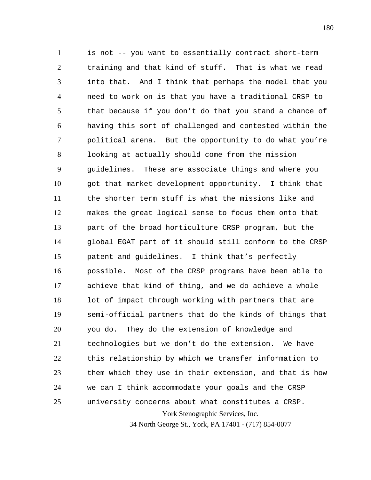York Stenographic Services, Inc. 1 2 3 4 5 6 7 8 9 10 11 12 13 14 15 16 17 18 19 20 21 22 23 24 25 is not -- you want to essentially contract short-term training and that kind of stuff. That is what we read into that. And I think that perhaps the model that you need to work on is that you have a traditional CRSP to that because if you don't do that you stand a chance of having this sort of challenged and contested within the political arena. But the opportunity to do what you're looking at actually should come from the mission guidelines. These are associate things and where you got that market development opportunity. I think that the shorter term stuff is what the missions like and makes the great logical sense to focus them onto that part of the broad horticulture CRSP program, but the global EGAT part of it should still conform to the CRSP patent and guidelines. I think that's perfectly possible. Most of the CRSP programs have been able to achieve that kind of thing, and we do achieve a whole lot of impact through working with partners that are semi-official partners that do the kinds of things that you do. They do the extension of knowledge and technologies but we don't do the extension. We have this relationship by which we transfer information to them which they use in their extension, and that is how we can I think accommodate your goals and the CRSP university concerns about what constitutes a CRSP.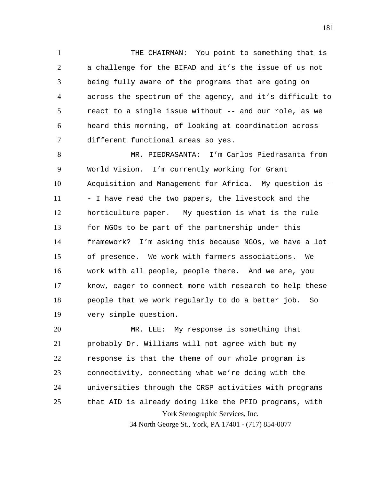1 2 3 4 5 6 7 THE CHAIRMAN: You point to something that is a challenge for the BIFAD and it's the issue of us not being fully aware of the programs that are going on across the spectrum of the agency, and it's difficult to react to a single issue without -- and our role, as we heard this morning, of looking at coordination across different functional areas so yes.

8 9 10 11 12 13 14 15 16 17 18 19 MR. PIEDRASANTA: I'm Carlos Piedrasanta from World Vision. I'm currently working for Grant Acquisition and Management for Africa. My question is - - I have read the two papers, the livestock and the horticulture paper. My question is what is the rule for NGOs to be part of the partnership under this framework? I'm asking this because NGOs, we have a lot of presence. We work with farmers associations. We work with all people, people there. And we are, you know, eager to connect more with research to help these people that we work regularly to do a better job. So very simple question.

York Stenographic Services, Inc. 20 21 22 23 24 25 MR. LEE: My response is something that probably Dr. Williams will not agree with but my response is that the theme of our whole program is connectivity, connecting what we're doing with the universities through the CRSP activities with programs that AID is already doing like the PFID programs, with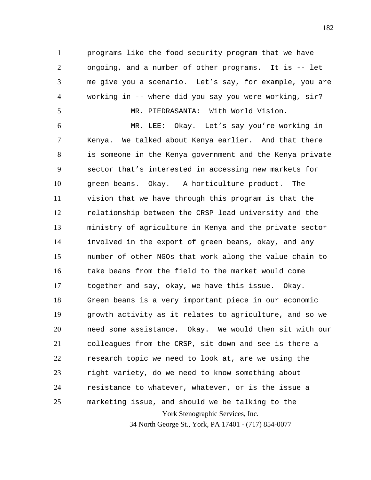1 2 3 4 programs like the food security program that we have ongoing, and a number of other programs. It is -- let me give you a scenario. Let's say, for example, you are working in -- where did you say you were working, sir?

MR. PIEDRASANTA: With World Vision.

5

York Stenographic Services, Inc. 34 North George St., York, PA 17401 - (717) 854-0077 6 7 8 9 10 11 12 13 14 15 16 17 18 19 20 21 22 23 24 25 MR. LEE: Okay. Let's say you're working in Kenya. We talked about Kenya earlier. And that there is someone in the Kenya government and the Kenya private sector that's interested in accessing new markets for green beans. Okay. A horticulture product. The vision that we have through this program is that the relationship between the CRSP lead university and the ministry of agriculture in Kenya and the private sector involved in the export of green beans, okay, and any number of other NGOs that work along the value chain to take beans from the field to the market would come together and say, okay, we have this issue. Okay. Green beans is a very important piece in our economic growth activity as it relates to agriculture, and so we need some assistance. Okay. We would then sit with our colleagues from the CRSP, sit down and see is there a research topic we need to look at, are we using the right variety, do we need to know something about resistance to whatever, whatever, or is the issue a marketing issue, and should we be talking to the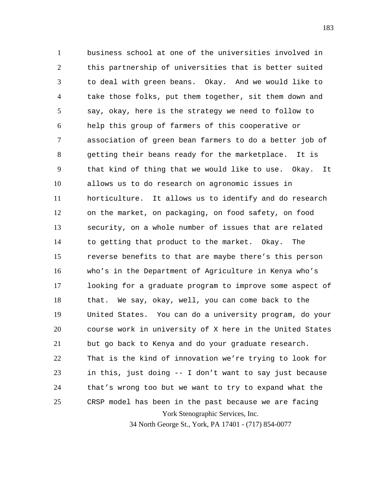York Stenographic Services, Inc. 1 2 3 4 5 6 7 8 9 10 11 12 13 14 15 16 17 18 19 20 21 22 23 24 25 business school at one of the universities involved in this partnership of universities that is better suited to deal with green beans. Okay. And we would like to take those folks, put them together, sit them down and say, okay, here is the strategy we need to follow to help this group of farmers of this cooperative or association of green bean farmers to do a better job of getting their beans ready for the marketplace. It is that kind of thing that we would like to use. Okay. It allows us to do research on agronomic issues in horticulture. It allows us to identify and do research on the market, on packaging, on food safety, on food security, on a whole number of issues that are related to getting that product to the market. Okay. The reverse benefits to that are maybe there's this person who's in the Department of Agriculture in Kenya who's looking for a graduate program to improve some aspect of that. We say, okay, well, you can come back to the United States. You can do a university program, do your course work in university of X here in the United States but go back to Kenya and do your graduate research. That is the kind of innovation we're trying to look for in this, just doing -- I don't want to say just because that's wrong too but we want to try to expand what the CRSP model has been in the past because we are facing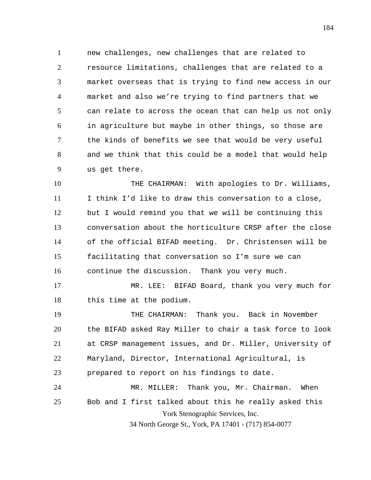1 2 3 4 5 6 7 8 9 new challenges, new challenges that are related to resource limitations, challenges that are related to a market overseas that is trying to find new access in our market and also we're trying to find partners that we can relate to across the ocean that can help us not only in agriculture but maybe in other things, so those are the kinds of benefits we see that would be very useful and we think that this could be a model that would help us get there.

10 11 12 13 14 15 16 THE CHAIRMAN: With apologies to Dr. Williams, I think I'd like to draw this conversation to a close, but I would remind you that we will be continuing this conversation about the horticulture CRSP after the close of the official BIFAD meeting. Dr. Christensen will be facilitating that conversation so I'm sure we can continue the discussion. Thank you very much.

17 18 MR. LEE: BIFAD Board, thank you very much for this time at the podium.

York Stenographic Services, Inc. 19 20 21 22 23 24 25 THE CHAIRMAN: Thank you. Back in November the BIFAD asked Ray Miller to chair a task force to look at CRSP management issues, and Dr. Miller, University of Maryland, Director, International Agricultural, is prepared to report on his findings to date. MR. MILLER: Thank you, Mr. Chairman. When Bob and I first talked about this he really asked this

34 North George St., York, PA 17401 - (717) 854-0077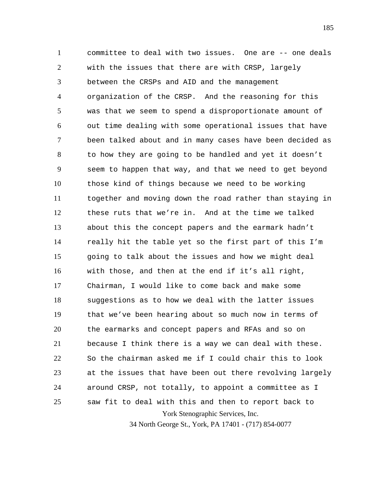York Stenographic Services, Inc. 1 2 3 4 5 6 7 8 9 10 11 12 13 14 15 16 17 18 19 20 21 22 23 24 25 committee to deal with two issues. One are -- one deals with the issues that there are with CRSP, largely between the CRSPs and AID and the management organization of the CRSP. And the reasoning for this was that we seem to spend a disproportionate amount of out time dealing with some operational issues that have been talked about and in many cases have been decided as to how they are going to be handled and yet it doesn't seem to happen that way, and that we need to get beyond those kind of things because we need to be working together and moving down the road rather than staying in these ruts that we're in. And at the time we talked about this the concept papers and the earmark hadn't really hit the table yet so the first part of this I'm going to talk about the issues and how we might deal with those, and then at the end if it's all right, Chairman, I would like to come back and make some suggestions as to how we deal with the latter issues that we've been hearing about so much now in terms of the earmarks and concept papers and RFAs and so on because I think there is a way we can deal with these. So the chairman asked me if I could chair this to look at the issues that have been out there revolving largely around CRSP, not totally, to appoint a committee as I saw fit to deal with this and then to report back to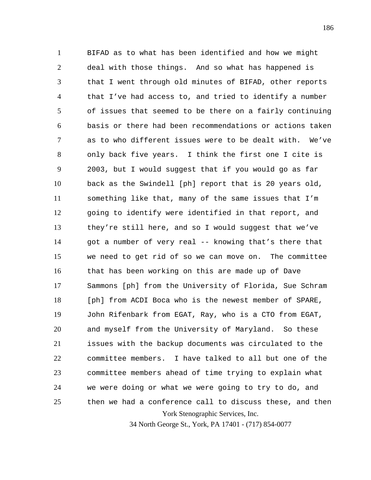York Stenographic Services, Inc. 1 2 3 4 5 6 7 8 9 10 11 12 13 14 15 16 17 18 19 20 21 22 23 24 25 BIFAD as to what has been identified and how we might deal with those things. And so what has happened is that I went through old minutes of BIFAD, other reports that I've had access to, and tried to identify a number of issues that seemed to be there on a fairly continuing basis or there had been recommendations or actions taken as to who different issues were to be dealt with. We've only back five years. I think the first one I cite is 2003, but I would suggest that if you would go as far back as the Swindell [ph] report that is 20 years old, something like that, many of the same issues that I'm going to identify were identified in that report, and they're still here, and so I would suggest that we've got a number of very real -- knowing that's there that we need to get rid of so we can move on. The committee that has been working on this are made up of Dave Sammons [ph] from the University of Florida, Sue Schram [ph] from ACDI Boca who is the newest member of SPARE, John Rifenbark from EGAT, Ray, who is a CTO from EGAT, and myself from the University of Maryland. So these issues with the backup documents was circulated to the committee members. I have talked to all but one of the committee members ahead of time trying to explain what we were doing or what we were going to try to do, and then we had a conference call to discuss these, and then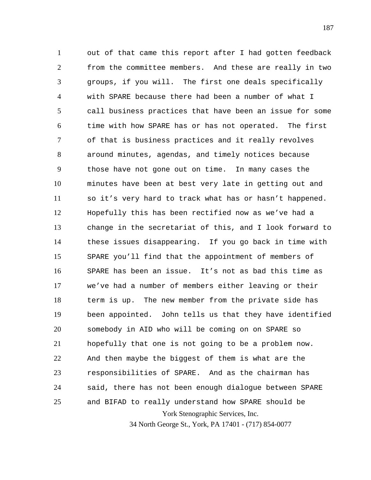York Stenographic Services, Inc. 1 2 3 4 5 6 7 8 9 10 11 12 13 14 15 16 17 18 19 20 21 22 23 24 25 out of that came this report after I had gotten feedback from the committee members. And these are really in two groups, if you will. The first one deals specifically with SPARE because there had been a number of what I call business practices that have been an issue for some time with how SPARE has or has not operated. The first of that is business practices and it really revolves around minutes, agendas, and timely notices because those have not gone out on time. In many cases the minutes have been at best very late in getting out and so it's very hard to track what has or hasn't happened. Hopefully this has been rectified now as we've had a change in the secretariat of this, and I look forward to these issues disappearing. If you go back in time with SPARE you'll find that the appointment of members of SPARE has been an issue. It's not as bad this time as we've had a number of members either leaving or their term is up. The new member from the private side has been appointed. John tells us that they have identified somebody in AID who will be coming on on SPARE so hopefully that one is not going to be a problem now. And then maybe the biggest of them is what are the responsibilities of SPARE. And as the chairman has said, there has not been enough dialogue between SPARE and BIFAD to really understand how SPARE should be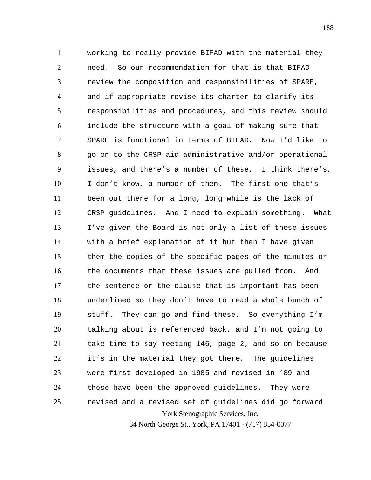York Stenographic Services, Inc. 1 2 3 4 5 6 7 8 9 10 11 12 13 14 15 16 17 18 19 20 21 22 23 24 25 working to really provide BIFAD with the material they need. So our recommendation for that is that BIFAD review the composition and responsibilities of SPARE, and if appropriate revise its charter to clarify its responsibilities and procedures, and this review should include the structure with a goal of making sure that SPARE is functional in terms of BIFAD. Now I'd like to go on to the CRSP aid administrative and/or operational issues, and there's a number of these. I think there's, I don't know, a number of them. The first one that's been out there for a long, long while is the lack of CRSP guidelines. And I need to explain something. What I've given the Board is not only a list of these issues with a brief explanation of it but then I have given them the copies of the specific pages of the minutes or the documents that these issues are pulled from. And the sentence or the clause that is important has been underlined so they don't have to read a whole bunch of stuff. They can go and find these. So everything I'm talking about is referenced back, and I'm not going to take time to say meeting 146, page 2, and so on because it's in the material they got there. The guidelines were first developed in 1985 and revised in '89 and those have been the approved guidelines. They were revised and a revised set of guidelines did go forward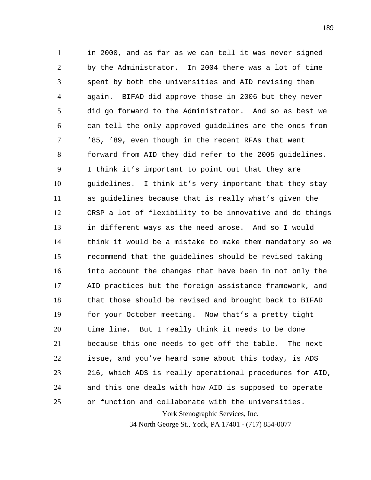York Stenographic Services, Inc. 1 2 3 4 5 6 7 8 9 10 11 12 13 14 15 16 17 18 19 20 21 22 23 24 25 in 2000, and as far as we can tell it was never signed by the Administrator. In 2004 there was a lot of time spent by both the universities and AID revising them again. BIFAD did approve those in 2006 but they never did go forward to the Administrator. And so as best we can tell the only approved guidelines are the ones from '85, '89, even though in the recent RFAs that went forward from AID they did refer to the 2005 guidelines. I think it's important to point out that they are guidelines. I think it's very important that they stay as guidelines because that is really what's given the CRSP a lot of flexibility to be innovative and do things in different ways as the need arose. And so I would think it would be a mistake to make them mandatory so we recommend that the guidelines should be revised taking into account the changes that have been in not only the AID practices but the foreign assistance framework, and that those should be revised and brought back to BIFAD for your October meeting. Now that's a pretty tight time line. But I really think it needs to be done because this one needs to get off the table. The next issue, and you've heard some about this today, is ADS 216, which ADS is really operational procedures for AID, and this one deals with how AID is supposed to operate or function and collaborate with the universities.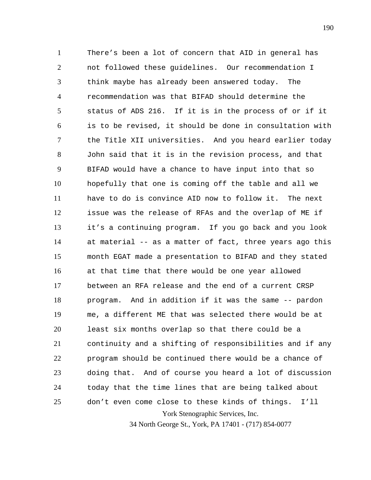York Stenographic Services, Inc. 1 2 3 4 5 6 7 8 9 10 11 12 13 14 15 16 17 18 19 20 21 22 23 24 25 There's been a lot of concern that AID in general has not followed these guidelines. Our recommendation I think maybe has already been answered today. The recommendation was that BIFAD should determine the status of ADS 216. If it is in the process of or if it is to be revised, it should be done in consultation with the Title XII universities. And you heard earlier today John said that it is in the revision process, and that BIFAD would have a chance to have input into that so hopefully that one is coming off the table and all we have to do is convince AID now to follow it. The next issue was the release of RFAs and the overlap of ME if it's a continuing program. If you go back and you look at material -- as a matter of fact, three years ago this month EGAT made a presentation to BIFAD and they stated at that time that there would be one year allowed between an RFA release and the end of a current CRSP program. And in addition if it was the same -- pardon me, a different ME that was selected there would be at least six months overlap so that there could be a continuity and a shifting of responsibilities and if any program should be continued there would be a chance of doing that. And of course you heard a lot of discussion today that the time lines that are being talked about don't even come close to these kinds of things. I'll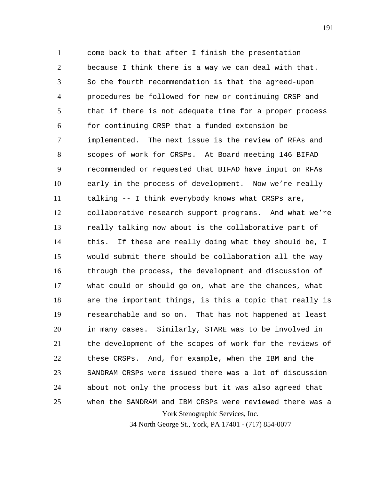York Stenographic Services, Inc. 1 2 3 4 5 6 7 8 9 10 11 12 13 14 15 16 17 18 19 20 21 22 23 24 25 come back to that after I finish the presentation because I think there is a way we can deal with that. So the fourth recommendation is that the agreed-upon procedures be followed for new or continuing CRSP and that if there is not adequate time for a proper process for continuing CRSP that a funded extension be implemented. The next issue is the review of RFAs and scopes of work for CRSPs. At Board meeting 146 BIFAD recommended or requested that BIFAD have input on RFAs early in the process of development. Now we're really talking -- I think everybody knows what CRSPs are, collaborative research support programs. And what we're really talking now about is the collaborative part of this. If these are really doing what they should be, I would submit there should be collaboration all the way through the process, the development and discussion of what could or should go on, what are the chances, what are the important things, is this a topic that really is researchable and so on. That has not happened at least in many cases. Similarly, STARE was to be involved in the development of the scopes of work for the reviews of these CRSPs. And, for example, when the IBM and the SANDRAM CRSPs were issued there was a lot of discussion about not only the process but it was also agreed that when the SANDRAM and IBM CRSPs were reviewed there was a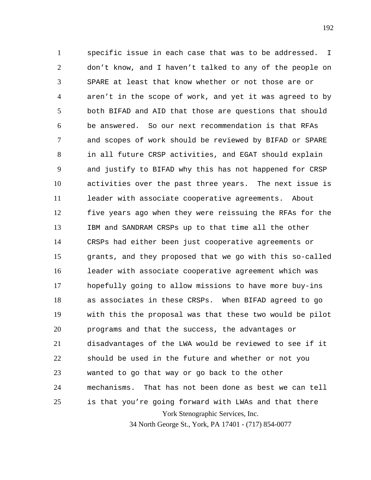York Stenographic Services, Inc. 1 2 3 4 5 6 7 8 9 10 11 12 13 14 15 16 17 18 19 20 21 22 23 24 25 specific issue in each case that was to be addressed. I don't know, and I haven't talked to any of the people on SPARE at least that know whether or not those are or aren't in the scope of work, and yet it was agreed to by both BIFAD and AID that those are questions that should be answered. So our next recommendation is that RFAs and scopes of work should be reviewed by BIFAD or SPARE in all future CRSP activities, and EGAT should explain and justify to BIFAD why this has not happened for CRSP activities over the past three years. The next issue is leader with associate cooperative agreements. About five years ago when they were reissuing the RFAs for the IBM and SANDRAM CRSPs up to that time all the other CRSPs had either been just cooperative agreements or grants, and they proposed that we go with this so-called leader with associate cooperative agreement which was hopefully going to allow missions to have more buy-ins as associates in these CRSPs. When BIFAD agreed to go with this the proposal was that these two would be pilot programs and that the success, the advantages or disadvantages of the LWA would be reviewed to see if it should be used in the future and whether or not you wanted to go that way or go back to the other mechanisms. That has not been done as best we can tell is that you're going forward with LWAs and that there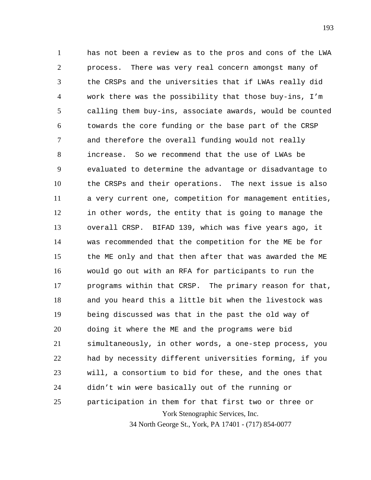York Stenographic Services, Inc. 1 2 3 4 5 6 7 8 9 10 11 12 13 14 15 16 17 18 19 20 21 22 23 24 25 has not been a review as to the pros and cons of the LWA process. There was very real concern amongst many of the CRSPs and the universities that if LWAs really did work there was the possibility that those buy-ins, I'm calling them buy-ins, associate awards, would be counted towards the core funding or the base part of the CRSP and therefore the overall funding would not really increase. So we recommend that the use of LWAs be evaluated to determine the advantage or disadvantage to the CRSPs and their operations. The next issue is also a very current one, competition for management entities, in other words, the entity that is going to manage the overall CRSP. BIFAD 139, which was five years ago, it was recommended that the competition for the ME be for the ME only and that then after that was awarded the ME would go out with an RFA for participants to run the programs within that CRSP. The primary reason for that, and you heard this a little bit when the livestock was being discussed was that in the past the old way of doing it where the ME and the programs were bid simultaneously, in other words, a one-step process, you had by necessity different universities forming, if you will, a consortium to bid for these, and the ones that didn't win were basically out of the running or participation in them for that first two or three or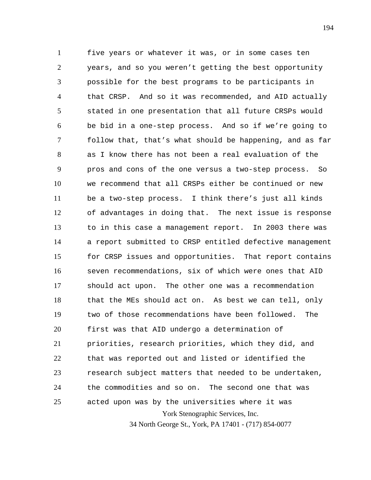York Stenographic Services, Inc. 34 North George St., York, PA 17401 - (717) 854-0077 1 2 3 4 5 6 7 8 9 10 11 12 13 14 15 16 17 18 19 20 21 22 23 24 25 five years or whatever it was, or in some cases ten years, and so you weren't getting the best opportunity possible for the best programs to be participants in that CRSP. And so it was recommended, and AID actually stated in one presentation that all future CRSPs would be bid in a one-step process. And so if we're going to follow that, that's what should be happening, and as far as I know there has not been a real evaluation of the pros and cons of the one versus a two-step process. So we recommend that all CRSPs either be continued or new be a two-step process. I think there's just all kinds of advantages in doing that. The next issue is response to in this case a management report. In 2003 there was a report submitted to CRSP entitled defective management for CRSP issues and opportunities. That report contains seven recommendations, six of which were ones that AID should act upon. The other one was a recommendation that the MEs should act on. As best we can tell, only two of those recommendations have been followed. The first was that AID undergo a determination of priorities, research priorities, which they did, and that was reported out and listed or identified the research subject matters that needed to be undertaken, the commodities and so on. The second one that was acted upon was by the universities where it was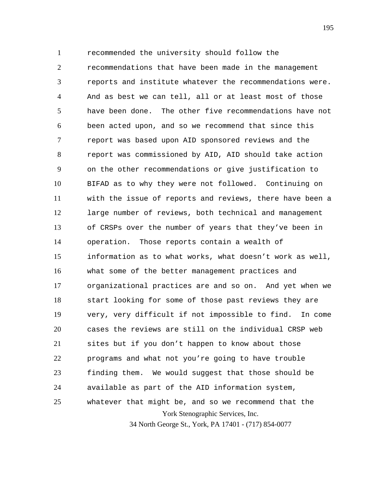York Stenographic Services, Inc. 34 North George St., York, PA 17401 - (717) 854-0077 1 2 3 4 5 6 7 8 9 10 11 12 13 14 15 16 17 18 19 20 21 22 23 24 25 recommended the university should follow the recommendations that have been made in the management reports and institute whatever the recommendations were. And as best we can tell, all or at least most of those have been done. The other five recommendations have not been acted upon, and so we recommend that since this report was based upon AID sponsored reviews and the report was commissioned by AID, AID should take action on the other recommendations or give justification to BIFAD as to why they were not followed. Continuing on with the issue of reports and reviews, there have been a large number of reviews, both technical and management of CRSPs over the number of years that they've been in operation. Those reports contain a wealth of information as to what works, what doesn't work as well, what some of the better management practices and organizational practices are and so on. And yet when we start looking for some of those past reviews they are very, very difficult if not impossible to find. In come cases the reviews are still on the individual CRSP web sites but if you don't happen to know about those programs and what not you're going to have trouble finding them. We would suggest that those should be available as part of the AID information system, whatever that might be, and so we recommend that the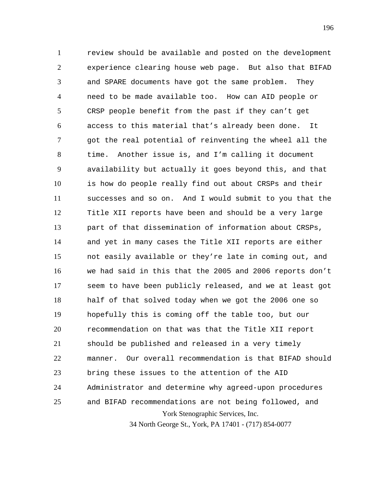York Stenographic Services, Inc. 34 North George St., York, PA 17401 - (717) 854-0077 1 2 3 4 5 6 7 8 9 10 11 12 13 14 15 16 17 18 19 20 21 22 23 24 25 review should be available and posted on the development experience clearing house web page. But also that BIFAD and SPARE documents have got the same problem. They need to be made available too. How can AID people or CRSP people benefit from the past if they can't get access to this material that's already been done. It got the real potential of reinventing the wheel all the time. Another issue is, and I'm calling it document availability but actually it goes beyond this, and that is how do people really find out about CRSPs and their successes and so on. And I would submit to you that the Title XII reports have been and should be a very large part of that dissemination of information about CRSPs, and yet in many cases the Title XII reports are either not easily available or they're late in coming out, and we had said in this that the 2005 and 2006 reports don't seem to have been publicly released, and we at least got half of that solved today when we got the 2006 one so hopefully this is coming off the table too, but our recommendation on that was that the Title XII report should be published and released in a very timely manner. Our overall recommendation is that BIFAD should bring these issues to the attention of the AID Administrator and determine why agreed-upon procedures and BIFAD recommendations are not being followed, and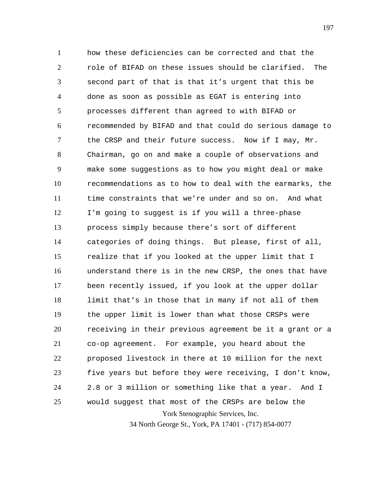York Stenographic Services, Inc. 1 2 3 4 5 6 7 8 9 10 11 12 13 14 15 16 17 18 19 20 21 22 23 24 25 how these deficiencies can be corrected and that the role of BIFAD on these issues should be clarified. The second part of that is that it's urgent that this be done as soon as possible as EGAT is entering into processes different than agreed to with BIFAD or recommended by BIFAD and that could do serious damage to the CRSP and their future success. Now if I may, Mr. Chairman, go on and make a couple of observations and make some suggestions as to how you might deal or make recommendations as to how to deal with the earmarks, the time constraints that we're under and so on. And what I'm going to suggest is if you will a three-phase process simply because there's sort of different categories of doing things. But please, first of all, realize that if you looked at the upper limit that I understand there is in the new CRSP, the ones that have been recently issued, if you look at the upper dollar limit that's in those that in many if not all of them the upper limit is lower than what those CRSPs were receiving in their previous agreement be it a grant or a co-op agreement. For example, you heard about the proposed livestock in there at 10 million for the next five years but before they were receiving, I don't know, 2.8 or 3 million or something like that a year. And I would suggest that most of the CRSPs are below the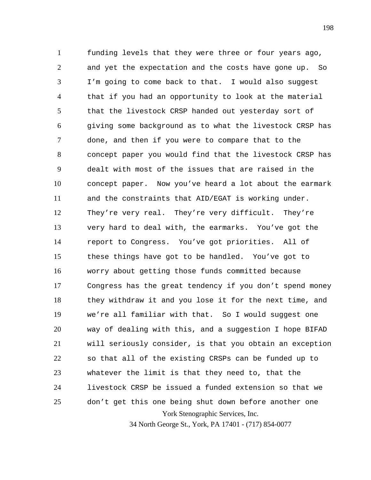York Stenographic Services, Inc. 1 2 3 4 5 6 7 8 9 10 11 12 13 14 15 16 17 18 19 20 21 22 23 24 25 funding levels that they were three or four years ago, and yet the expectation and the costs have gone up. So I'm going to come back to that. I would also suggest that if you had an opportunity to look at the material that the livestock CRSP handed out yesterday sort of giving some background as to what the livestock CRSP has done, and then if you were to compare that to the concept paper you would find that the livestock CRSP has dealt with most of the issues that are raised in the concept paper. Now you've heard a lot about the earmark and the constraints that AID/EGAT is working under. They're very real. They're very difficult. They're very hard to deal with, the earmarks. You've got the report to Congress. You've got priorities. All of these things have got to be handled. You've got to worry about getting those funds committed because Congress has the great tendency if you don't spend money they withdraw it and you lose it for the next time, and we're all familiar with that. So I would suggest one way of dealing with this, and a suggestion I hope BIFAD will seriously consider, is that you obtain an exception so that all of the existing CRSPs can be funded up to whatever the limit is that they need to, that the livestock CRSP be issued a funded extension so that we don't get this one being shut down before another one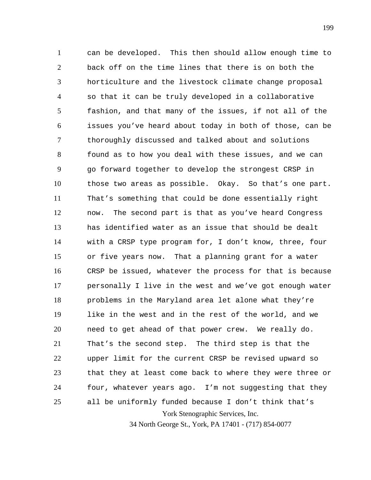York Stenographic Services, Inc. 1 2 3 4 5 6 7 8 9 10 11 12 13 14 15 16 17 18 19 20 21 22 23 24 25 can be developed. This then should allow enough time to back off on the time lines that there is on both the horticulture and the livestock climate change proposal so that it can be truly developed in a collaborative fashion, and that many of the issues, if not all of the issues you've heard about today in both of those, can be thoroughly discussed and talked about and solutions found as to how you deal with these issues, and we can go forward together to develop the strongest CRSP in those two areas as possible. Okay. So that's one part. That's something that could be done essentially right now. The second part is that as you've heard Congress has identified water as an issue that should be dealt with a CRSP type program for, I don't know, three, four or five years now. That a planning grant for a water CRSP be issued, whatever the process for that is because personally I live in the west and we've got enough water problems in the Maryland area let alone what they're like in the west and in the rest of the world, and we need to get ahead of that power crew. We really do. That's the second step. The third step is that the upper limit for the current CRSP be revised upward so that they at least come back to where they were three or four, whatever years ago. I'm not suggesting that they all be uniformly funded because I don't think that's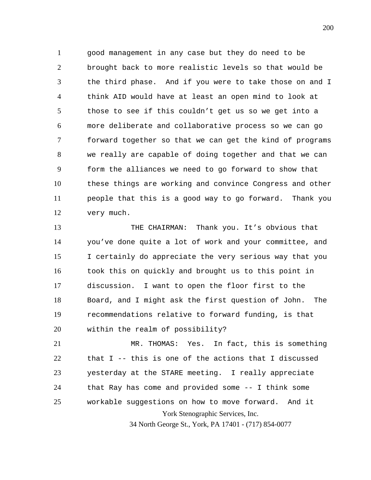1 2 3 4 5 6 7 8 9 10 11 12 good management in any case but they do need to be brought back to more realistic levels so that would be the third phase. And if you were to take those on and I think AID would have at least an open mind to look at those to see if this couldn't get us so we get into a more deliberate and collaborative process so we can go forward together so that we can get the kind of programs we really are capable of doing together and that we can form the alliances we need to go forward to show that these things are working and convince Congress and other people that this is a good way to go forward. Thank you very much.

13 14 15 16 17 18 19 20 THE CHAIRMAN: Thank you. It's obvious that you've done quite a lot of work and your committee, and I certainly do appreciate the very serious way that you took this on quickly and brought us to this point in discussion. I want to open the floor first to the Board, and I might ask the first question of John. The recommendations relative to forward funding, is that within the realm of possibility?

York Stenographic Services, Inc. 21 22 23 24 25 MR. THOMAS: Yes. In fact, this is something that I -- this is one of the actions that I discussed yesterday at the STARE meeting. I really appreciate that Ray has come and provided some -- I think some workable suggestions on how to move forward. And it

34 North George St., York, PA 17401 - (717) 854-0077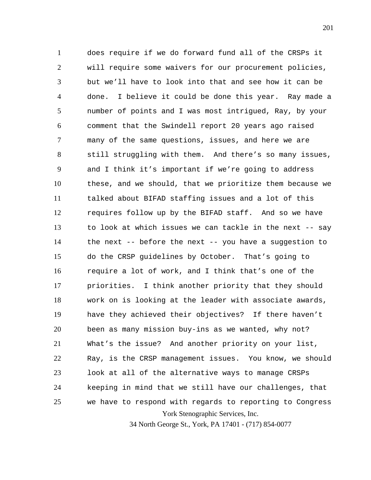York Stenographic Services, Inc. 1 2 3 4 5 6 7 8 9 10 11 12 13 14 15 16 17 18 19 20 21 22 23 24 25 does require if we do forward fund all of the CRSPs it will require some waivers for our procurement policies, but we'll have to look into that and see how it can be done. I believe it could be done this year. Ray made a number of points and I was most intrigued, Ray, by your comment that the Swindell report 20 years ago raised many of the same questions, issues, and here we are still struggling with them. And there's so many issues, and I think it's important if we're going to address these, and we should, that we prioritize them because we talked about BIFAD staffing issues and a lot of this requires follow up by the BIFAD staff. And so we have to look at which issues we can tackle in the next -- say the next -- before the next -- you have a suggestion to do the CRSP guidelines by October. That's going to require a lot of work, and I think that's one of the priorities. I think another priority that they should work on is looking at the leader with associate awards, have they achieved their objectives? If there haven't been as many mission buy-ins as we wanted, why not? What's the issue? And another priority on your list, Ray, is the CRSP management issues. You know, we should look at all of the alternative ways to manage CRSPs keeping in mind that we still have our challenges, that we have to respond with regards to reporting to Congress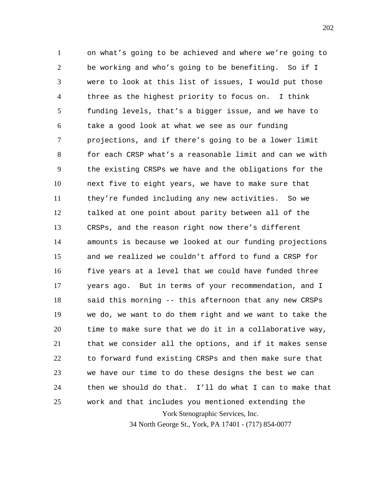York Stenographic Services, Inc. 1 2 3 4 5 6 7 8 9 10 11 12 13 14 15 16 17 18 19 20 21 22 23 24 25 on what's going to be achieved and where we're going to be working and who's going to be benefiting. So if I were to look at this list of issues, I would put those three as the highest priority to focus on. I think funding levels, that's a bigger issue, and we have to take a good look at what we see as our funding projections, and if there's going to be a lower limit for each CRSP what's a reasonable limit and can we with the existing CRSPs we have and the obligations for the next five to eight years, we have to make sure that they're funded including any new activities. So we talked at one point about parity between all of the CRSPs, and the reason right now there's different amounts is because we looked at our funding projections and we realized we couldn't afford to fund a CRSP for five years at a level that we could have funded three years ago. But in terms of your recommendation, and I said this morning -- this afternoon that any new CRSPs we do, we want to do them right and we want to take the time to make sure that we do it in a collaborative way, that we consider all the options, and if it makes sense to forward fund existing CRSPs and then make sure that we have our time to do these designs the best we can then we should do that. I'll do what I can to make that work and that includes you mentioned extending the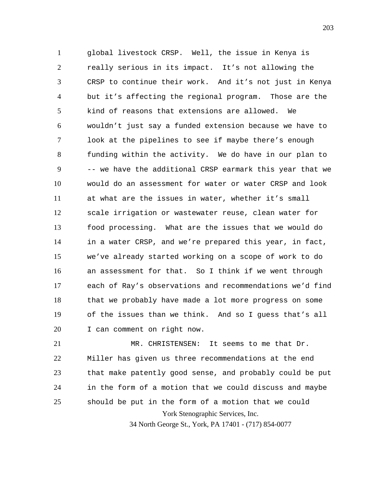1 2 3 4 5 6 7 8 9 10 11 12 13 14 15 16 17 18 19 20 global livestock CRSP. Well, the issue in Kenya is really serious in its impact. It's not allowing the CRSP to continue their work. And it's not just in Kenya but it's affecting the regional program. Those are the kind of reasons that extensions are allowed. We wouldn't just say a funded extension because we have to look at the pipelines to see if maybe there's enough funding within the activity. We do have in our plan to -- we have the additional CRSP earmark this year that we would do an assessment for water or water CRSP and look at what are the issues in water, whether it's small scale irrigation or wastewater reuse, clean water for food processing. What are the issues that we would do in a water CRSP, and we're prepared this year, in fact, we've already started working on a scope of work to do an assessment for that. So I think if we went through each of Ray's observations and recommendations we'd find that we probably have made a lot more progress on some of the issues than we think. And so I guess that's all I can comment on right now.

York Stenographic Services, Inc. 21 22 23 24 25 MR. CHRISTENSEN: It seems to me that Dr. Miller has given us three recommendations at the end that make patently good sense, and probably could be put in the form of a motion that we could discuss and maybe should be put in the form of a motion that we could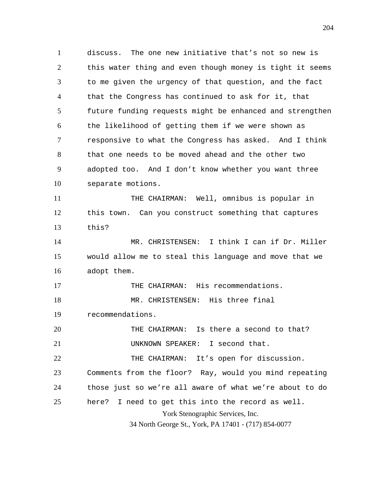1 2 3 4 5 6 7 8 9 10 11 12 13 14 15 16 17 18 19 20 21 22 23 24 25 discuss. The one new initiative that's not so new is this water thing and even though money is tight it seems to me given the urgency of that question, and the fact that the Congress has continued to ask for it, that future funding requests might be enhanced and strengthen the likelihood of getting them if we were shown as responsive to what the Congress has asked. And I think that one needs to be moved ahead and the other two adopted too. And I don't know whether you want three separate motions. THE CHAIRMAN: Well, omnibus is popular in this town. Can you construct something that captures this? MR. CHRISTENSEN: I think I can if Dr. Miller would allow me to steal this language and move that we adopt them. THE CHAIRMAN: His recommendations. MR. CHRISTENSEN: His three final recommendations. THE CHAIRMAN: Is there a second to that? UNKNOWN SPEAKER: I second that. THE CHAIRMAN: It's open for discussion. Comments from the floor? Ray, would you mind repeating those just so we're all aware of what we're about to do here? I need to get this into the record as well.

York Stenographic Services, Inc.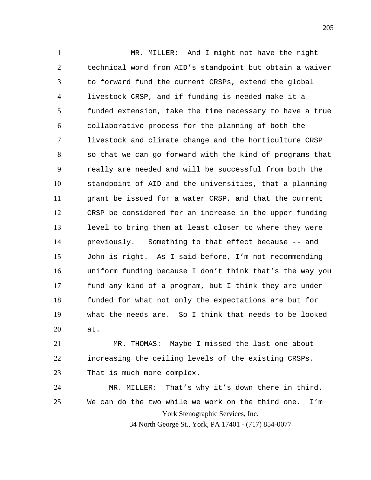1 2 3 4 5 6 7 8 9 10 11 12 13 14 15 16 17 18 19 20 MR. MILLER: And I might not have the right technical word from AID's standpoint but obtain a waiver to forward fund the current CRSPs, extend the global livestock CRSP, and if funding is needed make it a funded extension, take the time necessary to have a true collaborative process for the planning of both the livestock and climate change and the horticulture CRSP so that we can go forward with the kind of programs that really are needed and will be successful from both the standpoint of AID and the universities, that a planning grant be issued for a water CRSP, and that the current CRSP be considered for an increase in the upper funding level to bring them at least closer to where they were previously. Something to that effect because -- and John is right. As I said before, I'm not recommending uniform funding because I don't think that's the way you fund any kind of a program, but I think they are under funded for what not only the expectations are but for what the needs are. So I think that needs to be looked at.

21 22 23 MR. THOMAS: Maybe I missed the last one about increasing the ceiling levels of the existing CRSPs. That is much more complex.

York Stenographic Services, Inc. 34 North George St., York, PA 17401 - (717) 854-0077 24 25 MR. MILLER: That's why it's down there in third. We can do the two while we work on the third one. I'm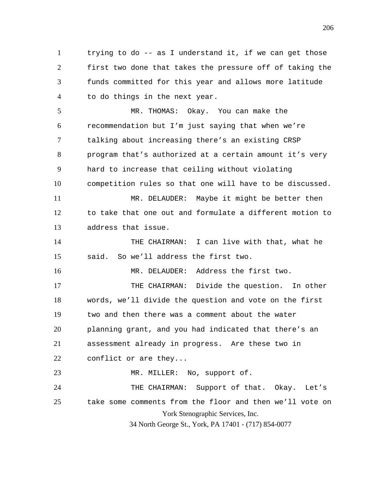1 2 3 4 trying to do -- as I understand it, if we can get those first two done that takes the pressure off of taking the funds committed for this year and allows more latitude to do things in the next year.

5 6 7 8 9 10 MR. THOMAS: Okay. You can make the recommendation but I'm just saying that when we're talking about increasing there's an existing CRSP program that's authorized at a certain amount it's very hard to increase that ceiling without violating competition rules so that one will have to be discussed.

11 12 13 MR. DELAUDER: Maybe it might be better then to take that one out and formulate a different motion to address that issue.

14 15 THE CHAIRMAN: I can live with that, what he said. So we'll address the first two.

16 MR. DELAUDER: Address the first two.

17 18 19 20 21 22 THE CHAIRMAN: Divide the question. In other words, we'll divide the question and vote on the first two and then there was a comment about the water planning grant, and you had indicated that there's an assessment already in progress. Are these two in conflict or are they...

York Stenographic Services, Inc. 34 North George St., York, PA 17401 - (717) 854-0077 23 24 25 MR. MILLER: No, support of. THE CHAIRMAN: Support of that. Okay. Let's take some comments from the floor and then we'll vote on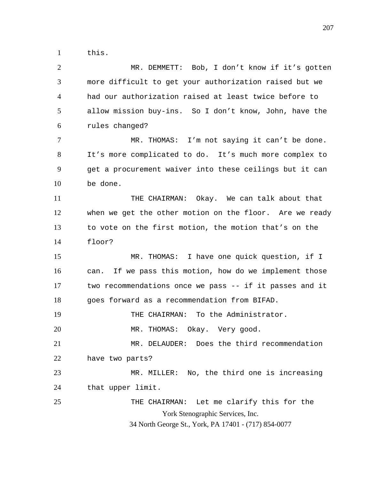1 this.

2 3 4 5 6 7 8 9 10 11 12 13 14 MR. DEMMETT: Bob, I don't know if it's gotten more difficult to get your authorization raised but we had our authorization raised at least twice before to allow mission buy-ins. So I don't know, John, have the rules changed? MR. THOMAS: I'm not saying it can't be done. It's more complicated to do. It's much more complex to get a procurement waiver into these ceilings but it can be done. THE CHAIRMAN: Okay. We can talk about that when we get the other motion on the floor. Are we ready to vote on the first motion, the motion that's on the floor?

15 16 17 18 MR. THOMAS: I have one quick question, if I can. If we pass this motion, how do we implement those two recommendations once we pass -- if it passes and it goes forward as a recommendation from BIFAD.

19 THE CHAIRMAN: To the Administrator.

20 MR. THOMAS: Okay. Very good.

21 22 MR. DELAUDER: Does the third recommendation have two parts?

23 24 MR. MILLER: No, the third one is increasing that upper limit.

York Stenographic Services, Inc. 34 North George St., York, PA 17401 - (717) 854-0077 25 THE CHAIRMAN: Let me clarify this for the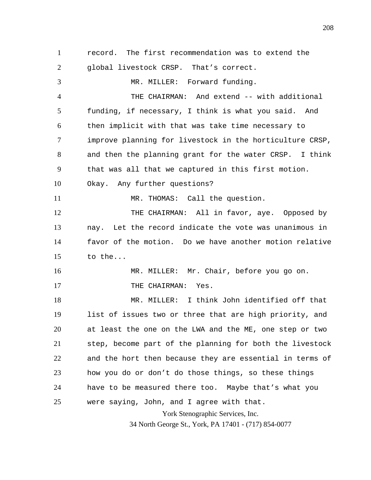York Stenographic Services, Inc. 1 2 3 4 5 6 7 8 9 10 11 12 13 14 15 16 17 18 19 20 21 22 23 24 25 record. The first recommendation was to extend the global livestock CRSP. That's correct. MR. MILLER: Forward funding. THE CHAIRMAN: And extend -- with additional funding, if necessary, I think is what you said. And then implicit with that was take time necessary to improve planning for livestock in the horticulture CRSP, and then the planning grant for the water CRSP. I think that was all that we captured in this first motion. Okay. Any further questions? MR. THOMAS: Call the question. THE CHAIRMAN: All in favor, aye. Opposed by nay. Let the record indicate the vote was unanimous in favor of the motion. Do we have another motion relative to the... MR. MILLER: Mr. Chair, before you go on. THE CHAIRMAN: Yes. MR. MILLER: I think John identified off that list of issues two or three that are high priority, and at least the one on the LWA and the ME, one step or two step, become part of the planning for both the livestock and the hort then because they are essential in terms of how you do or don't do those things, so these things have to be measured there too. Maybe that's what you were saying, John, and I agree with that.

34 North George St., York, PA 17401 - (717) 854-0077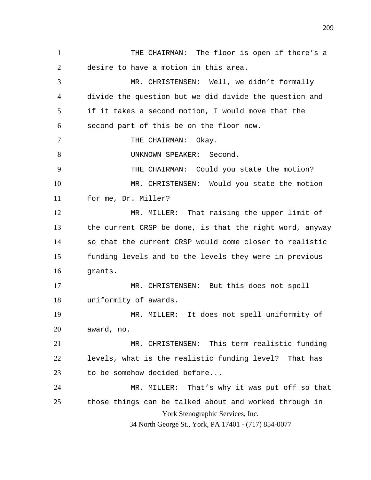York Stenographic Services, Inc. 34 North George St., York, PA 17401 - (717) 854-0077 1 2 3 4 5 6 7 8 9 10 11 12 13 14 15 16 17 18 19 20 21 22 23 24 25 THE CHAIRMAN: The floor is open if there's a desire to have a motion in this area. MR. CHRISTENSEN: Well, we didn't formally divide the question but we did divide the question and if it takes a second motion, I would move that the second part of this be on the floor now. THE CHAIRMAN: Okay. UNKNOWN SPEAKER: Second. THE CHAIRMAN: Could you state the motion? MR. CHRISTENSEN: Would you state the motion for me, Dr. Miller? MR. MILLER: That raising the upper limit of the current CRSP be done, is that the right word, anyway so that the current CRSP would come closer to realistic funding levels and to the levels they were in previous grants. MR. CHRISTENSEN: But this does not spell uniformity of awards. MR. MILLER: It does not spell uniformity of award, no. MR. CHRISTENSEN: This term realistic funding levels, what is the realistic funding level? That has to be somehow decided before... MR. MILLER: That's why it was put off so that those things can be talked about and worked through in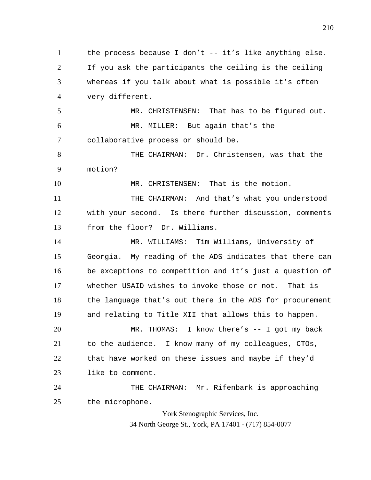1 2 3 4 the process because I don't -- it's like anything else. If you ask the participants the ceiling is the ceiling whereas if you talk about what is possible it's often very different.

5 6 7 MR. CHRISTENSEN: That has to be figured out. MR. MILLER: But again that's the collaborative process or should be.

8 9 THE CHAIRMAN: Dr. Christensen, was that the motion?

10 MR. CHRISTENSEN: That is the motion.

11 12 13 THE CHAIRMAN: And that's what you understood with your second. Is there further discussion, comments from the floor? Dr. Williams.

14 15 16 17 18 19 MR. WILLIAMS: Tim Williams, University of Georgia. My reading of the ADS indicates that there can be exceptions to competition and it's just a question of whether USAID wishes to invoke those or not. That is the language that's out there in the ADS for procurement and relating to Title XII that allows this to happen.

20 21 22 23 MR. THOMAS: I know there's -- I got my back to the audience. I know many of my colleagues, CTOs, that have worked on these issues and maybe if they'd like to comment.

24 25 THE CHAIRMAN: Mr. Rifenbark is approaching the microphone.

> York Stenographic Services, Inc. 34 North George St., York, PA 17401 - (717) 854-0077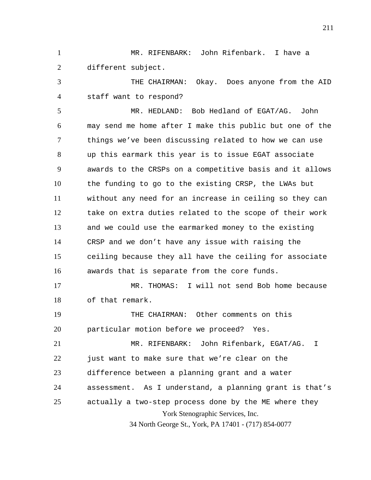1 2 MR. RIFENBARK: John Rifenbark. I have a different subject.

3 4 THE CHAIRMAN: Okay. Does anyone from the AID staff want to respond?

5 6 7 8 9 10 11 12 13 14 15 16 17 MR. HEDLAND: Bob Hedland of EGAT/AG. John may send me home after I make this public but one of the things we've been discussing related to how we can use up this earmark this year is to issue EGAT associate awards to the CRSPs on a competitive basis and it allows the funding to go to the existing CRSP, the LWAs but without any need for an increase in ceiling so they can take on extra duties related to the scope of their work and we could use the earmarked money to the existing CRSP and we don't have any issue with raising the ceiling because they all have the ceiling for associate awards that is separate from the core funds. MR. THOMAS: I will not send Bob home because

18 of that remark.

19 20 THE CHAIRMAN: Other comments on this particular motion before we proceed? Yes.

York Stenographic Services, Inc. 34 North George St., York, PA 17401 - (717) 854-0077 21 22 23 24 25 MR. RIFENBARK: John Rifenbark, EGAT/AG. I just want to make sure that we're clear on the difference between a planning grant and a water assessment. As I understand, a planning grant is that's actually a two-step process done by the ME where they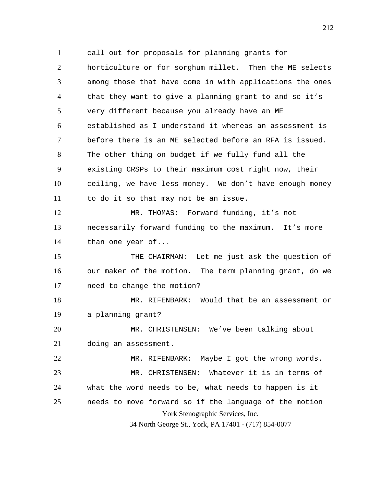York Stenographic Services, Inc. 34 North George St., York, PA 17401 - (717) 854-0077 1 2 3 4 5 6 7 8 9 10 11 12 13 14 15 16 17 18 19 20 21 22 23 24 25 call out for proposals for planning grants for horticulture or for sorghum millet. Then the ME selects among those that have come in with applications the ones that they want to give a planning grant to and so it's very different because you already have an ME established as I understand it whereas an assessment is before there is an ME selected before an RFA is issued. The other thing on budget if we fully fund all the existing CRSPs to their maximum cost right now, their ceiling, we have less money. We don't have enough money to do it so that may not be an issue. MR. THOMAS: Forward funding, it's not necessarily forward funding to the maximum. It's more than one year of... THE CHAIRMAN: Let me just ask the question of our maker of the motion. The term planning grant, do we need to change the motion? MR. RIFENBARK: Would that be an assessment or a planning grant? MR. CHRISTENSEN: We've been talking about doing an assessment. MR. RIFENBARK: Maybe I got the wrong words. MR. CHRISTENSEN: Whatever it is in terms of what the word needs to be, what needs to happen is it needs to move forward so if the language of the motion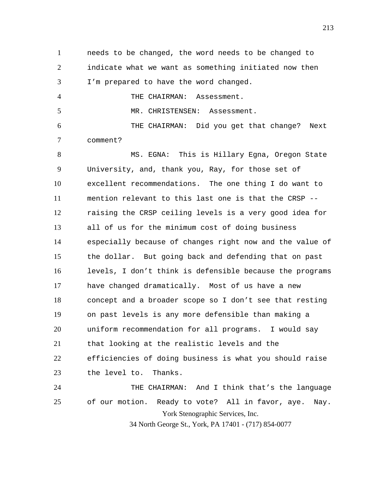1 2 3 needs to be changed, the word needs to be changed to indicate what we want as something initiated now then I'm prepared to have the word changed.

4 5 THE CHAIRMAN: Assessment. MR. CHRISTENSEN: Assessment.

6 7 THE CHAIRMAN: Did you get that change? Next comment?

8 9 10 11 12 13 14 15 16 17 18 19 20 21 22 23 24 25 MS. EGNA: This is Hillary Egna, Oregon State University, and, thank you, Ray, for those set of excellent recommendations. The one thing I do want to mention relevant to this last one is that the CRSP - raising the CRSP ceiling levels is a very good idea for all of us for the minimum cost of doing business especially because of changes right now and the value of the dollar. But going back and defending that on past levels, I don't think is defensible because the programs have changed dramatically. Most of us have a new concept and a broader scope so I don't see that resting on past levels is any more defensible than making a uniform recommendation for all programs. I would say that looking at the realistic levels and the efficiencies of doing business is what you should raise the level to. Thanks. THE CHAIRMAN: And I think that's the language of our motion. Ready to vote? All in favor, aye. Nay.

York Stenographic Services, Inc.

34 North George St., York, PA 17401 - (717) 854-0077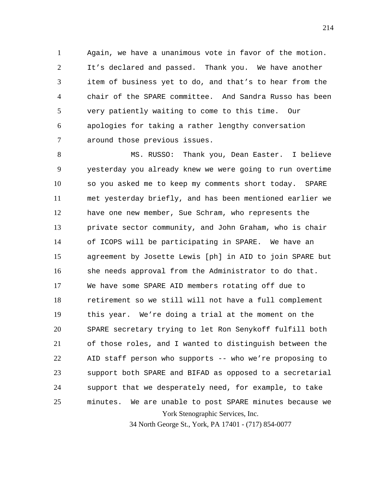1 2 3 4 5 6 7 Again, we have a unanimous vote in favor of the motion. It's declared and passed. Thank you. We have another item of business yet to do, and that's to hear from the chair of the SPARE committee. And Sandra Russo has been very patiently waiting to come to this time. Our apologies for taking a rather lengthy conversation around those previous issues.

York Stenographic Services, Inc. 8 9 10 11 12 13 14 15 16 17 18 19 20 21 22 23 24 25 MS. RUSSO: Thank you, Dean Easter. I believe yesterday you already knew we were going to run overtime so you asked me to keep my comments short today. SPARE met yesterday briefly, and has been mentioned earlier we have one new member, Sue Schram, who represents the private sector community, and John Graham, who is chair of ICOPS will be participating in SPARE. We have an agreement by Josette Lewis [ph] in AID to join SPARE but she needs approval from the Administrator to do that. We have some SPARE AID members rotating off due to retirement so we still will not have a full complement this year. We're doing a trial at the moment on the SPARE secretary trying to let Ron Senykoff fulfill both of those roles, and I wanted to distinguish between the AID staff person who supports -- who we're proposing to support both SPARE and BIFAD as opposed to a secretarial support that we desperately need, for example, to take minutes. We are unable to post SPARE minutes because we

34 North George St., York, PA 17401 - (717) 854-0077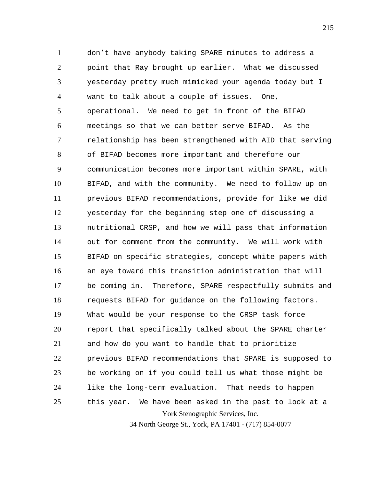York Stenographic Services, Inc. 1 2 3 4 5 6 7 8 9 10 11 12 13 14 15 16 17 18 19 20 21 22 23 24 25 don't have anybody taking SPARE minutes to address a point that Ray brought up earlier. What we discussed yesterday pretty much mimicked your agenda today but I want to talk about a couple of issues. One, operational. We need to get in front of the BIFAD meetings so that we can better serve BIFAD. As the relationship has been strengthened with AID that serving of BIFAD becomes more important and therefore our communication becomes more important within SPARE, with BIFAD, and with the community. We need to follow up on previous BIFAD recommendations, provide for like we did yesterday for the beginning step one of discussing a nutritional CRSP, and how we will pass that information out for comment from the community. We will work with BIFAD on specific strategies, concept white papers with an eye toward this transition administration that will be coming in. Therefore, SPARE respectfully submits and requests BIFAD for guidance on the following factors. What would be your response to the CRSP task force report that specifically talked about the SPARE charter and how do you want to handle that to prioritize previous BIFAD recommendations that SPARE is supposed to be working on if you could tell us what those might be like the long-term evaluation. That needs to happen this year. We have been asked in the past to look at a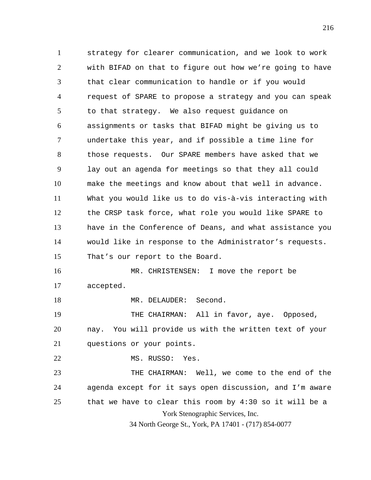1 2 3 4 5 6 7 8 9 10 11 12 13 14 15 16 17 18 19 20 21 22 23 24 25 strategy for clearer communication, and we look to work with BIFAD on that to figure out how we're going to have that clear communication to handle or if you would request of SPARE to propose a strategy and you can speak to that strategy. We also request guidance on assignments or tasks that BIFAD might be giving us to undertake this year, and if possible a time line for those requests. Our SPARE members have asked that we lay out an agenda for meetings so that they all could make the meetings and know about that well in advance. What you would like us to do vis-à-vis interacting with the CRSP task force, what role you would like SPARE to have in the Conference of Deans, and what assistance you would like in response to the Administrator's requests. That's our report to the Board. MR. CHRISTENSEN: I move the report be accepted. MR. DELAUDER: Second. THE CHAIRMAN: All in favor, aye. Opposed, nay. You will provide us with the written text of your questions or your points. MS. RUSSO: Yes. THE CHAIRMAN: Well, we come to the end of the agenda except for it says open discussion, and I'm aware that we have to clear this room by 4:30 so it will be a

York Stenographic Services, Inc.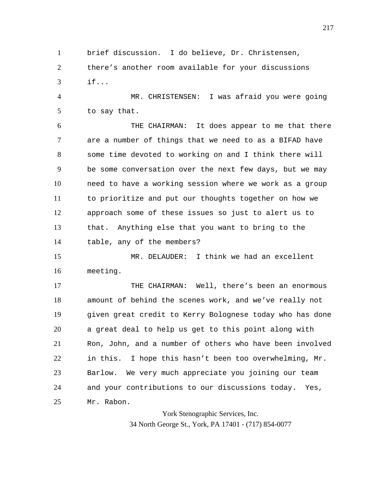1 2 3 brief discussion. I do believe, Dr. Christensen, there's another room available for your discussions if...

4 5 MR. CHRISTENSEN: I was afraid you were going to say that.

6 7 8 9 10 11 12 13 14 THE CHAIRMAN: It does appear to me that there are a number of things that we need to as a BIFAD have some time devoted to working on and I think there will be some conversation over the next few days, but we may need to have a working session where we work as a group to prioritize and put our thoughts together on how we approach some of these issues so just to alert us to that. Anything else that you want to bring to the table, any of the members?

15 16 MR. DELAUDER: I think we had an excellent meeting.

17 18 19 20 21 22 23 24 25 THE CHAIRMAN: Well, there's been an enormous amount of behind the scenes work, and we've really not given great credit to Kerry Bolognese today who has done a great deal to help us get to this point along with Ron, John, and a number of others who have been involved in this. I hope this hasn't been too overwhelming, Mr. Barlow. We very much appreciate you joining our team and your contributions to our discussions today. Yes, Mr. Rabon.

> York Stenographic Services, Inc. 34 North George St., York, PA 17401 - (717) 854-0077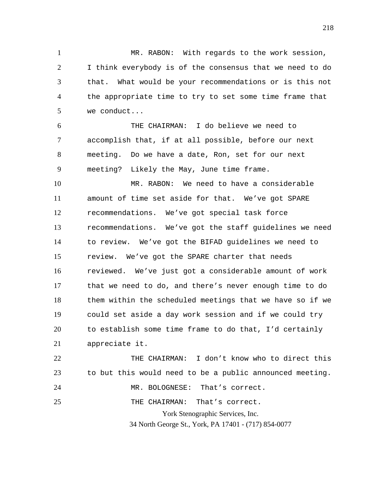1 2 3 4 5 MR. RABON: With regards to the work session, I think everybody is of the consensus that we need to do that. What would be your recommendations or is this not the appropriate time to try to set some time frame that we conduct...

6 7 8 9 THE CHAIRMAN: I do believe we need to accomplish that, if at all possible, before our next meeting. Do we have a date, Ron, set for our next meeting? Likely the May, June time frame.

10 11 12 13 14 15 16 17 18 19 20 21 MR. RABON: We need to have a considerable amount of time set aside for that. We've got SPARE recommendations. We've got special task force recommendations. We've got the staff guidelines we need to review. We've got the BIFAD guidelines we need to review. We've got the SPARE charter that needs reviewed. We've just got a considerable amount of work that we need to do, and there's never enough time to do them within the scheduled meetings that we have so if we could set aside a day work session and if we could try to establish some time frame to do that, I'd certainly appreciate it.

York Stenographic Services, Inc. 34 North George St., York, PA 17401 - (717) 854-0077 22 23 24 25 THE CHAIRMAN: I don't know who to direct this to but this would need to be a public announced meeting. MR. BOLOGNESE: That's correct. THE CHAIRMAN: That's correct.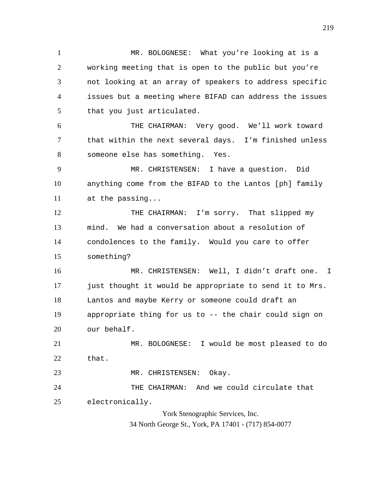1 2 3 4 5 MR. BOLOGNESE: What you're looking at is a working meeting that is open to the public but you're not looking at an array of speakers to address specific issues but a meeting where BIFAD can address the issues that you just articulated.

6 7 8 THE CHAIRMAN: Very good. We'll work toward that within the next several days. I'm finished unless someone else has something. Yes.

9 10 11 MR. CHRISTENSEN: I have a question. Did anything come from the BIFAD to the Lantos [ph] family at the passing...

12 13 14 15 THE CHAIRMAN: I'm sorry. That slipped my mind. We had a conversation about a resolution of condolences to the family. Would you care to offer something?

16 17 18 19 20 MR. CHRISTENSEN: Well, I didn't draft one. I just thought it would be appropriate to send it to Mrs. Lantos and maybe Kerry or someone could draft an appropriate thing for us to -- the chair could sign on our behalf.

21 22 MR. BOLOGNESE: I would be most pleased to do that.

23 MR. CHRISTENSEN: Okay.

24 25 THE CHAIRMAN: And we could circulate that electronically.

> York Stenographic Services, Inc. 34 North George St., York, PA 17401 - (717) 854-0077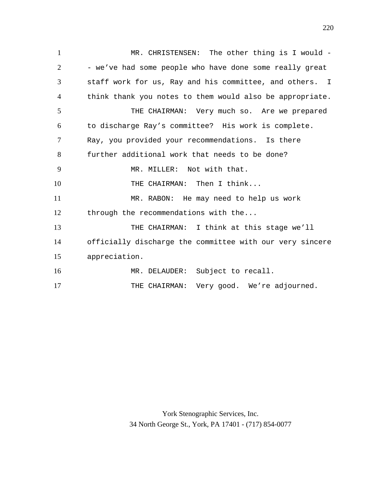1 2 3 4 5 6 7 8 9 10 11 12 13 14 15 16 17 MR. CHRISTENSEN: The other thing is I would -- we've had some people who have done some really great staff work for us, Ray and his committee, and others. I think thank you notes to them would also be appropriate. THE CHAIRMAN: Very much so. Are we prepared to discharge Ray's committee? His work is complete. Ray, you provided your recommendations. Is there further additional work that needs to be done? MR. MILLER: Not with that. THE CHAIRMAN: Then I think... MR. RABON: He may need to help us work through the recommendations with the... THE CHAIRMAN: I think at this stage we'll officially discharge the committee with our very sincere appreciation. MR. DELAUDER: Subject to recall. THE CHAIRMAN: Very good. We're adjourned.

> York Stenographic Services, Inc. 34 North George St., York, PA 17401 - (717) 854-0077